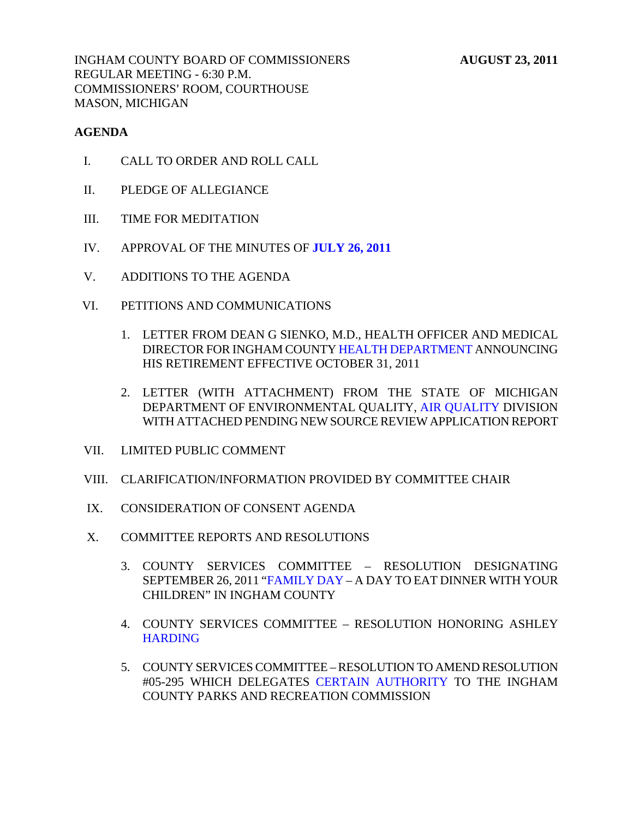INGHAM COUNTY BOARD OF COMMISSIONERS **AUGUST 23, 2011** REGULAR MEETING - 6:30 P.M. COMMISSIONERS' ROOM, COURTHOUSE MASON, MICHIGAN

### **AGENDA**

- I. CALL TO ORDER AND ROLL CALL
- II. PLEDGE OF ALLEGIANCE
- III. TIME FOR MEDITATION
- IV. APPROVAL OF THE MINUTES OF **[JULY 26, 2011](#page-4-0)**
- V. ADDITIONS TO THE AGENDA
- VI. PETITIONS AND COMMUNICATIONS
	- 1. LETTER FROM DEAN G SIENKO, [M.D., HEALTH OFFICER AND](#page-38-0) MEDICAL DIRECTOR FOR INGHAM COUNTY HEALTH DEPARTMENT ANNOUNCING HIS RETIREMENT EFFECTIVE OCTOBER 31, 2011
	- 2. LETTER (WITH ATTACHMENT) FROM THE STATE OF MICHIGAN DEPARTMENT OF ENVIRONMENTAL QU[ALITY, AIR QUALITY DIVISIO](#page-39-0)N WITH ATTACHED PENDING NEW SOURCE REVIEW APPLICATION REPORT
- VII. LIMITED PUBLIC COMMENT
- VIII. CLARIFICATION/INFORMATION PROVIDED BY COMMITTEE CHAIR
- IX. CONSIDERATION OF CONSENT AGENDA
- X. COMMITTEE REPORTS AND RESOLUTIONS
	- 3. COUNT[Y SERVICES COMMITTEE RESO](#page-41-0)LUTION DESIGNATING SEPTEMBER 26, 2011 "FAMILY DAY – A DAY TO EAT DINNER WITH YOUR CHILDREN" IN INGHAM COUNTY
	- 4. [COUNTY SERVICES](#page-42-0) COMMITTEE RESOLUTION HONORING ASHLEY **HARDING**
	- 5. COUNTY SERVICES COMMI[TTEE RESOLUTION TO AMEND RE](#page-43-0)SOLUTION #05-295 WHICH DELEGATES CERTAIN AUTHORITY TO THE INGHAM COUNTY PARKS AND RECREATION COMMISSION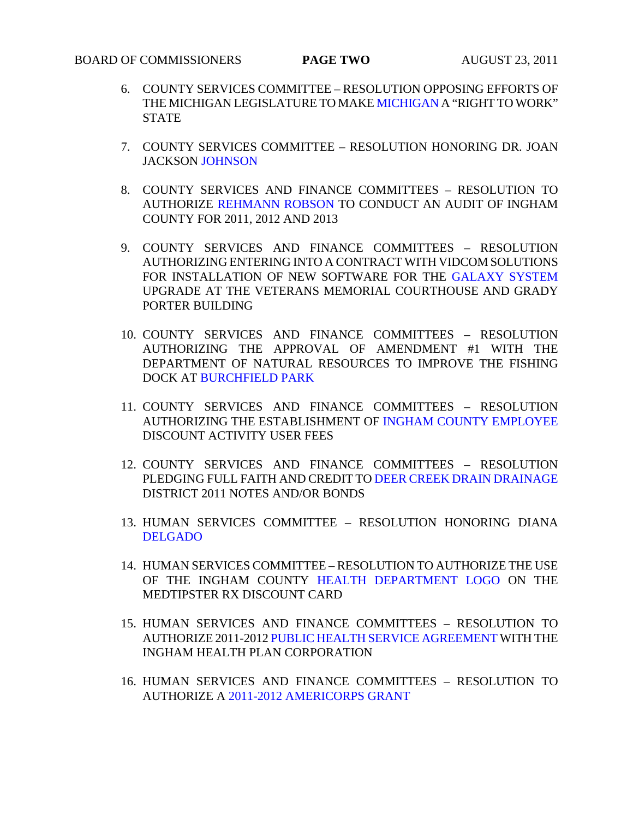- 6. COUNTY SERVICES COMMITTEE – [RESOLUTION OPPOSING](#page-44-0) EFFORTS OF THE MICHIGAN LEGISLATURE TO MAKE MICHIGAN A "RIGHT TO WORK" STATE
- 7. COUNTY SERVICES COMMITTEE RESOLUTION HONORING DR. JOAN JACKSO[N JOHNSON](#page-45-0)
- 8. COUNTY SERVICES AND FINANCE COMMITTEES RESOLUTION TO AUTHORIZ[E REHMANN ROBSON TO CO](#page-46-0)NDUCT AN AUDIT OF INGHAM COUNTY FOR 2011, 2012 AND 2013
- 9. COUNTY SERVICES AND FINANCE COMMITTEES RESOLUTION AUTHORIZING ENTERING INTO A CONTRACT WITH VIDCOM SOLUTIONS FOR INSTALLATION OF NEW SOFTWARE FOR THE GALAXY SYSTEM UPGRADE AT THE VETERANS MEMORIAL COUR[THOUSE AND GRADY](#page-47-0)  PORTER BUILDING
- 10. COUNTY SERVICES AND FINANCE COMMITTEES RESOLUTION AUTHORIZING THE APPROVAL OF AMENDMENT #1 WITH THE DEPART[MENT OF NATURAL RESOURCES](#page-48-0) TO IMPROVE THE FISHING DOCK AT BURCHFIELD PARK
- 11. COUNTY SERVICES AND FINANCE COMMITTEES RESOLUTION AUTHORIZING THE ESTABLISHMENT O[F INGHAM COUNTY EMPLOYEE](#page-49-0) DISCOUNT ACTIVITY USER FEES
- 12. COUNTY SERVICES AND FINA[NCE COMMITTEES RESOLUTION](#page-50-0)  PLEDGING FULL FAITH AND CREDIT TO DEER CREEK DRAIN DRAINAGE DISTRICT 2011 NOTES AND/OR BONDS
- 13. [HUMAN SERVICES COM](#page-53-0)MITTEE RESOLUTION HONORING DIANA DELGADO
- 14. HUMAN SERVICES COMMITTEE RESOLUTION TO AUTHORIZE THE USE OF THE INGHAM COUNTY [HEALTH DEPARTMENT LOGO ON THE](#page-54-0)  MEDTIPSTER RX DISCOUNT CARD
- 15. HUMAN SERVICES [AND FINANCE COMMITTEES RESOLUTION](#page-56-0) TO AUTHORIZE 2011-2012 PUBLIC HEALTH SERVICE AGREEMENT WITH THE INGHAM HEALTH PLAN CORPORATION
- 16. HUMAN SERVICES AND FINANCE COMMITTEES RESOLUTION TO AUTHORIZE [A 2011-2012 AMERICORPS GRANT](#page-57-0)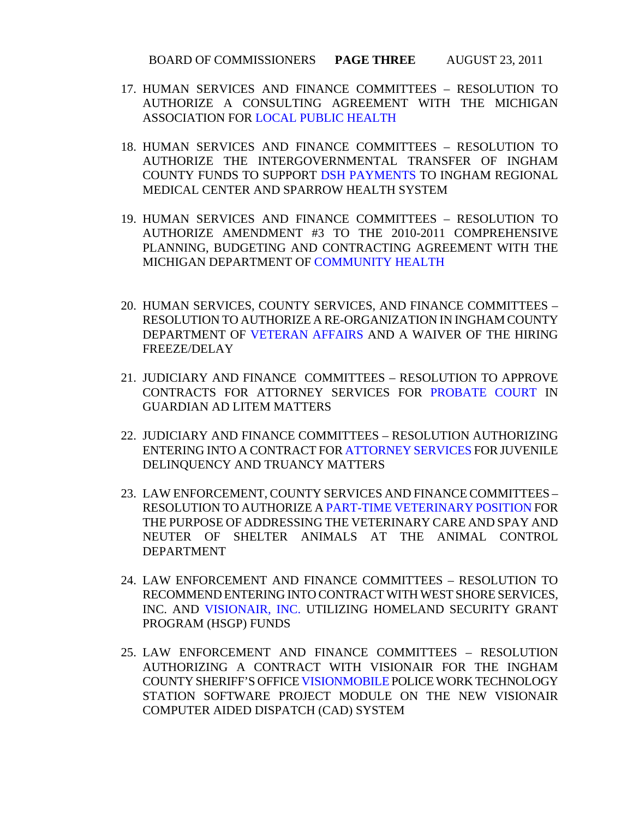- 17. HUMAN SERVICES AND FINANCE COMMITTEES RESOLUTION TO AUTHORIZE A CONSULTING AGREEMENT WITH THE MICHIGAN ASSOCIATION [FOR LOCAL PUBLIC HEALTH](#page-59-0)
- 18. HUMAN SERVICES AND FINANCE COMMITTEES RESOLUTION TO AUTHORIZE THE INTERGOVERNMENTAL TRANSFER OF INGHAM COUNTY FUNDS TO SU[PPORT DSH PAYMENTS TO INGHAM](#page-60-0) REGIONAL MEDICAL CENTER AND SPARROW HEALTH SYSTEM
- 19. HUMAN SERVICES AND FINANCE COMMITTEES RESOLUTION TO AUTHORIZE AMENDMENT #3 TO THE 2010-2011 COMPREHENSIVE PLANNING, BUDGETIN[G AND CONTRACTING AGREEME](#page-62-0)NT WITH THE MICHIGAN DEPARTMENT OF COMMUNITY HEALTH
- 20. HUMAN SERVICES, COUNTY SERVICES, AND FINANCE COMMITTEES RESOLUTION T[O AUTHORIZE A RE-ORGANIZATION IN INGH](#page-64-0)AM COUNTY DEPARTMENT OF VETERAN AFFAIRS AND A WAIVER OF THE HIRING FREEZE/DELAY
- 21. JUDICIARY AND FINANCE COMMITTEES RESOLUTION TO APPROVE CONTRACTS FOR ATTORNEY SERVICES F[OR PROBATE COURT IN](#page-65-0)  GUARDIAN AD LITEM MATTERS
- 22. JUDICIARY AND FINANCE COMMITTEES RESOLUTION AUTHORIZING ENTERING INTO A CONTRACT F[OR ATTORNEY SERVICES FOR](#page-67-0) JUVENILE DELINQUENCY AND TRUANCY MATTERS
- 23. LAW ENFORCEMENT, COUNTY SERVICES AND FINANCE COMMITTEES RESOLUTION TO AUTHORIZE A PART-TIME VETERINARY POSITION FOR THE PURPOSE OF ADDRE[SSING THE VETERINARY CARE AND SPAY AND](#page-69-0)  NEUTER OF SHELTER ANIMALS AT THE ANIMAL CONTROL DEPARTMENT
- 24. LAW ENFORCEMENT AND FINANCE COMMITTEES RESOLUTION TO RECO[MMEND ENTERING INTO CON](#page-71-0)TRACT WITH WEST SHORE SERVICES, INC. AND VISIONAIR, INC. UTILIZING HOMELAND SECURITY GRANT PROGRAM (HSGP) FUNDS
- 25. LAW ENFORCEMENT AND FINANCE COMMITTEES RESOLUTION AUTHORIZING A CONTRACT WITH VISIONAIR FOR THE INGHAM COUNTY SHERIFF'S OFF[ICE VISIONMOBILE POLICE WO](#page-72-0)RK TECHNOLOGY STATION SOFTWARE PROJECT MODULE ON THE NEW VISIONAIR COMPUTER AIDED DISPATCH (CAD) SYSTEM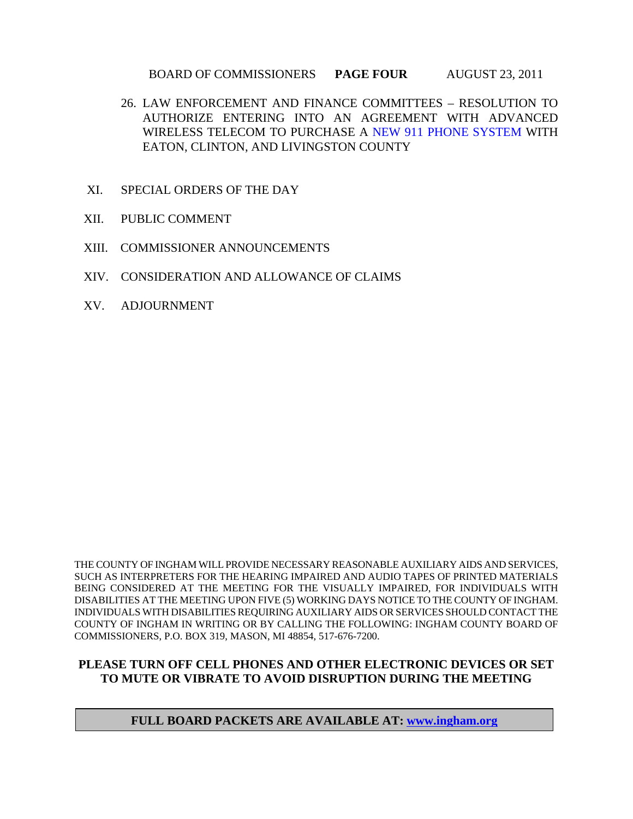### BOARD OF COMMISSIONERS **PAGE FOUR** AUGUST 23, 2011

- 26. LAW ENFORCEMENT AND FINANCE COMMITTEES RESOLUTION TO AUTHORIZE ENTERING INTO AN AGREEMENT WITH ADVANCED WIRELESS TELECOM TO PURC[HASE A NEW 911 PHONE SYSTEM WIT](#page-74-0)H EATON, CLINTON, AND LIVINGSTON COUNTY
- XI. SPECIAL ORDERS OF THE DAY
- XII. PUBLIC COMMENT
- XIII. COMMISSIONER ANNOUNCEMENTS
- XIV. CONSIDERATION AND ALLOWANCE OF CLAIMS
- XV. ADJOURNMENT

THE COUNTY OF INGHAM WILL PROVIDE NECESSARY REASONABLE AUXILIARY AIDS AND SERVICES, SUCH AS INTERPRETERS FOR THE HEARING IMPAIRED AND AUDIO TAPES OF PRINTED MATERIALS BEING CONSIDERED AT THE MEETING FOR THE VISUALLY IMPAIRED, FOR INDIVIDUALS WITH DISABILITIES AT THE MEETING UPON FIVE (5) WORKING DAYS NOTICE TO THE COUNTY OF INGHAM. INDIVIDUALS WITH DISABILITIES REQUIRING AUXILIARY AIDS OR SERVICES SHOULD CONTACT THE COUNTY OF INGHAM IN WRITING OR BY CALLING THE FOLLOWING: INGHAM COUNTY BOARD OF COMMISSIONERS, P.O. BOX 319, MASON, MI 48854, 517-676-7200.

### **PLEASE TURN OFF CELL PHONES AND OTHER ELECTRONIC DEVICES OR SET TO MUTE OR VIBRATE TO AVOID DISRUPTION DURING THE MEETING**

**FULL BOARD PACKETS ARE AVAILABLE AT: www.ingham.org**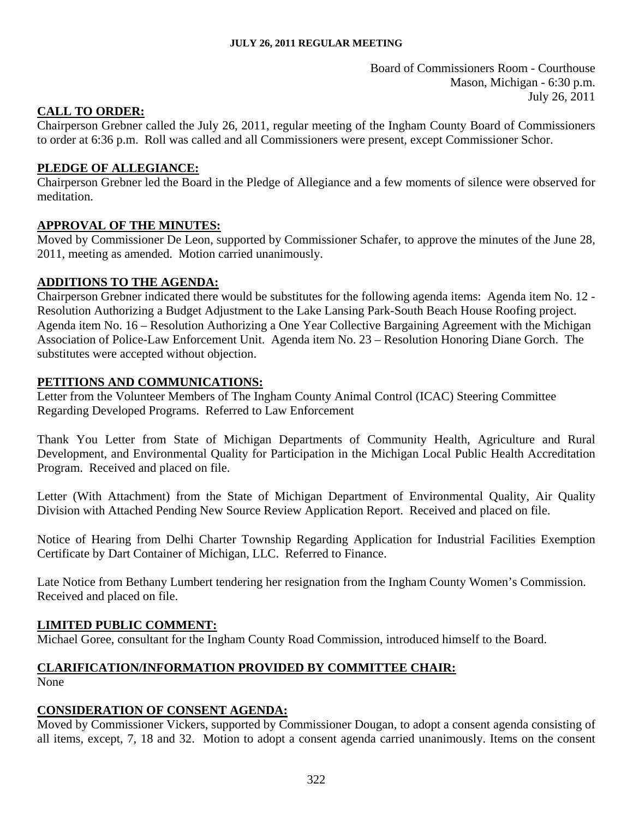Board of Commissioners Room - Courthouse Mason, Michigan - 6:30 p.m. July 26, 2011

## <span id="page-4-0"></span>**CALL TO ORDER:**

Chairperson Grebner called the July 26, 2011, regular meeting of the Ingham County Board of Commissioners to order at 6:36 p.m. Roll was called and all Commissioners were present, except Commissioner Schor.

## **PLEDGE OF ALLEGIANCE:**

Chairperson Grebner led the Board in the Pledge of Allegiance and a few moments of silence were observed for meditation.

### **APPROVAL OF THE MINUTES:**

Moved by Commissioner De Leon, supported by Commissioner Schafer, to approve the minutes of the June 28, 2011, meeting as amended. Motion carried unanimously.

### **ADDITIONS TO THE AGENDA:**

Chairperson Grebner indicated there would be substitutes for the following agenda items: Agenda item No. 12 - Resolution Authorizing a Budget Adjustment to the Lake Lansing Park-South Beach House Roofing project. Agenda item No. 16 – Resolution Authorizing a One Year Collective Bargaining Agreement with the Michigan Association of Police-Law Enforcement Unit. Agenda item No. 23 – Resolution Honoring Diane Gorch. The substitutes were accepted without objection.

### **PETITIONS AND COMMUNICATIONS:**

Letter from the Volunteer Members of The Ingham County Animal Control (ICAC) Steering Committee Regarding Developed Programs. Referred to Law Enforcement

Thank You Letter from State of Michigan Departments of Community Health, Agriculture and Rural Development, and Environmental Quality for Participation in the Michigan Local Public Health Accreditation Program. Received and placed on file.

Letter (With Attachment) from the State of Michigan Department of Environmental Quality, Air Quality Division with Attached Pending New Source Review Application Report. Received and placed on file.

Notice of Hearing from Delhi Charter Township Regarding Application for Industrial Facilities Exemption Certificate by Dart Container of Michigan, LLC. Referred to Finance.

Late Notice from Bethany Lumbert tendering her resignation from the Ingham County Women's Commission. Received and placed on file.

### **LIMITED PUBLIC COMMENT:**

Michael Goree, consultant for the Ingham County Road Commission, introduced himself to the Board.

# **CLARIFICATION/INFORMATION PROVIDED BY COMMITTEE CHAIR:**

None

## **CONSIDERATION OF CONSENT AGENDA:**

Moved by Commissioner Vickers, supported by Commissioner Dougan, to adopt a consent agenda consisting of all items, except, 7, 18 and 32. Motion to adopt a consent agenda carried unanimously. Items on the consent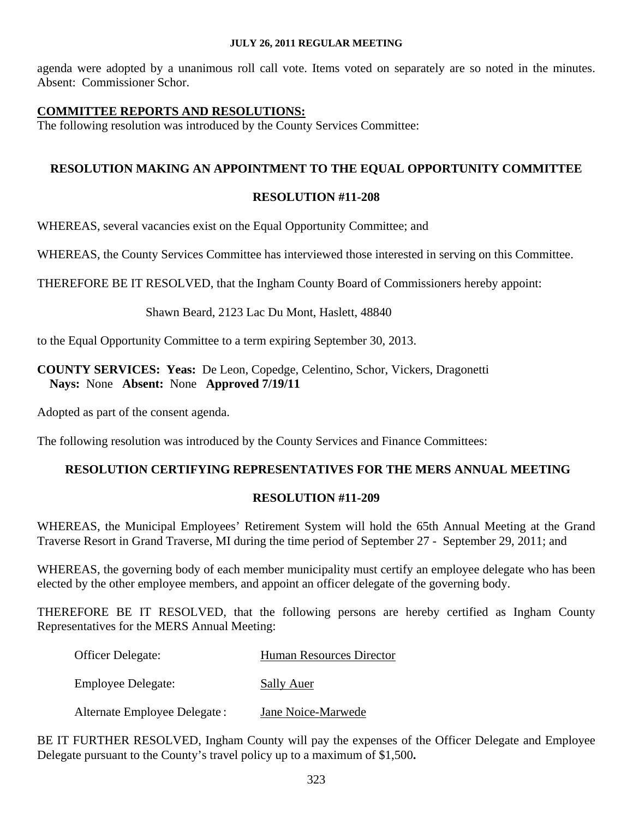agenda were adopted by a unanimous roll call vote. Items voted on separately are so noted in the minutes. Absent: Commissioner Schor.

### **COMMITTEE REPORTS AND RESOLUTIONS:**

The following resolution was introduced by the County Services Committee:

### **RESOLUTION MAKING AN APPOINTMENT TO THE EQUAL OPPORTUNITY COMMITTEE**

### **RESOLUTION #11-208**

WHEREAS, several vacancies exist on the Equal Opportunity Committee; and

WHEREAS, the County Services Committee has interviewed those interested in serving on this Committee.

THEREFORE BE IT RESOLVED, that the Ingham County Board of Commissioners hereby appoint:

#### Shawn Beard, 2123 Lac Du Mont, Haslett, 48840

to the Equal Opportunity Committee to a term expiring September 30, 2013.

### **COUNTY SERVICES: Yeas:** De Leon, Copedge, Celentino, Schor, Vickers, Dragonetti **Nays:** None **Absent:** None **Approved 7/19/11**

Adopted as part of the consent agenda.

The following resolution was introduced by the County Services and Finance Committees:

### **RESOLUTION CERTIFYING REPRESENTATIVES FOR THE MERS ANNUAL MEETING**

#### **RESOLUTION #11-209**

WHEREAS, the Municipal Employees' Retirement System will hold the 65th Annual Meeting at the Grand Traverse Resort in Grand Traverse, MI during the time period of September 27 - September 29, 2011; and

WHEREAS, the governing body of each member municipality must certify an employee delegate who has been elected by the other employee members, and appoint an officer delegate of the governing body.

THEREFORE BE IT RESOLVED, that the following persons are hereby certified as Ingham County Representatives for the MERS Annual Meeting:

| <b>Officer Delegate:</b>     | <b>Human Resources Director</b> |
|------------------------------|---------------------------------|
| <b>Employee Delegate:</b>    | <b>Sally Auer</b>               |
| Alternate Employee Delegate: | Jane Noice-Marwede              |

BE IT FURTHER RESOLVED, Ingham County will pay the expenses of the Officer Delegate and Employee Delegate pursuant to the County's travel policy up to a maximum of \$1,500**.**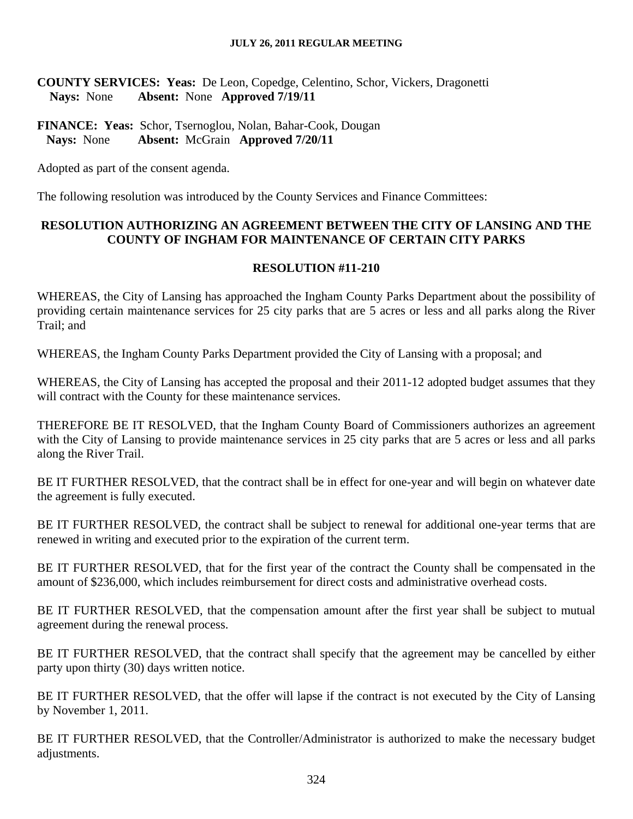**COUNTY SERVICES: Yeas:** De Leon, Copedge, Celentino, Schor, Vickers, Dragonetti  **Nays:** None **Absent:** None **Approved 7/19/11** 

**FINANCE: Yeas:** Schor, Tsernoglou, Nolan, Bahar-Cook, Dougan  **Nays:** None **Absent:** McGrain **Approved 7/20/11**

Adopted as part of the consent agenda.

The following resolution was introduced by the County Services and Finance Committees:

### **RESOLUTION AUTHORIZING AN AGREEMENT BETWEEN THE CITY OF LANSING AND THE COUNTY OF INGHAM FOR MAINTENANCE OF CERTAIN CITY PARKS**

### **RESOLUTION #11-210**

WHEREAS, the City of Lansing has approached the Ingham County Parks Department about the possibility of providing certain maintenance services for 25 city parks that are 5 acres or less and all parks along the River Trail; and

WHEREAS, the Ingham County Parks Department provided the City of Lansing with a proposal; and

WHEREAS, the City of Lansing has accepted the proposal and their 2011-12 adopted budget assumes that they will contract with the County for these maintenance services.

THEREFORE BE IT RESOLVED, that the Ingham County Board of Commissioners authorizes an agreement with the City of Lansing to provide maintenance services in 25 city parks that are 5 acres or less and all parks along the River Trail.

BE IT FURTHER RESOLVED, that the contract shall be in effect for one-year and will begin on whatever date the agreement is fully executed.

BE IT FURTHER RESOLVED, the contract shall be subject to renewal for additional one-year terms that are renewed in writing and executed prior to the expiration of the current term.

BE IT FURTHER RESOLVED, that for the first year of the contract the County shall be compensated in the amount of \$236,000, which includes reimbursement for direct costs and administrative overhead costs.

BE IT FURTHER RESOLVED, that the compensation amount after the first year shall be subject to mutual agreement during the renewal process.

BE IT FURTHER RESOLVED, that the contract shall specify that the agreement may be cancelled by either party upon thirty (30) days written notice.

BE IT FURTHER RESOLVED, that the offer will lapse if the contract is not executed by the City of Lansing by November 1, 2011.

BE IT FURTHER RESOLVED, that the Controller/Administrator is authorized to make the necessary budget adjustments.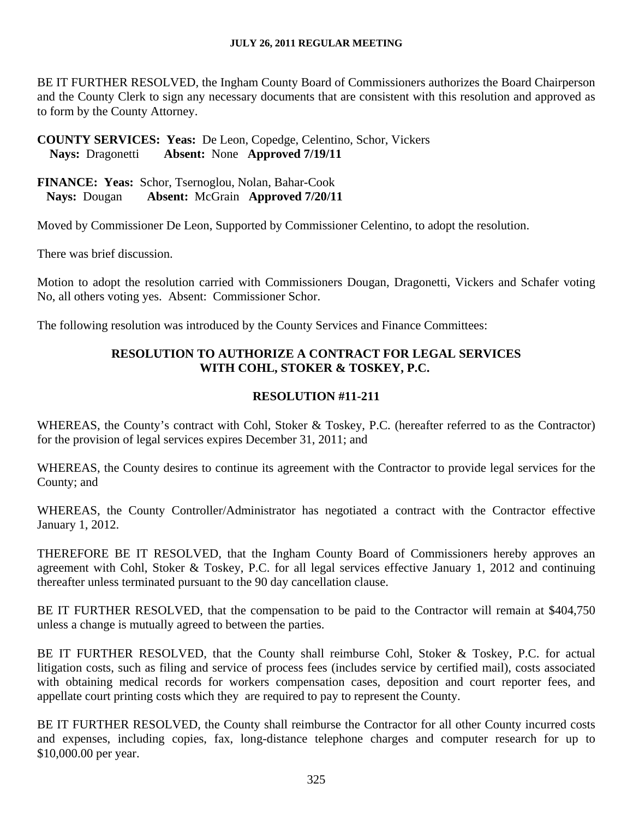BE IT FURTHER RESOLVED, the Ingham County Board of Commissioners authorizes the Board Chairperson and the County Clerk to sign any necessary documents that are consistent with this resolution and approved as to form by the County Attorney.

**COUNTY SERVICES: Yeas:** De Leon, Copedge, Celentino, Schor, Vickers  **Nays:** Dragonetti **Absent:** None **Approved 7/19/11** 

**FINANCE: Yeas:** Schor, Tsernoglou, Nolan, Bahar-Cook  **Nays:** Dougan **Absent:** McGrain **Approved 7/20/11**

Moved by Commissioner De Leon, Supported by Commissioner Celentino, to adopt the resolution.

There was brief discussion.

Motion to adopt the resolution carried with Commissioners Dougan, Dragonetti, Vickers and Schafer voting No, all others voting yes. Absent: Commissioner Schor.

The following resolution was introduced by the County Services and Finance Committees:

## **RESOLUTION TO AUTHORIZE A CONTRACT FOR LEGAL SERVICES WITH COHL, STOKER & TOSKEY, P.C.**

### **RESOLUTION #11-211**

WHEREAS, the County's contract with Cohl, Stoker & Toskey, P.C. (hereafter referred to as the Contractor) for the provision of legal services expires December 31, 2011; and

WHEREAS, the County desires to continue its agreement with the Contractor to provide legal services for the County; and

WHEREAS, the County Controller/Administrator has negotiated a contract with the Contractor effective January 1, 2012.

THEREFORE BE IT RESOLVED, that the Ingham County Board of Commissioners hereby approves an agreement with Cohl, Stoker & Toskey, P.C. for all legal services effective January 1, 2012 and continuing thereafter unless terminated pursuant to the 90 day cancellation clause.

BE IT FURTHER RESOLVED, that the compensation to be paid to the Contractor will remain at \$404,750 unless a change is mutually agreed to between the parties.

BE IT FURTHER RESOLVED, that the County shall reimburse Cohl, Stoker & Toskey, P.C. for actual litigation costs, such as filing and service of process fees (includes service by certified mail), costs associated with obtaining medical records for workers compensation cases, deposition and court reporter fees, and appellate court printing costs which they are required to pay to represent the County.

BE IT FURTHER RESOLVED, the County shall reimburse the Contractor for all other County incurred costs and expenses, including copies, fax, long-distance telephone charges and computer research for up to \$10,000.00 per year.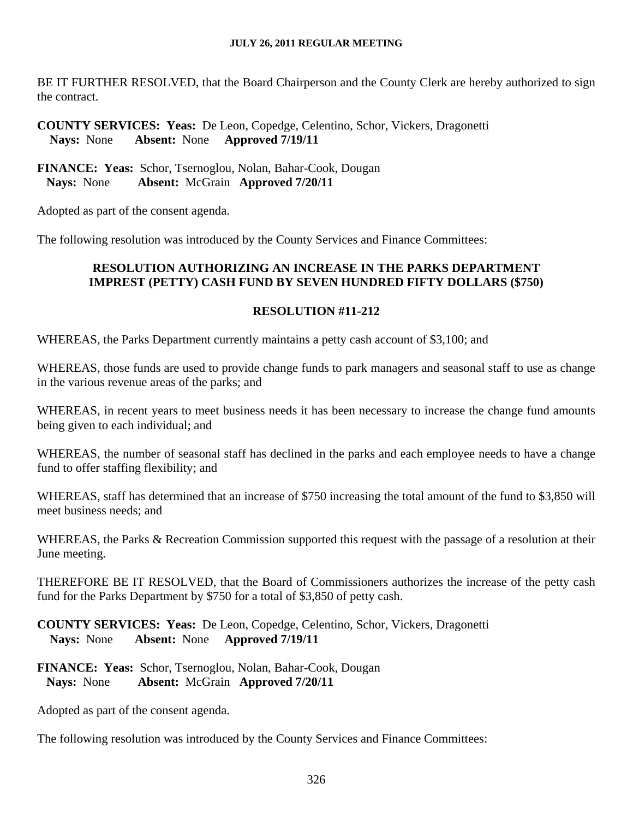BE IT FURTHER RESOLVED, that the Board Chairperson and the County Clerk are hereby authorized to sign the contract.

## **COUNTY SERVICES: Yeas:** De Leon, Copedge, Celentino, Schor, Vickers, Dragonetti  **Nays:** None **Absent:** None **Approved 7/19/11**

**FINANCE: Yeas:** Schor, Tsernoglou, Nolan, Bahar-Cook, Dougan  **Nays:** None **Absent:** McGrain **Approved 7/20/11**

Adopted as part of the consent agenda.

The following resolution was introduced by the County Services and Finance Committees:

## **RESOLUTION AUTHORIZING AN INCREASE IN THE PARKS DEPARTMENT IMPREST (PETTY) CASH FUND BY SEVEN HUNDRED FIFTY DOLLARS (\$750)**

### **RESOLUTION #11-212**

WHEREAS, the Parks Department currently maintains a petty cash account of \$3,100; and

WHEREAS, those funds are used to provide change funds to park managers and seasonal staff to use as change in the various revenue areas of the parks; and

WHEREAS, in recent years to meet business needs it has been necessary to increase the change fund amounts being given to each individual; and

WHEREAS, the number of seasonal staff has declined in the parks and each employee needs to have a change fund to offer staffing flexibility; and

WHEREAS, staff has determined that an increase of \$750 increasing the total amount of the fund to \$3,850 will meet business needs; and

WHEREAS, the Parks & Recreation Commission supported this request with the passage of a resolution at their June meeting.

THEREFORE BE IT RESOLVED, that the Board of Commissioners authorizes the increase of the petty cash fund for the Parks Department by \$750 for a total of \$3,850 of petty cash.

**COUNTY SERVICES: Yeas:** De Leon, Copedge, Celentino, Schor, Vickers, Dragonetti  **Nays:** None **Absent:** None **Approved 7/19/11** 

**FINANCE: Yeas:** Schor, Tsernoglou, Nolan, Bahar-Cook, Dougan  **Nays:** None **Absent:** McGrain **Approved 7/20/11**

Adopted as part of the consent agenda.

The following resolution was introduced by the County Services and Finance Committees: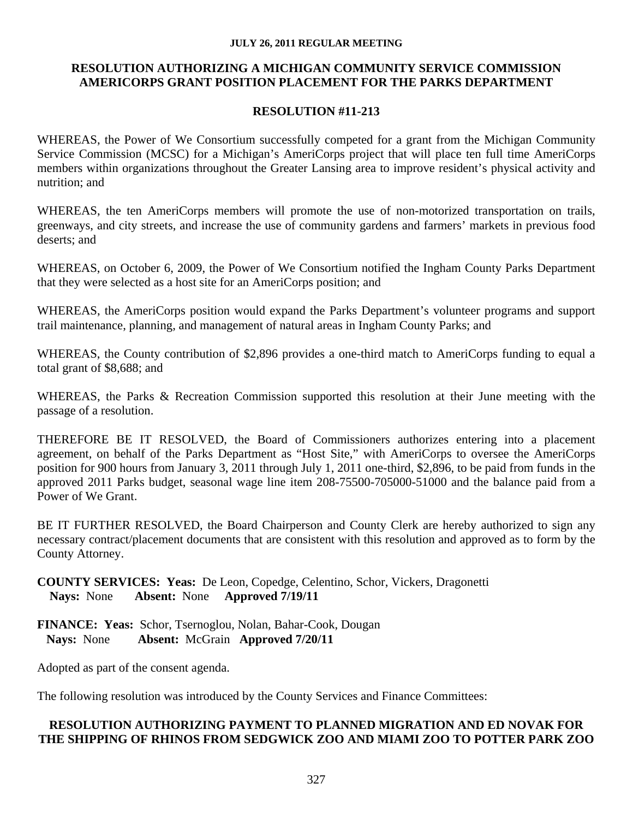### **RESOLUTION AUTHORIZING A MICHIGAN COMMUNITY SERVICE COMMISSION AMERICORPS GRANT POSITION PLACEMENT FOR THE PARKS DEPARTMENT**

## **RESOLUTION #11-213**

WHEREAS, the Power of We Consortium successfully competed for a grant from the Michigan Community Service Commission (MCSC) for a Michigan's AmeriCorps project that will place ten full time AmeriCorps members within organizations throughout the Greater Lansing area to improve resident's physical activity and nutrition; and

WHEREAS, the ten AmeriCorps members will promote the use of non-motorized transportation on trails, greenways, and city streets, and increase the use of community gardens and farmers' markets in previous food deserts; and

WHEREAS, on October 6, 2009, the Power of We Consortium notified the Ingham County Parks Department that they were selected as a host site for an AmeriCorps position; and

WHEREAS, the AmeriCorps position would expand the Parks Department's volunteer programs and support trail maintenance, planning, and management of natural areas in Ingham County Parks; and

WHEREAS, the County contribution of \$2,896 provides a one-third match to AmeriCorps funding to equal a total grant of \$8,688; and

WHEREAS, the Parks & Recreation Commission supported this resolution at their June meeting with the passage of a resolution.

THEREFORE BE IT RESOLVED, the Board of Commissioners authorizes entering into a placement agreement, on behalf of the Parks Department as "Host Site," with AmeriCorps to oversee the AmeriCorps position for 900 hours from January 3, 2011 through July 1, 2011 one-third, \$2,896, to be paid from funds in the approved 2011 Parks budget, seasonal wage line item 208-75500-705000-51000 and the balance paid from a Power of We Grant.

BE IT FURTHER RESOLVED, the Board Chairperson and County Clerk are hereby authorized to sign any necessary contract/placement documents that are consistent with this resolution and approved as to form by the County Attorney.

**COUNTY SERVICES: Yeas:** De Leon, Copedge, Celentino, Schor, Vickers, Dragonetti  **Nays:** None **Absent:** None **Approved 7/19/11** 

**FINANCE: Yeas:** Schor, Tsernoglou, Nolan, Bahar-Cook, Dougan  **Nays:** None **Absent:** McGrain **Approved 7/20/11**

Adopted as part of the consent agenda.

The following resolution was introduced by the County Services and Finance Committees:

### **RESOLUTION AUTHORIZING PAYMENT TO PLANNED MIGRATION AND ED NOVAK FOR THE SHIPPING OF RHINOS FROM SEDGWICK ZOO AND MIAMI ZOO TO POTTER PARK ZOO**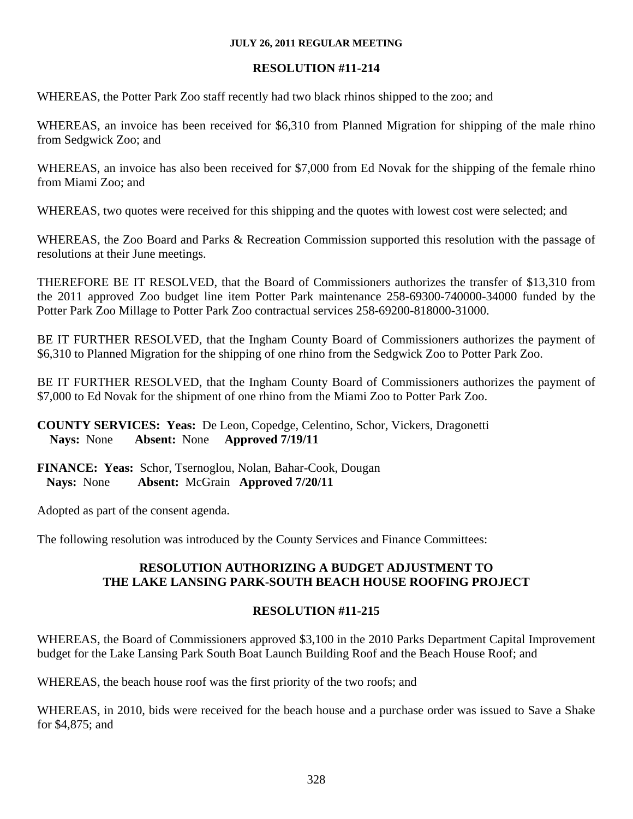## **RESOLUTION #11-214**

WHEREAS, the Potter Park Zoo staff recently had two black rhinos shipped to the zoo; and

WHEREAS, an invoice has been received for \$6,310 from Planned Migration for shipping of the male rhino from Sedgwick Zoo; and

WHEREAS, an invoice has also been received for \$7,000 from Ed Novak for the shipping of the female rhino from Miami Zoo; and

WHEREAS, two quotes were received for this shipping and the quotes with lowest cost were selected; and

WHEREAS, the Zoo Board and Parks & Recreation Commission supported this resolution with the passage of resolutions at their June meetings.

THEREFORE BE IT RESOLVED, that the Board of Commissioners authorizes the transfer of \$13,310 from the 2011 approved Zoo budget line item Potter Park maintenance 258-69300-740000-34000 funded by the Potter Park Zoo Millage to Potter Park Zoo contractual services 258-69200-818000-31000.

BE IT FURTHER RESOLVED, that the Ingham County Board of Commissioners authorizes the payment of \$6,310 to Planned Migration for the shipping of one rhino from the Sedgwick Zoo to Potter Park Zoo.

BE IT FURTHER RESOLVED, that the Ingham County Board of Commissioners authorizes the payment of \$7,000 to Ed Novak for the shipment of one rhino from the Miami Zoo to Potter Park Zoo.

**COUNTY SERVICES: Yeas:** De Leon, Copedge, Celentino, Schor, Vickers, Dragonetti  **Nays:** None **Absent:** None **Approved 7/19/11** 

**FINANCE: Yeas:** Schor, Tsernoglou, Nolan, Bahar-Cook, Dougan  **Nays:** None **Absent:** McGrain **Approved 7/20/11**

Adopted as part of the consent agenda.

The following resolution was introduced by the County Services and Finance Committees:

### **RESOLUTION AUTHORIZING A BUDGET ADJUSTMENT TO THE LAKE LANSING PARK-SOUTH BEACH HOUSE ROOFING PROJECT**

## **RESOLUTION #11-215**

WHEREAS, the Board of Commissioners approved \$3,100 in the 2010 Parks Department Capital Improvement budget for the Lake Lansing Park South Boat Launch Building Roof and the Beach House Roof; and

WHEREAS, the beach house roof was the first priority of the two roofs; and

WHEREAS, in 2010, bids were received for the beach house and a purchase order was issued to Save a Shake for \$4,875; and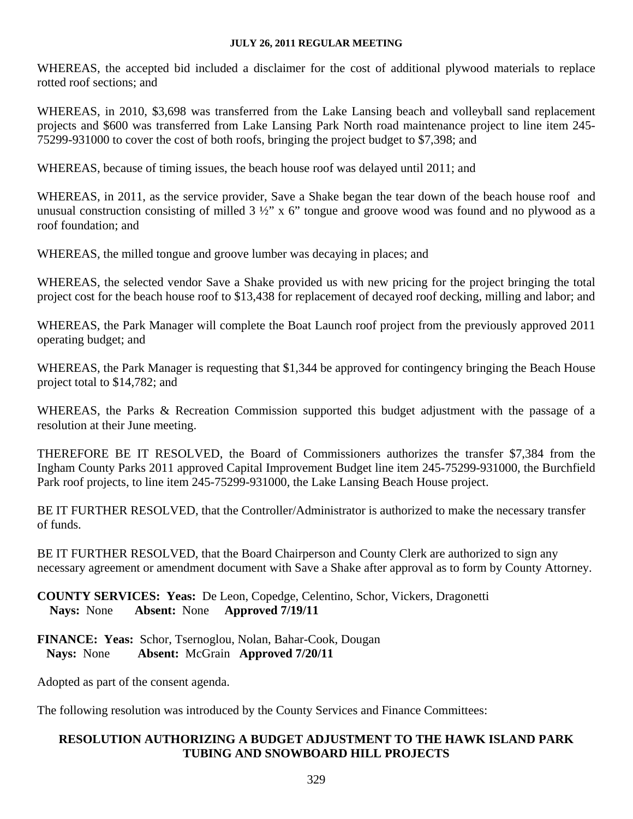WHEREAS, the accepted bid included a disclaimer for the cost of additional plywood materials to replace rotted roof sections; and

WHEREAS, in 2010, \$3,698 was transferred from the Lake Lansing beach and volleyball sand replacement projects and \$600 was transferred from Lake Lansing Park North road maintenance project to line item 245- 75299-931000 to cover the cost of both roofs, bringing the project budget to \$7,398; and

WHEREAS, because of timing issues, the beach house roof was delayed until 2011; and

WHEREAS, in 2011, as the service provider, Save a Shake began the tear down of the beach house roof and unusual construction consisting of milled  $3\frac{1}{2}$ " x 6" tongue and groove wood was found and no plywood as a roof foundation; and

WHEREAS, the milled tongue and groove lumber was decaying in places; and

WHEREAS, the selected vendor Save a Shake provided us with new pricing for the project bringing the total project cost for the beach house roof to \$13,438 for replacement of decayed roof decking, milling and labor; and

WHEREAS, the Park Manager will complete the Boat Launch roof project from the previously approved 2011 operating budget; and

WHEREAS, the Park Manager is requesting that \$1,344 be approved for contingency bringing the Beach House project total to \$14,782; and

WHEREAS, the Parks & Recreation Commission supported this budget adjustment with the passage of a resolution at their June meeting.

THEREFORE BE IT RESOLVED, the Board of Commissioners authorizes the transfer \$7,384 from the Ingham County Parks 2011 approved Capital Improvement Budget line item 245-75299-931000, the Burchfield Park roof projects, to line item 245-75299-931000, the Lake Lansing Beach House project.

BE IT FURTHER RESOLVED, that the Controller/Administrator is authorized to make the necessary transfer of funds.

BE IT FURTHER RESOLVED, that the Board Chairperson and County Clerk are authorized to sign any necessary agreement or amendment document with Save a Shake after approval as to form by County Attorney.

**COUNTY SERVICES: Yeas:** De Leon, Copedge, Celentino, Schor, Vickers, Dragonetti  **Nays:** None **Absent:** None **Approved 7/19/11** 

**FINANCE: Yeas:** Schor, Tsernoglou, Nolan, Bahar-Cook, Dougan  **Nays:** None **Absent:** McGrain **Approved 7/20/11**

Adopted as part of the consent agenda.

The following resolution was introduced by the County Services and Finance Committees:

### **RESOLUTION AUTHORIZING A BUDGET ADJUSTMENT TO THE HAWK ISLAND PARK TUBING AND SNOWBOARD HILL PROJECTS**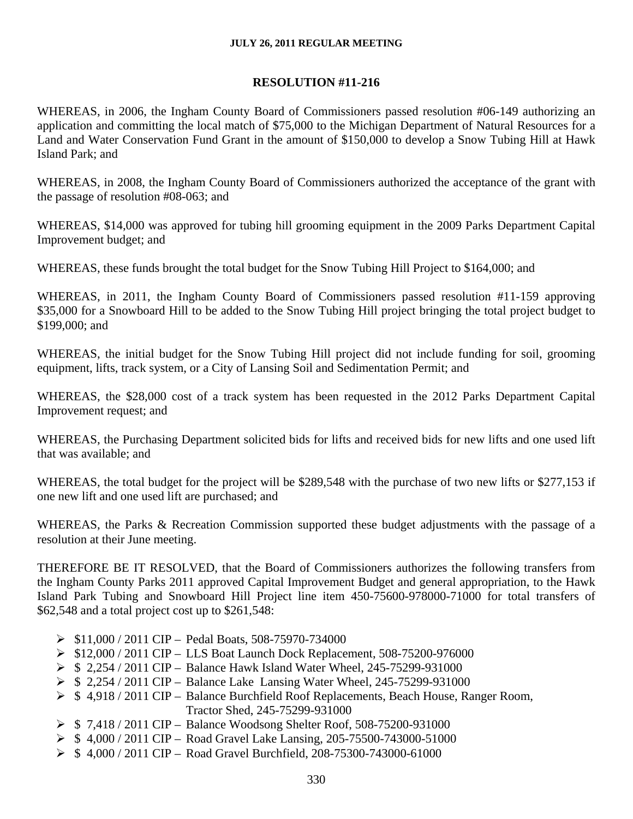## **RESOLUTION #11-216**

WHEREAS, in 2006, the Ingham County Board of Commissioners passed resolution #06-149 authorizing an application and committing the local match of \$75,000 to the Michigan Department of Natural Resources for a Land and Water Conservation Fund Grant in the amount of \$150,000 to develop a Snow Tubing Hill at Hawk Island Park; and

WHEREAS, in 2008, the Ingham County Board of Commissioners authorized the acceptance of the grant with the passage of resolution #08-063; and

WHEREAS, \$14,000 was approved for tubing hill grooming equipment in the 2009 Parks Department Capital Improvement budget; and

WHEREAS, these funds brought the total budget for the Snow Tubing Hill Project to \$164,000; and

WHEREAS, in 2011, the Ingham County Board of Commissioners passed resolution #11-159 approving \$35,000 for a Snowboard Hill to be added to the Snow Tubing Hill project bringing the total project budget to \$199,000; and

WHEREAS, the initial budget for the Snow Tubing Hill project did not include funding for soil, grooming equipment, lifts, track system, or a City of Lansing Soil and Sedimentation Permit; and

WHEREAS, the \$28,000 cost of a track system has been requested in the 2012 Parks Department Capital Improvement request; and

WHEREAS, the Purchasing Department solicited bids for lifts and received bids for new lifts and one used lift that was available; and

WHEREAS, the total budget for the project will be \$289,548 with the purchase of two new lifts or \$277,153 if one new lift and one used lift are purchased; and

WHEREAS, the Parks & Recreation Commission supported these budget adjustments with the passage of a resolution at their June meeting.

THEREFORE BE IT RESOLVED, that the Board of Commissioners authorizes the following transfers from the Ingham County Parks 2011 approved Capital Improvement Budget and general appropriation, to the Hawk Island Park Tubing and Snowboard Hill Project line item 450-75600-978000-71000 for total transfers of \$62,548 and a total project cost up to \$261,548:

- $\triangleright$  \$11,000 / 2011 CIP Pedal Boats, 508-75970-734000
- $\triangleright$  \$12,000 / 2011 CIP LLS Boat Launch Dock Replacement, 508-75200-976000
- ¾ \$ 2,254 / 2011 CIP Balance Hawk Island Water Wheel, 245-75299-931000
- ¾ \$ 2,254 / 2011 CIP Balance Lake Lansing Water Wheel, 245-75299-931000
- ¾ \$ 4,918 / 2011 CIP Balance Burchfield Roof Replacements, Beach House, Ranger Room, Tractor Shed, 245-75299-931000
- ¾ \$ 7,418 / 2011 CIP Balance Woodsong Shelter Roof, 508-75200-931000
- $\triangleright$  \$ 4,000 / 2011 CIP Road Gravel Lake Lansing, 205-75500-743000-51000
- ¾ \$ 4,000 / 2011 CIP Road Gravel Burchfield, 208-75300-743000-61000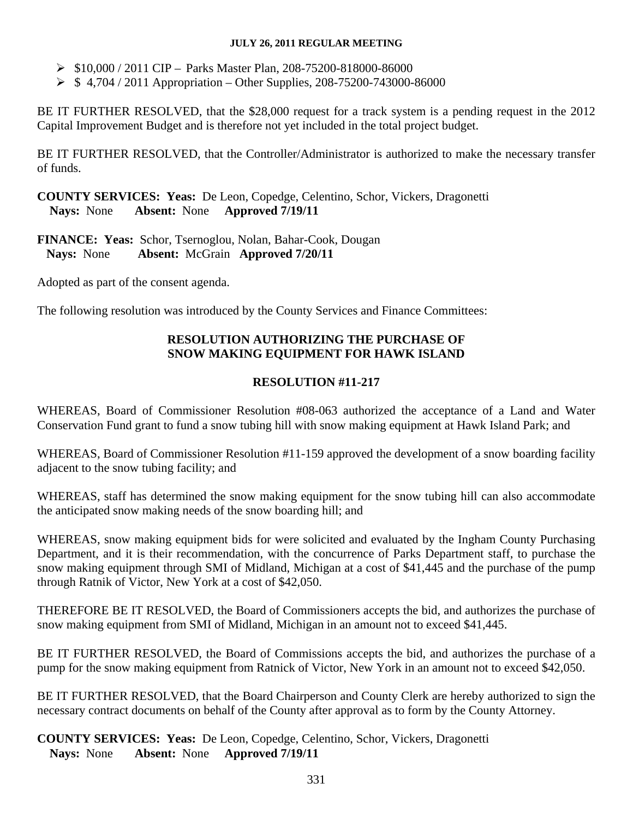- ¾ \$10,000 / 2011 CIP Parks Master Plan, 208-75200-818000-86000
- $\triangleright$  \$ 4,704 / 2011 Appropriation Other Supplies, 208-75200-743000-86000

BE IT FURTHER RESOLVED, that the \$28,000 request for a track system is a pending request in the 2012 Capital Improvement Budget and is therefore not yet included in the total project budget.

BE IT FURTHER RESOLVED, that the Controller/Administrator is authorized to make the necessary transfer of funds.

**COUNTY SERVICES: Yeas:** De Leon, Copedge, Celentino, Schor, Vickers, Dragonetti  **Nays:** None **Absent:** None **Approved 7/19/11** 

**FINANCE: Yeas:** Schor, Tsernoglou, Nolan, Bahar-Cook, Dougan  **Nays:** None **Absent:** McGrain **Approved 7/20/11**

Adopted as part of the consent agenda.

The following resolution was introduced by the County Services and Finance Committees:

## **RESOLUTION AUTHORIZING THE PURCHASE OF SNOW MAKING EQUIPMENT FOR HAWK ISLAND**

## **RESOLUTION #11-217**

WHEREAS, Board of Commissioner Resolution #08-063 authorized the acceptance of a Land and Water Conservation Fund grant to fund a snow tubing hill with snow making equipment at Hawk Island Park; and

WHEREAS, Board of Commissioner Resolution #11-159 approved the development of a snow boarding facility adjacent to the snow tubing facility; and

WHEREAS, staff has determined the snow making equipment for the snow tubing hill can also accommodate the anticipated snow making needs of the snow boarding hill; and

WHEREAS, snow making equipment bids for were solicited and evaluated by the Ingham County Purchasing Department, and it is their recommendation, with the concurrence of Parks Department staff, to purchase the snow making equipment through SMI of Midland, Michigan at a cost of \$41,445 and the purchase of the pump through Ratnik of Victor, New York at a cost of \$42,050.

THEREFORE BE IT RESOLVED, the Board of Commissioners accepts the bid, and authorizes the purchase of snow making equipment from SMI of Midland, Michigan in an amount not to exceed \$41,445.

BE IT FURTHER RESOLVED, the Board of Commissions accepts the bid, and authorizes the purchase of a pump for the snow making equipment from Ratnick of Victor, New York in an amount not to exceed \$42,050.

BE IT FURTHER RESOLVED, that the Board Chairperson and County Clerk are hereby authorized to sign the necessary contract documents on behalf of the County after approval as to form by the County Attorney.

**COUNTY SERVICES: Yeas:** De Leon, Copedge, Celentino, Schor, Vickers, Dragonetti  **Nays:** None **Absent:** None **Approved 7/19/11**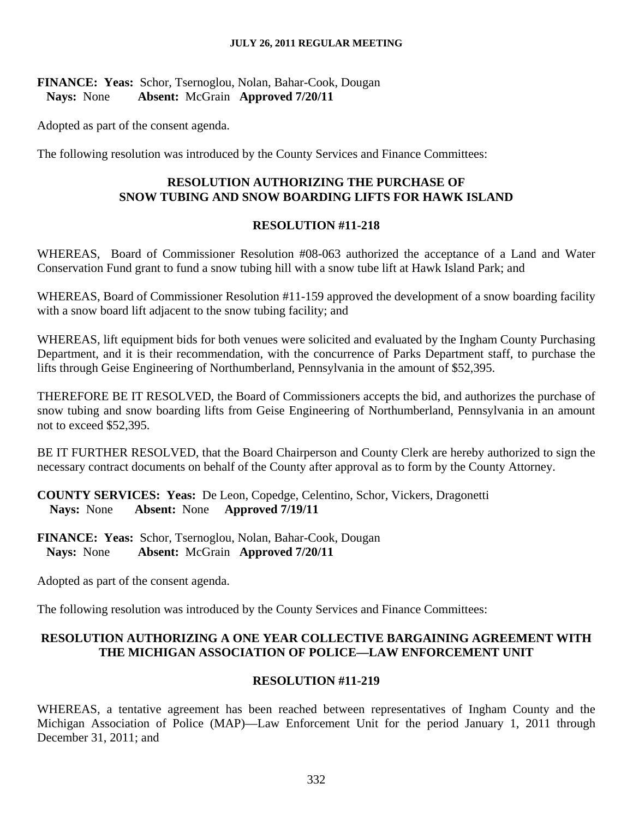### **FINANCE: Yeas:** Schor, Tsernoglou, Nolan, Bahar-Cook, Dougan  **Nays:** None **Absent:** McGrain **Approved 7/20/11**

Adopted as part of the consent agenda.

The following resolution was introduced by the County Services and Finance Committees:

### **RESOLUTION AUTHORIZING THE PURCHASE OF SNOW TUBING AND SNOW BOARDING LIFTS FOR HAWK ISLAND**

#### **RESOLUTION #11-218**

WHEREAS, Board of Commissioner Resolution #08-063 authorized the acceptance of a Land and Water Conservation Fund grant to fund a snow tubing hill with a snow tube lift at Hawk Island Park; and

WHEREAS, Board of Commissioner Resolution #11-159 approved the development of a snow boarding facility with a snow board lift adjacent to the snow tubing facility; and

WHEREAS, lift equipment bids for both venues were solicited and evaluated by the Ingham County Purchasing Department, and it is their recommendation, with the concurrence of Parks Department staff, to purchase the lifts through Geise Engineering of Northumberland, Pennsylvania in the amount of \$52,395.

THEREFORE BE IT RESOLVED, the Board of Commissioners accepts the bid, and authorizes the purchase of snow tubing and snow boarding lifts from Geise Engineering of Northumberland, Pennsylvania in an amount not to exceed \$52,395.

BE IT FURTHER RESOLVED, that the Board Chairperson and County Clerk are hereby authorized to sign the necessary contract documents on behalf of the County after approval as to form by the County Attorney.

**COUNTY SERVICES: Yeas:** De Leon, Copedge, Celentino, Schor, Vickers, Dragonetti  **Nays:** None **Absent:** None **Approved 7/19/11** 

**FINANCE: Yeas:** Schor, Tsernoglou, Nolan, Bahar-Cook, Dougan  **Nays:** None **Absent:** McGrain **Approved 7/20/11**

Adopted as part of the consent agenda.

The following resolution was introduced by the County Services and Finance Committees:

### **RESOLUTION AUTHORIZING A ONE YEAR COLLECTIVE BARGAINING AGREEMENT WITH THE MICHIGAN ASSOCIATION OF POLICE—LAW ENFORCEMENT UNIT**

### **RESOLUTION #11-219**

WHEREAS, a tentative agreement has been reached between representatives of Ingham County and the Michigan Association of Police (MAP)—Law Enforcement Unit for the period January 1, 2011 through December 31, 2011; and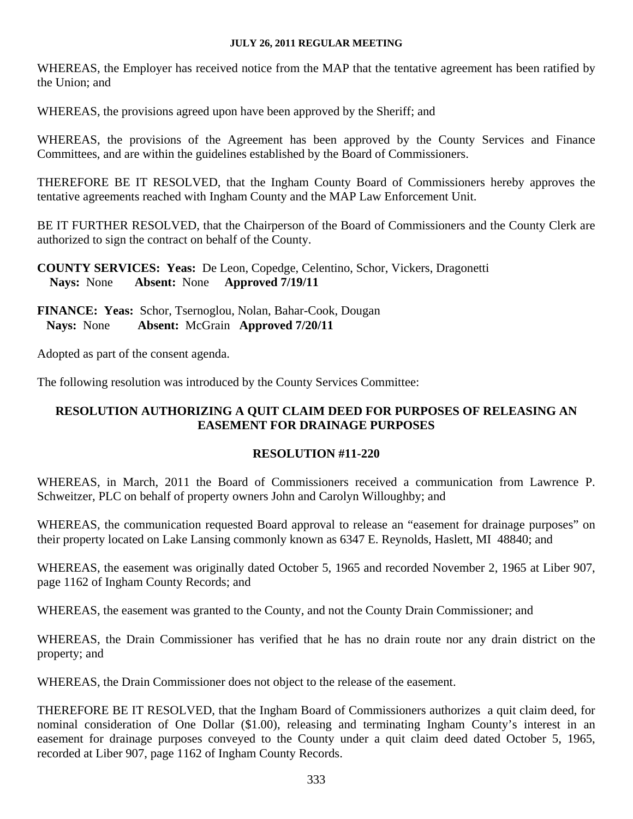WHEREAS, the Employer has received notice from the MAP that the tentative agreement has been ratified by the Union; and

WHEREAS, the provisions agreed upon have been approved by the Sheriff; and

WHEREAS, the provisions of the Agreement has been approved by the County Services and Finance Committees, and are within the guidelines established by the Board of Commissioners.

THEREFORE BE IT RESOLVED, that the Ingham County Board of Commissioners hereby approves the tentative agreements reached with Ingham County and the MAP Law Enforcement Unit.

BE IT FURTHER RESOLVED, that the Chairperson of the Board of Commissioners and the County Clerk are authorized to sign the contract on behalf of the County.

**COUNTY SERVICES: Yeas:** De Leon, Copedge, Celentino, Schor, Vickers, Dragonetti  **Nays:** None **Absent:** None **Approved 7/19/11** 

**FINANCE: Yeas:** Schor, Tsernoglou, Nolan, Bahar-Cook, Dougan  **Nays:** None **Absent:** McGrain **Approved 7/20/11**

Adopted as part of the consent agenda.

The following resolution was introduced by the County Services Committee:

## **RESOLUTION AUTHORIZING A QUIT CLAIM DEED FOR PURPOSES OF RELEASING AN EASEMENT FOR DRAINAGE PURPOSES**

### **RESOLUTION #11-220**

WHEREAS, in March, 2011 the Board of Commissioners received a communication from Lawrence P. Schweitzer, PLC on behalf of property owners John and Carolyn Willoughby; and

WHEREAS, the communication requested Board approval to release an "easement for drainage purposes" on their property located on Lake Lansing commonly known as 6347 E. Reynolds, Haslett, MI 48840; and

WHEREAS, the easement was originally dated October 5, 1965 and recorded November 2, 1965 at Liber 907, page 1162 of Ingham County Records; and

WHEREAS, the easement was granted to the County, and not the County Drain Commissioner; and

WHEREAS, the Drain Commissioner has verified that he has no drain route nor any drain district on the property; and

WHEREAS, the Drain Commissioner does not object to the release of the easement.

THEREFORE BE IT RESOLVED, that the Ingham Board of Commissioners authorizes a quit claim deed, for nominal consideration of One Dollar (\$1.00), releasing and terminating Ingham County's interest in an easement for drainage purposes conveyed to the County under a quit claim deed dated October 5, 1965, recorded at Liber 907, page 1162 of Ingham County Records.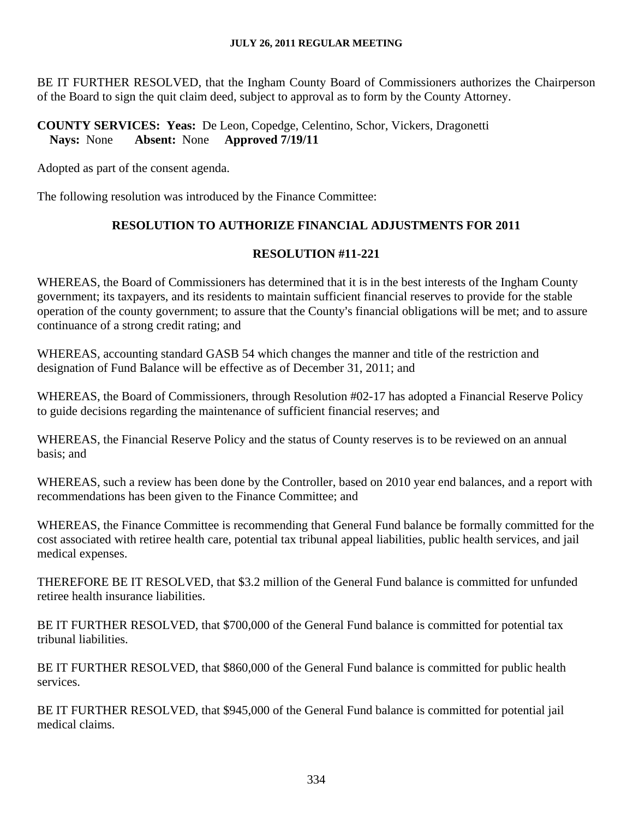BE IT FURTHER RESOLVED, that the Ingham County Board of Commissioners authorizes the Chairperson of the Board to sign the quit claim deed, subject to approval as to form by the County Attorney.

## **COUNTY SERVICES: Yeas:** De Leon, Copedge, Celentino, Schor, Vickers, Dragonetti  **Nays:** None **Absent:** None **Approved 7/19/11**

Adopted as part of the consent agenda.

The following resolution was introduced by the Finance Committee:

## **RESOLUTION TO AUTHORIZE FINANCIAL ADJUSTMENTS FOR 2011**

## **RESOLUTION #11-221**

WHEREAS, the Board of Commissioners has determined that it is in the best interests of the Ingham County government; its taxpayers, and its residents to maintain sufficient financial reserves to provide for the stable operation of the county government; to assure that the County's financial obligations will be met; and to assure continuance of a strong credit rating; and

WHEREAS, accounting standard GASB 54 which changes the manner and title of the restriction and designation of Fund Balance will be effective as of December 31, 2011; and

WHEREAS, the Board of Commissioners, through Resolution #02-17 has adopted a Financial Reserve Policy to guide decisions regarding the maintenance of sufficient financial reserves; and

WHEREAS, the Financial Reserve Policy and the status of County reserves is to be reviewed on an annual basis; and

WHEREAS, such a review has been done by the Controller, based on 2010 year end balances, and a report with recommendations has been given to the Finance Committee; and

WHEREAS, the Finance Committee is recommending that General Fund balance be formally committed for the cost associated with retiree health care, potential tax tribunal appeal liabilities, public health services, and jail medical expenses.

THEREFORE BE IT RESOLVED, that \$3.2 million of the General Fund balance is committed for unfunded retiree health insurance liabilities.

BE IT FURTHER RESOLVED, that \$700,000 of the General Fund balance is committed for potential tax tribunal liabilities.

BE IT FURTHER RESOLVED, that \$860,000 of the General Fund balance is committed for public health services.

BE IT FURTHER RESOLVED, that \$945,000 of the General Fund balance is committed for potential jail medical claims.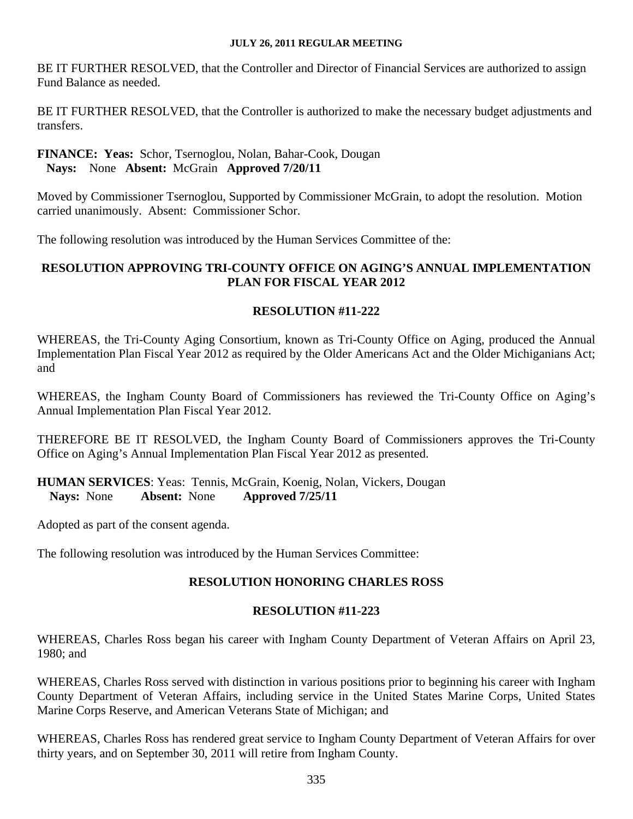BE IT FURTHER RESOLVED, that the Controller and Director of Financial Services are authorized to assign Fund Balance as needed.

BE IT FURTHER RESOLVED, that the Controller is authorized to make the necessary budget adjustments and transfers.

### **FINANCE: Yeas:** Schor, Tsernoglou, Nolan, Bahar-Cook, Dougan  **Nays:** None **Absent:** McGrain **Approved 7/20/11**

Moved by Commissioner Tsernoglou, Supported by Commissioner McGrain, to adopt the resolution. Motion carried unanimously. Absent: Commissioner Schor.

The following resolution was introduced by the Human Services Committee of the:

## **RESOLUTION APPROVING TRI-COUNTY OFFICE ON AGING'S ANNUAL IMPLEMENTATION PLAN FOR FISCAL YEAR 2012**

### **RESOLUTION #11-222**

WHEREAS, the Tri-County Aging Consortium, known as Tri-County Office on Aging, produced the Annual Implementation Plan Fiscal Year 2012 as required by the Older Americans Act and the Older Michiganians Act; and

WHEREAS, the Ingham County Board of Commissioners has reviewed the Tri-County Office on Aging's Annual Implementation Plan Fiscal Year 2012.

THEREFORE BE IT RESOLVED, the Ingham County Board of Commissioners approves the Tri-County Office on Aging's Annual Implementation Plan Fiscal Year 2012 as presented.

**HUMAN SERVICES**: Yeas: Tennis, McGrain, Koenig, Nolan, Vickers, Dougan **Nays:** None **Absent:** None **Approved 7/25/11** 

Adopted as part of the consent agenda.

The following resolution was introduced by the Human Services Committee:

## **RESOLUTION HONORING CHARLES ROSS**

### **RESOLUTION #11-223**

WHEREAS, Charles Ross began his career with Ingham County Department of Veteran Affairs on April 23, 1980; and

WHEREAS, Charles Ross served with distinction in various positions prior to beginning his career with Ingham County Department of Veteran Affairs, including service in the United States Marine Corps, United States Marine Corps Reserve, and American Veterans State of Michigan; and

WHEREAS, Charles Ross has rendered great service to Ingham County Department of Veteran Affairs for over thirty years, and on September 30, 2011 will retire from Ingham County.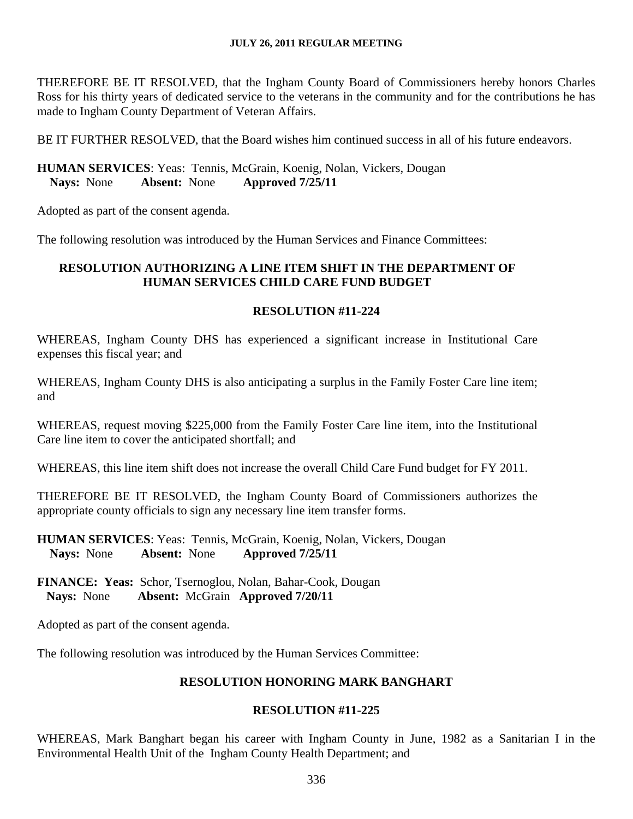THEREFORE BE IT RESOLVED, that the Ingham County Board of Commissioners hereby honors Charles Ross for his thirty years of dedicated service to the veterans in the community and for the contributions he has made to Ingham County Department of Veteran Affairs.

BE IT FURTHER RESOLVED, that the Board wishes him continued success in all of his future endeavors.

## **HUMAN SERVICES**: Yeas: Tennis, McGrain, Koenig, Nolan, Vickers, Dougan **Nays:** None **Absent:** None **Approved 7/25/11**

Adopted as part of the consent agenda.

The following resolution was introduced by the Human Services and Finance Committees:

## **RESOLUTION AUTHORIZING A LINE ITEM SHIFT IN THE DEPARTMENT OF HUMAN SERVICES CHILD CARE FUND BUDGET**

### **RESOLUTION #11-224**

WHEREAS, Ingham County DHS has experienced a significant increase in Institutional Care expenses this fiscal year; and

WHEREAS, Ingham County DHS is also anticipating a surplus in the Family Foster Care line item; and

WHEREAS, request moving \$225,000 from the Family Foster Care line item, into the Institutional Care line item to cover the anticipated shortfall; and

WHEREAS, this line item shift does not increase the overall Child Care Fund budget for FY 2011.

THEREFORE BE IT RESOLVED, the Ingham County Board of Commissioners authorizes the appropriate county officials to sign any necessary line item transfer forms.

**HUMAN SERVICES**: Yeas: Tennis, McGrain, Koenig, Nolan, Vickers, Dougan **Nays:** None **Absent:** None **Approved 7/25/11** 

**FINANCE: Yeas:** Schor, Tsernoglou, Nolan, Bahar-Cook, Dougan  **Nays:** None **Absent:** McGrain **Approved 7/20/11**

Adopted as part of the consent agenda.

The following resolution was introduced by the Human Services Committee:

## **RESOLUTION HONORING MARK BANGHART**

## **RESOLUTION #11-225**

WHEREAS, Mark Banghart began his career with Ingham County in June, 1982 as a Sanitarian I in the Environmental Health Unit of the Ingham County Health Department; and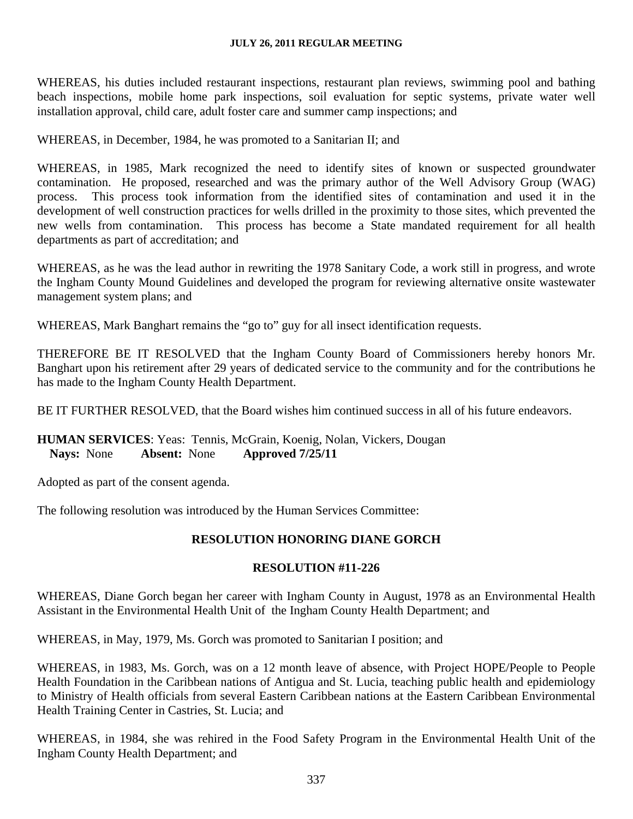WHEREAS, his duties included restaurant inspections, restaurant plan reviews, swimming pool and bathing beach inspections, mobile home park inspections, soil evaluation for septic systems, private water well installation approval, child care, adult foster care and summer camp inspections; and

WHEREAS, in December, 1984, he was promoted to a Sanitarian II; and

WHEREAS, in 1985, Mark recognized the need to identify sites of known or suspected groundwater contamination. He proposed, researched and was the primary author of the Well Advisory Group (WAG) process. This process took information from the identified sites of contamination and used it in the development of well construction practices for wells drilled in the proximity to those sites, which prevented the new wells from contamination. This process has become a State mandated requirement for all health departments as part of accreditation; and

WHEREAS, as he was the lead author in rewriting the 1978 Sanitary Code, a work still in progress, and wrote the Ingham County Mound Guidelines and developed the program for reviewing alternative onsite wastewater management system plans; and

WHEREAS, Mark Banghart remains the "go to" guy for all insect identification requests.

THEREFORE BE IT RESOLVED that the Ingham County Board of Commissioners hereby honors Mr. Banghart upon his retirement after 29 years of dedicated service to the community and for the contributions he has made to the Ingham County Health Department.

BE IT FURTHER RESOLVED, that the Board wishes him continued success in all of his future endeavors.

### **HUMAN SERVICES**: Yeas: Tennis, McGrain, Koenig, Nolan, Vickers, Dougan **Nays:** None **Absent:** None **Approved 7/25/11**

Adopted as part of the consent agenda.

The following resolution was introduced by the Human Services Committee:

### **RESOLUTION HONORING DIANE GORCH**

### **RESOLUTION #11-226**

WHEREAS, Diane Gorch began her career with Ingham County in August, 1978 as an Environmental Health Assistant in the Environmental Health Unit of the Ingham County Health Department; and

WHEREAS, in May, 1979, Ms. Gorch was promoted to Sanitarian I position; and

WHEREAS, in 1983, Ms. Gorch, was on a 12 month leave of absence, with Project HOPE/People to People Health Foundation in the Caribbean nations of Antigua and St. Lucia, teaching public health and epidemiology to Ministry of Health officials from several Eastern Caribbean nations at the Eastern Caribbean Environmental Health Training Center in Castries, St. Lucia; and

WHEREAS, in 1984, she was rehired in the Food Safety Program in the Environmental Health Unit of the Ingham County Health Department; and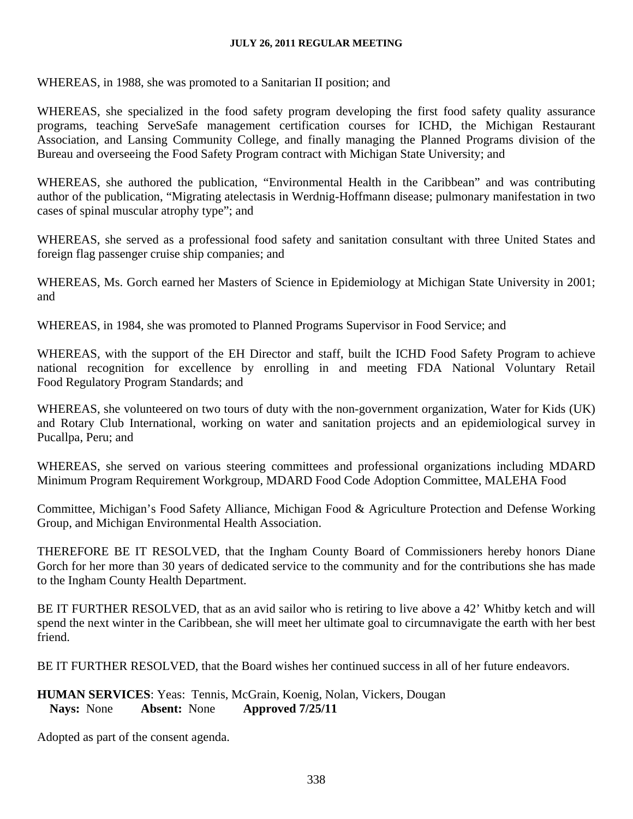WHEREAS, in 1988, she was promoted to a Sanitarian II position; and

WHEREAS, she specialized in the food safety program developing the first food safety quality assurance programs, teaching ServeSafe management certification courses for ICHD, the Michigan Restaurant Association, and Lansing Community College, and finally managing the Planned Programs division of the Bureau and overseeing the Food Safety Program contract with Michigan State University; and

WHEREAS, she authored the publication, "Environmental Health in the Caribbean" and was contributing author of the publication, "Migrating atelectasis in Werdnig-Hoffmann disease; pulmonary manifestation in two cases of spinal muscular atrophy type"; and

WHEREAS, she served as a professional food safety and sanitation consultant with three United States and foreign flag passenger cruise ship companies; and

WHEREAS, Ms. Gorch earned her Masters of Science in Epidemiology at Michigan State University in 2001; and

WHEREAS, in 1984, she was promoted to Planned Programs Supervisor in Food Service; and

WHEREAS, with the support of the EH Director and staff, built the ICHD Food Safety Program to achieve national recognition for excellence by enrolling in and meeting FDA National Voluntary Retail Food Regulatory Program Standards; and

WHEREAS, she volunteered on two tours of duty with the non-government organization, Water for Kids (UK) and Rotary Club International, working on water and sanitation projects and an epidemiological survey in Pucallpa, Peru; and

WHEREAS, she served on various steering committees and professional organizations including MDARD Minimum Program Requirement Workgroup, MDARD Food Code Adoption Committee, MALEHA Food

Committee, Michigan's Food Safety Alliance, Michigan Food & Agriculture Protection and Defense Working Group, and Michigan Environmental Health Association.

THEREFORE BE IT RESOLVED, that the Ingham County Board of Commissioners hereby honors Diane Gorch for her more than 30 years of dedicated service to the community and for the contributions she has made to the Ingham County Health Department.

BE IT FURTHER RESOLVED, that as an avid sailor who is retiring to live above a 42' Whitby ketch and will spend the next winter in the Caribbean, she will meet her ultimate goal to circumnavigate the earth with her best friend.

BE IT FURTHER RESOLVED, that the Board wishes her continued success in all of her future endeavors.

## **HUMAN SERVICES**: Yeas: Tennis, McGrain, Koenig, Nolan, Vickers, Dougan **Nays:** None **Absent:** None **Approved 7/25/11**

Adopted as part of the consent agenda.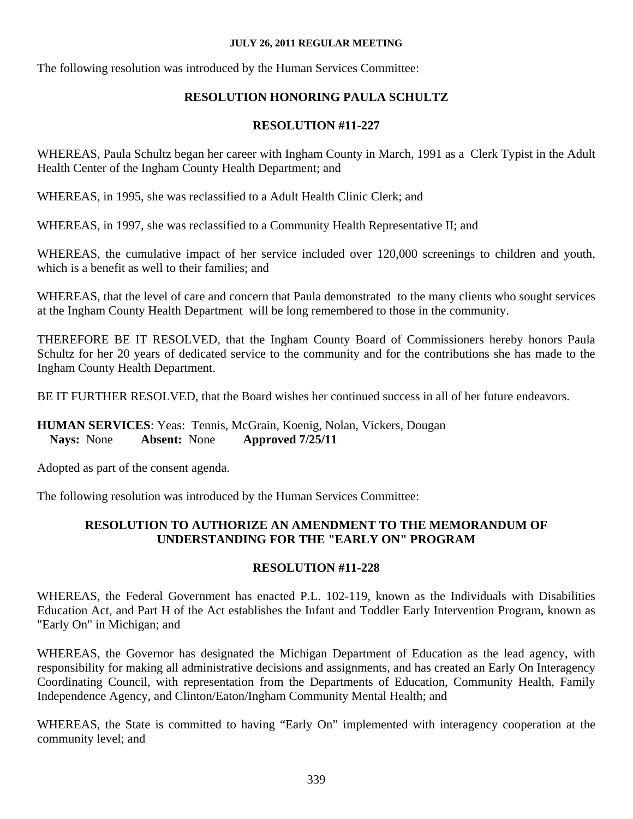The following resolution was introduced by the Human Services Committee:

# **RESOLUTION HONORING PAULA SCHULTZ**

# **RESOLUTION #11-227**

WHEREAS, Paula Schultz began her career with Ingham County in March, 1991 as a Clerk Typist in the Adult Health Center of the Ingham County Health Department; and

WHEREAS, in 1995, she was reclassified to a Adult Health Clinic Clerk; and

WHEREAS, in 1997, she was reclassified to a Community Health Representative II; and

WHEREAS, the cumulative impact of her service included over 120,000 screenings to children and youth, which is a benefit as well to their families; and

WHEREAS, that the level of care and concern that Paula demonstrated to the many clients who sought services at the Ingham County Health Department will be long remembered to those in the community.

THEREFORE BE IT RESOLVED, that the Ingham County Board of Commissioners hereby honors Paula Schultz for her 20 years of dedicated service to the community and for the contributions she has made to the Ingham County Health Department.

BE IT FURTHER RESOLVED, that the Board wishes her continued success in all of her future endeavors.

# **HUMAN SERVICES**: Yeas: Tennis, McGrain, Koenig, Nolan, Vickers, Dougan **Nays:** None **Absent:** None **Approved 7/25/11**

Adopted as part of the consent agenda.

The following resolution was introduced by the Human Services Committee:

# **RESOLUTION TO AUTHORIZE AN AMENDMENT TO THE MEMORANDUM OF UNDERSTANDING FOR THE "EARLY ON" PROGRAM**

# **RESOLUTION #11-228**

WHEREAS, the Federal Government has enacted P.L. 102-119, known as the Individuals with Disabilities Education Act, and Part H of the Act establishes the Infant and Toddler Early Intervention Program, known as "Early On" in Michigan; and

WHEREAS, the Governor has designated the Michigan Department of Education as the lead agency, with responsibility for making all administrative decisions and assignments, and has created an Early On Interagency Coordinating Council, with representation from the Departments of Education, Community Health, Family Independence Agency, and Clinton/Eaton/Ingham Community Mental Health; and

WHEREAS, the State is committed to having "Early On" implemented with interagency cooperation at the community level; and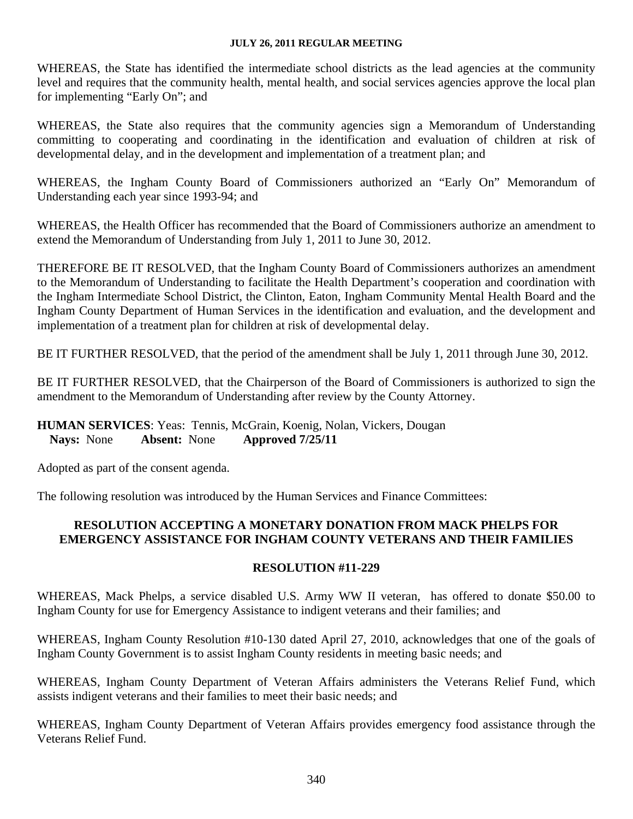WHEREAS, the State has identified the intermediate school districts as the lead agencies at the community level and requires that the community health, mental health, and social services agencies approve the local plan for implementing "Early On"; and

WHEREAS, the State also requires that the community agencies sign a Memorandum of Understanding committing to cooperating and coordinating in the identification and evaluation of children at risk of developmental delay, and in the development and implementation of a treatment plan; and

WHEREAS, the Ingham County Board of Commissioners authorized an "Early On" Memorandum of Understanding each year since 1993-94; and

WHEREAS, the Health Officer has recommended that the Board of Commissioners authorize an amendment to extend the Memorandum of Understanding from July 1, 2011 to June 30, 2012.

THEREFORE BE IT RESOLVED, that the Ingham County Board of Commissioners authorizes an amendment to the Memorandum of Understanding to facilitate the Health Department's cooperation and coordination with the Ingham Intermediate School District, the Clinton, Eaton, Ingham Community Mental Health Board and the Ingham County Department of Human Services in the identification and evaluation, and the development and implementation of a treatment plan for children at risk of developmental delay.

BE IT FURTHER RESOLVED, that the period of the amendment shall be July 1, 2011 through June 30, 2012.

BE IT FURTHER RESOLVED, that the Chairperson of the Board of Commissioners is authorized to sign the amendment to the Memorandum of Understanding after review by the County Attorney.

### **HUMAN SERVICES**: Yeas: Tennis, McGrain, Koenig, Nolan, Vickers, Dougan **Nays:** None **Absent:** None **Approved 7/25/11**

Adopted as part of the consent agenda.

The following resolution was introduced by the Human Services and Finance Committees:

## **RESOLUTION ACCEPTING A MONETARY DONATION FROM MACK PHELPS FOR EMERGENCY ASSISTANCE FOR INGHAM COUNTY VETERANS AND THEIR FAMILIES**

## **RESOLUTION #11-229**

WHEREAS, Mack Phelps, a service disabled U.S. Army WW II veteran, has offered to donate \$50.00 to Ingham County for use for Emergency Assistance to indigent veterans and their families; and

WHEREAS, Ingham County Resolution #10-130 dated April 27, 2010, acknowledges that one of the goals of Ingham County Government is to assist Ingham County residents in meeting basic needs; and

WHEREAS, Ingham County Department of Veteran Affairs administers the Veterans Relief Fund, which assists indigent veterans and their families to meet their basic needs; and

WHEREAS, Ingham County Department of Veteran Affairs provides emergency food assistance through the Veterans Relief Fund.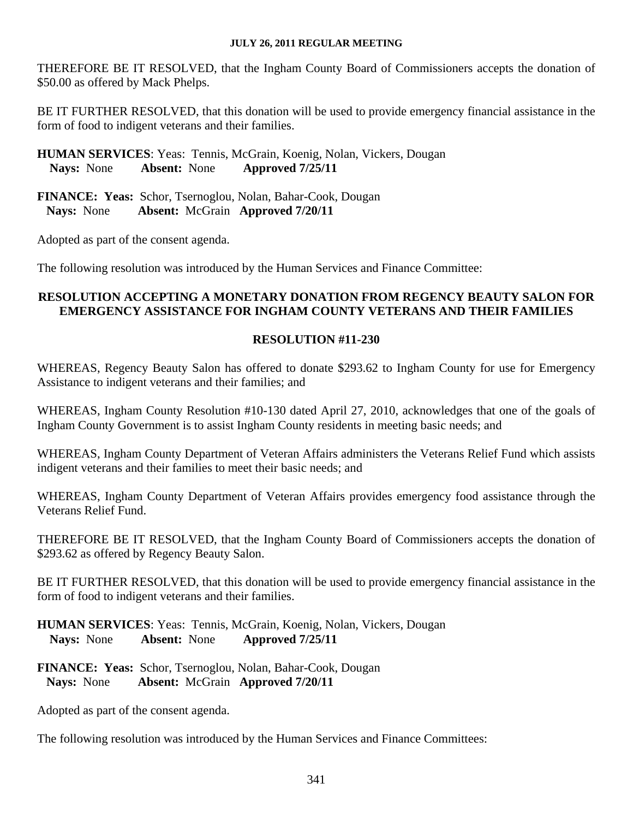THEREFORE BE IT RESOLVED, that the Ingham County Board of Commissioners accepts the donation of \$50.00 as offered by Mack Phelps.

BE IT FURTHER RESOLVED, that this donation will be used to provide emergency financial assistance in the form of food to indigent veterans and their families.

**HUMAN SERVICES**: Yeas: Tennis, McGrain, Koenig, Nolan, Vickers, Dougan **Nays:** None **Absent:** None **Approved 7/25/11** 

**FINANCE: Yeas:** Schor, Tsernoglou, Nolan, Bahar-Cook, Dougan  **Nays:** None **Absent:** McGrain **Approved 7/20/11**

Adopted as part of the consent agenda.

The following resolution was introduced by the Human Services and Finance Committee:

#### **RESOLUTION ACCEPTING A MONETARY DONATION FROM REGENCY BEAUTY SALON FOR EMERGENCY ASSISTANCE FOR INGHAM COUNTY VETERANS AND THEIR FAMILIES**

### **RESOLUTION #11-230**

WHEREAS, Regency Beauty Salon has offered to donate \$293.62 to Ingham County for use for Emergency Assistance to indigent veterans and their families; and

WHEREAS, Ingham County Resolution #10-130 dated April 27, 2010, acknowledges that one of the goals of Ingham County Government is to assist Ingham County residents in meeting basic needs; and

WHEREAS, Ingham County Department of Veteran Affairs administers the Veterans Relief Fund which assists indigent veterans and their families to meet their basic needs; and

WHEREAS, Ingham County Department of Veteran Affairs provides emergency food assistance through the Veterans Relief Fund.

THEREFORE BE IT RESOLVED, that the Ingham County Board of Commissioners accepts the donation of \$293.62 as offered by Regency Beauty Salon.

BE IT FURTHER RESOLVED, that this donation will be used to provide emergency financial assistance in the form of food to indigent veterans and their families.

**HUMAN SERVICES**: Yeas: Tennis, McGrain, Koenig, Nolan, Vickers, Dougan **Nays:** None **Absent:** None **Approved 7/25/11** 

**FINANCE: Yeas:** Schor, Tsernoglou, Nolan, Bahar-Cook, Dougan  **Nays:** None **Absent:** McGrain **Approved 7/20/11**

Adopted as part of the consent agenda.

The following resolution was introduced by the Human Services and Finance Committees: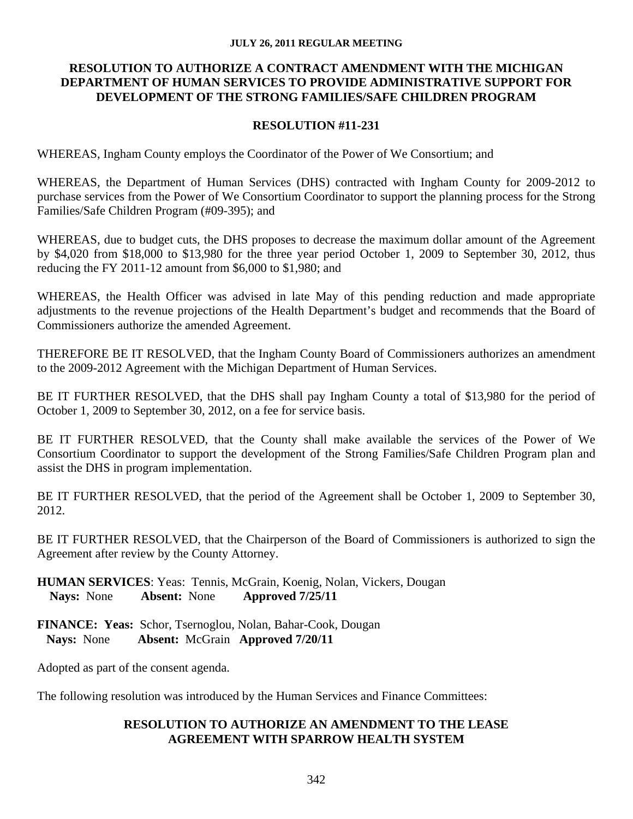### **RESOLUTION TO AUTHORIZE A CONTRACT AMENDMENT WITH THE MICHIGAN DEPARTMENT OF HUMAN SERVICES TO PROVIDE ADMINISTRATIVE SUPPORT FOR DEVELOPMENT OF THE STRONG FAMILIES/SAFE CHILDREN PROGRAM**

### **RESOLUTION #11-231**

WHEREAS, Ingham County employs the Coordinator of the Power of We Consortium; and

WHEREAS, the Department of Human Services (DHS) contracted with Ingham County for 2009-2012 to purchase services from the Power of We Consortium Coordinator to support the planning process for the Strong Families/Safe Children Program (#09-395); and

WHEREAS, due to budget cuts, the DHS proposes to decrease the maximum dollar amount of the Agreement by \$4,020 from \$18,000 to \$13,980 for the three year period October 1, 2009 to September 30, 2012, thus reducing the FY 2011-12 amount from \$6,000 to \$1,980; and

WHEREAS, the Health Officer was advised in late May of this pending reduction and made appropriate adjustments to the revenue projections of the Health Department's budget and recommends that the Board of Commissioners authorize the amended Agreement.

THEREFORE BE IT RESOLVED, that the Ingham County Board of Commissioners authorizes an amendment to the 2009-2012 Agreement with the Michigan Department of Human Services.

BE IT FURTHER RESOLVED, that the DHS shall pay Ingham County a total of \$13,980 for the period of October 1, 2009 to September 30, 2012, on a fee for service basis.

BE IT FURTHER RESOLVED, that the County shall make available the services of the Power of We Consortium Coordinator to support the development of the Strong Families/Safe Children Program plan and assist the DHS in program implementation.

BE IT FURTHER RESOLVED, that the period of the Agreement shall be October 1, 2009 to September 30, 2012.

BE IT FURTHER RESOLVED, that the Chairperson of the Board of Commissioners is authorized to sign the Agreement after review by the County Attorney.

**HUMAN SERVICES**: Yeas: Tennis, McGrain, Koenig, Nolan, Vickers, Dougan **Nays:** None **Absent:** None **Approved 7/25/11** 

**FINANCE: Yeas:** Schor, Tsernoglou, Nolan, Bahar-Cook, Dougan  **Nays:** None **Absent:** McGrain **Approved 7/20/11**

Adopted as part of the consent agenda.

The following resolution was introduced by the Human Services and Finance Committees:

### **RESOLUTION TO AUTHORIZE AN AMENDMENT TO THE LEASE AGREEMENT WITH SPARROW HEALTH SYSTEM**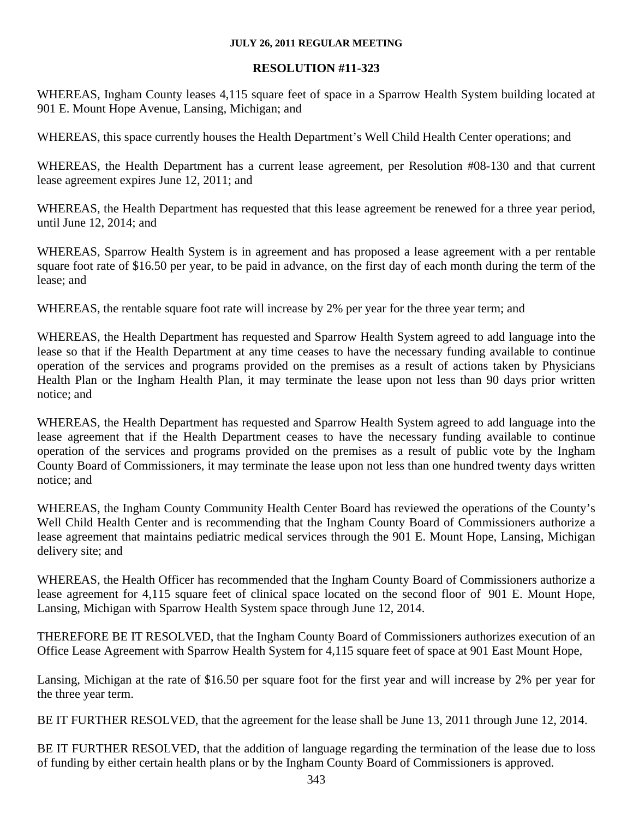### **RESOLUTION #11-323**

WHEREAS, Ingham County leases 4,115 square feet of space in a Sparrow Health System building located at 901 E. Mount Hope Avenue, Lansing, Michigan; and

WHEREAS, this space currently houses the Health Department's Well Child Health Center operations; and

WHEREAS, the Health Department has a current lease agreement, per Resolution #08-130 and that current lease agreement expires June 12, 2011; and

WHEREAS, the Health Department has requested that this lease agreement be renewed for a three year period, until June 12, 2014; and

WHEREAS, Sparrow Health System is in agreement and has proposed a lease agreement with a per rentable square foot rate of \$16.50 per year, to be paid in advance, on the first day of each month during the term of the lease; and

WHEREAS, the rentable square foot rate will increase by 2% per year for the three year term; and

WHEREAS, the Health Department has requested and Sparrow Health System agreed to add language into the lease so that if the Health Department at any time ceases to have the necessary funding available to continue operation of the services and programs provided on the premises as a result of actions taken by Physicians Health Plan or the Ingham Health Plan, it may terminate the lease upon not less than 90 days prior written notice; and

WHEREAS, the Health Department has requested and Sparrow Health System agreed to add language into the lease agreement that if the Health Department ceases to have the necessary funding available to continue operation of the services and programs provided on the premises as a result of public vote by the Ingham County Board of Commissioners, it may terminate the lease upon not less than one hundred twenty days written notice; and

WHEREAS, the Ingham County Community Health Center Board has reviewed the operations of the County's Well Child Health Center and is recommending that the Ingham County Board of Commissioners authorize a lease agreement that maintains pediatric medical services through the 901 E. Mount Hope, Lansing, Michigan delivery site; and

WHEREAS, the Health Officer has recommended that the Ingham County Board of Commissioners authorize a lease agreement for 4,115 square feet of clinical space located on the second floor of 901 E. Mount Hope, Lansing, Michigan with Sparrow Health System space through June 12, 2014.

THEREFORE BE IT RESOLVED, that the Ingham County Board of Commissioners authorizes execution of an Office Lease Agreement with Sparrow Health System for 4,115 square feet of space at 901 East Mount Hope,

Lansing, Michigan at the rate of \$16.50 per square foot for the first year and will increase by 2% per year for the three year term.

BE IT FURTHER RESOLVED, that the agreement for the lease shall be June 13, 2011 through June 12, 2014.

BE IT FURTHER RESOLVED, that the addition of language regarding the termination of the lease due to loss of funding by either certain health plans or by the Ingham County Board of Commissioners is approved.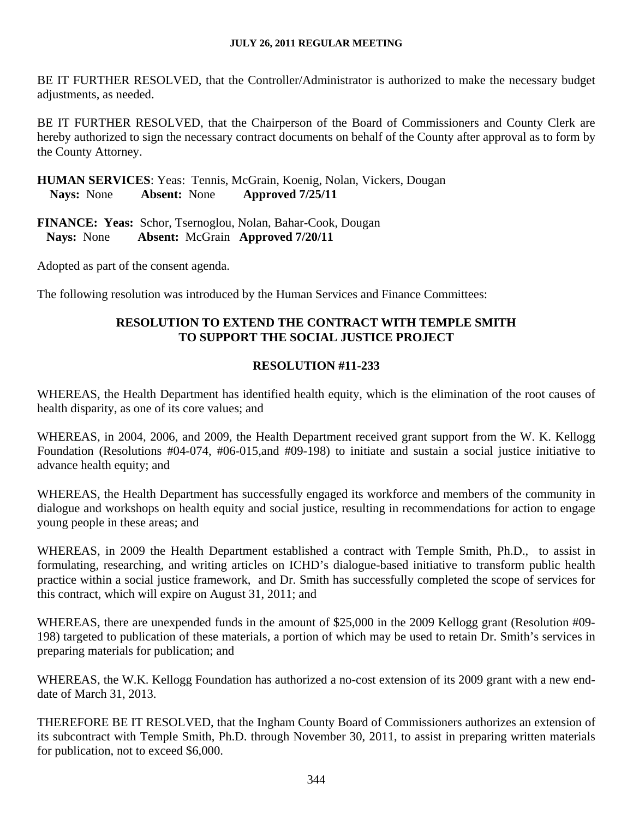BE IT FURTHER RESOLVED, that the Controller/Administrator is authorized to make the necessary budget adjustments, as needed.

BE IT FURTHER RESOLVED, that the Chairperson of the Board of Commissioners and County Clerk are hereby authorized to sign the necessary contract documents on behalf of the County after approval as to form by the County Attorney.

**HUMAN SERVICES**: Yeas: Tennis, McGrain, Koenig, Nolan, Vickers, Dougan **Nays:** None **Absent:** None **Approved 7/25/11** 

**FINANCE: Yeas:** Schor, Tsernoglou, Nolan, Bahar-Cook, Dougan  **Nays:** None **Absent:** McGrain **Approved 7/20/11**

Adopted as part of the consent agenda.

The following resolution was introduced by the Human Services and Finance Committees:

## **RESOLUTION TO EXTEND THE CONTRACT WITH TEMPLE SMITH TO SUPPORT THE SOCIAL JUSTICE PROJECT**

## **RESOLUTION #11-233**

WHEREAS, the Health Department has identified health equity, which is the elimination of the root causes of health disparity, as one of its core values; and

WHEREAS, in 2004, 2006, and 2009, the Health Department received grant support from the W. K. Kellogg Foundation (Resolutions #04-074, #06-015,and #09-198) to initiate and sustain a social justice initiative to advance health equity; and

WHEREAS, the Health Department has successfully engaged its workforce and members of the community in dialogue and workshops on health equity and social justice, resulting in recommendations for action to engage young people in these areas; and

WHEREAS, in 2009 the Health Department established a contract with Temple Smith, Ph.D., to assist in formulating, researching, and writing articles on ICHD's dialogue-based initiative to transform public health practice within a social justice framework, and Dr. Smith has successfully completed the scope of services for this contract, which will expire on August 31, 2011; and

WHEREAS, there are unexpended funds in the amount of \$25,000 in the 2009 Kellogg grant (Resolution #09- 198) targeted to publication of these materials, a portion of which may be used to retain Dr. Smith's services in preparing materials for publication; and

WHEREAS, the W.K. Kellogg Foundation has authorized a no-cost extension of its 2009 grant with a new enddate of March 31, 2013.

THEREFORE BE IT RESOLVED, that the Ingham County Board of Commissioners authorizes an extension of its subcontract with Temple Smith, Ph.D. through November 30, 2011, to assist in preparing written materials for publication, not to exceed \$6,000.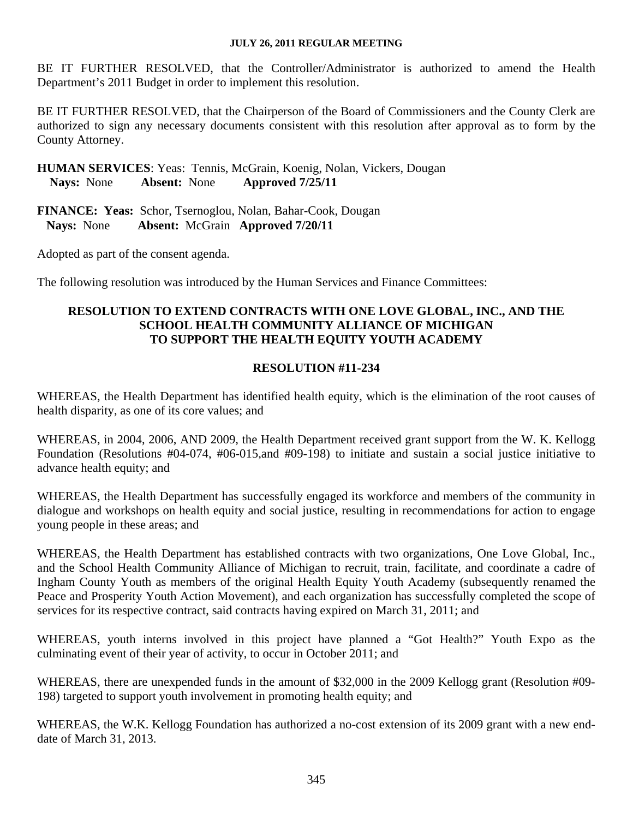BE IT FURTHER RESOLVED, that the Controller/Administrator is authorized to amend the Health Department's 2011 Budget in order to implement this resolution.

BE IT FURTHER RESOLVED, that the Chairperson of the Board of Commissioners and the County Clerk are authorized to sign any necessary documents consistent with this resolution after approval as to form by the County Attorney.

**HUMAN SERVICES**: Yeas: Tennis, McGrain, Koenig, Nolan, Vickers, Dougan **Nays:** None **Absent:** None **Approved 7/25/11** 

**FINANCE: Yeas:** Schor, Tsernoglou, Nolan, Bahar-Cook, Dougan  **Nays:** None **Absent:** McGrain **Approved 7/20/11**

Adopted as part of the consent agenda.

The following resolution was introduced by the Human Services and Finance Committees:

### **RESOLUTION TO EXTEND CONTRACTS WITH ONE LOVE GLOBAL, INC., AND THE SCHOOL HEALTH COMMUNITY ALLIANCE OF MICHIGAN TO SUPPORT THE HEALTH EQUITY YOUTH ACADEMY**

### **RESOLUTION #11-234**

WHEREAS, the Health Department has identified health equity, which is the elimination of the root causes of health disparity, as one of its core values; and

WHEREAS, in 2004, 2006, AND 2009, the Health Department received grant support from the W. K. Kellogg Foundation (Resolutions #04-074, #06-015,and #09-198) to initiate and sustain a social justice initiative to advance health equity; and

WHEREAS, the Health Department has successfully engaged its workforce and members of the community in dialogue and workshops on health equity and social justice, resulting in recommendations for action to engage young people in these areas; and

WHEREAS, the Health Department has established contracts with two organizations, One Love Global, Inc., and the School Health Community Alliance of Michigan to recruit, train, facilitate, and coordinate a cadre of Ingham County Youth as members of the original Health Equity Youth Academy (subsequently renamed the Peace and Prosperity Youth Action Movement), and each organization has successfully completed the scope of services for its respective contract, said contracts having expired on March 31, 2011; and

WHEREAS, youth interns involved in this project have planned a "Got Health?" Youth Expo as the culminating event of their year of activity, to occur in October 2011; and

WHEREAS, there are unexpended funds in the amount of \$32,000 in the 2009 Kellogg grant (Resolution #09- 198) targeted to support youth involvement in promoting health equity; and

WHEREAS, the W.K. Kellogg Foundation has authorized a no-cost extension of its 2009 grant with a new enddate of March 31, 2013.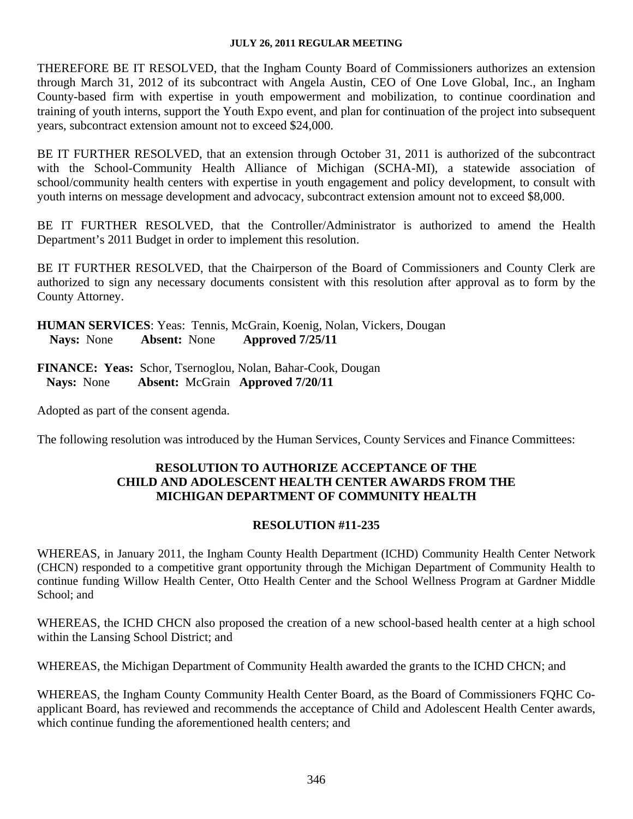THEREFORE BE IT RESOLVED, that the Ingham County Board of Commissioners authorizes an extension through March 31, 2012 of its subcontract with Angela Austin, CEO of One Love Global, Inc., an Ingham County-based firm with expertise in youth empowerment and mobilization, to continue coordination and training of youth interns, support the Youth Expo event, and plan for continuation of the project into subsequent years, subcontract extension amount not to exceed \$24,000.

BE IT FURTHER RESOLVED, that an extension through October 31, 2011 is authorized of the subcontract with the School-Community Health Alliance of Michigan (SCHA-MI), a statewide association of school/community health centers with expertise in youth engagement and policy development, to consult with youth interns on message development and advocacy, subcontract extension amount not to exceed \$8,000.

BE IT FURTHER RESOLVED, that the Controller/Administrator is authorized to amend the Health Department's 2011 Budget in order to implement this resolution.

BE IT FURTHER RESOLVED, that the Chairperson of the Board of Commissioners and County Clerk are authorized to sign any necessary documents consistent with this resolution after approval as to form by the County Attorney.

**HUMAN SERVICES**: Yeas: Tennis, McGrain, Koenig, Nolan, Vickers, Dougan **Nays:** None **Absent:** None **Approved 7/25/11** 

**FINANCE: Yeas:** Schor, Tsernoglou, Nolan, Bahar-Cook, Dougan  **Nays:** None **Absent:** McGrain **Approved 7/20/11**

Adopted as part of the consent agenda.

The following resolution was introduced by the Human Services, County Services and Finance Committees:

## **RESOLUTION TO AUTHORIZE ACCEPTANCE OF THE CHILD AND ADOLESCENT HEALTH CENTER AWARDS FROM THE MICHIGAN DEPARTMENT OF COMMUNITY HEALTH**

## **RESOLUTION #11-235**

WHEREAS, in January 2011, the Ingham County Health Department (ICHD) Community Health Center Network (CHCN) responded to a competitive grant opportunity through the Michigan Department of Community Health to continue funding Willow Health Center, Otto Health Center and the School Wellness Program at Gardner Middle School; and

WHEREAS, the ICHD CHCN also proposed the creation of a new school-based health center at a high school within the Lansing School District; and

WHEREAS, the Michigan Department of Community Health awarded the grants to the ICHD CHCN; and

WHEREAS, the Ingham County Community Health Center Board, as the Board of Commissioners FQHC Coapplicant Board, has reviewed and recommends the acceptance of Child and Adolescent Health Center awards, which continue funding the aforementioned health centers; and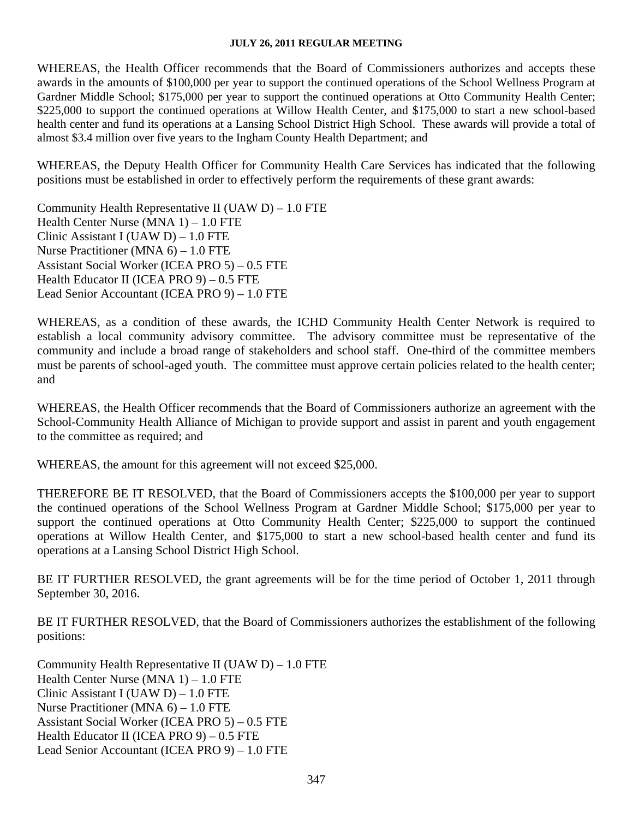WHEREAS, the Health Officer recommends that the Board of Commissioners authorizes and accepts these awards in the amounts of \$100,000 per year to support the continued operations of the School Wellness Program at Gardner Middle School; \$175,000 per year to support the continued operations at Otto Community Health Center; \$225,000 to support the continued operations at Willow Health Center, and \$175,000 to start a new school-based health center and fund its operations at a Lansing School District High School. These awards will provide a total of almost \$3.4 million over five years to the Ingham County Health Department; and

WHEREAS, the Deputy Health Officer for Community Health Care Services has indicated that the following positions must be established in order to effectively perform the requirements of these grant awards:

Community Health Representative II (UAW  $D$ ) – 1.0 FTE Health Center Nurse (MNA 1) – 1.0 FTE Clinic Assistant I (UAW D) – 1.0 FTE Nurse Practitioner (MNA 6) – 1.0 FTE Assistant Social Worker (ICEA PRO 5) – 0.5 FTE Health Educator II (ICEA PRO 9) – 0.5 FTE Lead Senior Accountant (ICEA PRO 9) – 1.0 FTE

WHEREAS, as a condition of these awards, the ICHD Community Health Center Network is required to establish a local community advisory committee. The advisory committee must be representative of the community and include a broad range of stakeholders and school staff. One-third of the committee members must be parents of school-aged youth. The committee must approve certain policies related to the health center; and

WHEREAS, the Health Officer recommends that the Board of Commissioners authorize an agreement with the School-Community Health Alliance of Michigan to provide support and assist in parent and youth engagement to the committee as required; and

WHEREAS, the amount for this agreement will not exceed \$25,000.

THEREFORE BE IT RESOLVED, that the Board of Commissioners accepts the \$100,000 per year to support the continued operations of the School Wellness Program at Gardner Middle School; \$175,000 per year to support the continued operations at Otto Community Health Center; \$225,000 to support the continued operations at Willow Health Center, and \$175,000 to start a new school-based health center and fund its operations at a Lansing School District High School.

BE IT FURTHER RESOLVED, the grant agreements will be for the time period of October 1, 2011 through September 30, 2016.

BE IT FURTHER RESOLVED, that the Board of Commissioners authorizes the establishment of the following positions:

Community Health Representative II (UAW D) – 1.0 FTE Health Center Nurse (MNA 1) – 1.0 FTE Clinic Assistant I (UAW D) – 1.0 FTE Nurse Practitioner (MNA 6) – 1.0 FTE Assistant Social Worker (ICEA PRO 5) – 0.5 FTE Health Educator II (ICEA PRO 9) – 0.5 FTE Lead Senior Accountant (ICEA PRO 9) – 1.0 FTE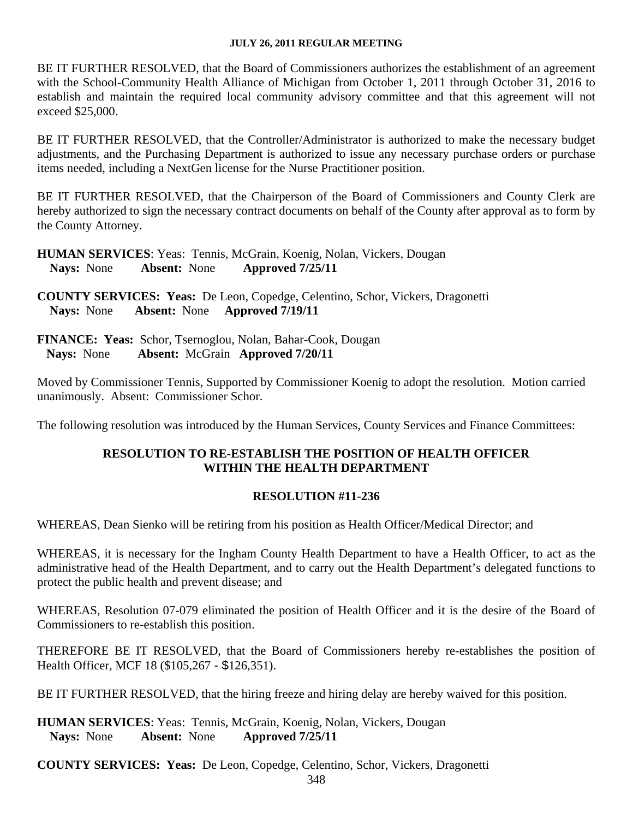BE IT FURTHER RESOLVED, that the Board of Commissioners authorizes the establishment of an agreement with the School-Community Health Alliance of Michigan from October 1, 2011 through October 31, 2016 to establish and maintain the required local community advisory committee and that this agreement will not exceed \$25,000.

BE IT FURTHER RESOLVED, that the Controller/Administrator is authorized to make the necessary budget adjustments, and the Purchasing Department is authorized to issue any necessary purchase orders or purchase items needed, including a NextGen license for the Nurse Practitioner position.

BE IT FURTHER RESOLVED, that the Chairperson of the Board of Commissioners and County Clerk are hereby authorized to sign the necessary contract documents on behalf of the County after approval as to form by the County Attorney.

**HUMAN SERVICES**: Yeas: Tennis, McGrain, Koenig, Nolan, Vickers, Dougan **Nays:** None **Absent:** None **Approved 7/25/11** 

**COUNTY SERVICES: Yeas:** De Leon, Copedge, Celentino, Schor, Vickers, Dragonetti  **Nays:** None **Absent:** None **Approved 7/19/11** 

**FINANCE: Yeas:** Schor, Tsernoglou, Nolan, Bahar-Cook, Dougan Nays: None Absent: McGrain Approved 7/20/11  **Absent:** McGrain **Approved** 7/20/11

Moved by Commissioner Tennis, Supported by Commissioner Koenig to adopt the resolution. Motion carried unanimously. Absent: Commissioner Schor.

The following resolution was introduced by the Human Services, County Services and Finance Committees:

### **RESOLUTION TO RE-ESTABLISH THE POSITION OF HEALTH OFFICER WITHIN THE HEALTH DEPARTMENT**

### **RESOLUTION #11-236**

WHEREAS, Dean Sienko will be retiring from his position as Health Officer/Medical Director; and

WHEREAS, it is necessary for the Ingham County Health Department to have a Health Officer, to act as the administrative head of the Health Department, and to carry out the Health Department's delegated functions to protect the public health and prevent disease; and

WHEREAS, Resolution 07-079 eliminated the position of Health Officer and it is the desire of the Board of Commissioners to re-establish this position.

THEREFORE BE IT RESOLVED, that the Board of Commissioners hereby re-establishes the position of Health Officer, MCF 18 (\$105,267 - \$126,351).

BE IT FURTHER RESOLVED, that the hiring freeze and hiring delay are hereby waived for this position.

**HUMAN SERVICES**: Yeas: Tennis, McGrain, Koenig, Nolan, Vickers, Dougan **Nays:** None **Absent:** None **Approved 7/25/11** 

**COUNTY SERVICES: Yeas:** De Leon, Copedge, Celentino, Schor, Vickers, Dragonetti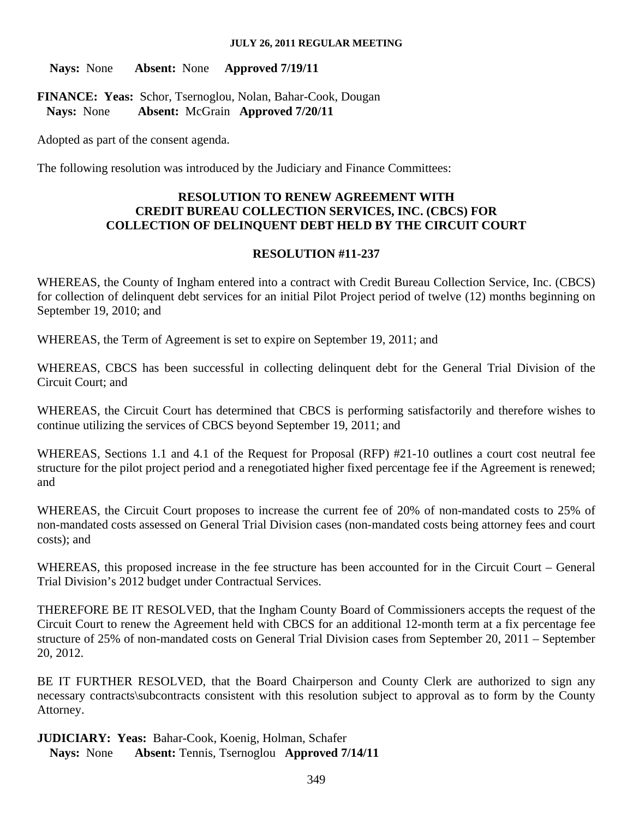**Nays:** None **Absent:** None **Approved 7/19/11** 

**FINANCE: Yeas:** Schor, Tsernoglou, Nolan, Bahar-Cook, Dougan  **Nays:** None **Absent:** McGrain **Approved 7/20/11**

Adopted as part of the consent agenda.

The following resolution was introduced by the Judiciary and Finance Committees:

### **RESOLUTION TO RENEW AGREEMENT WITH CREDIT BUREAU COLLECTION SERVICES, INC. (CBCS) FOR COLLECTION OF DELINQUENT DEBT HELD BY THE CIRCUIT COURT**

#### **RESOLUTION #11-237**

WHEREAS, the County of Ingham entered into a contract with Credit Bureau Collection Service, Inc. (CBCS) for collection of delinquent debt services for an initial Pilot Project period of twelve (12) months beginning on September 19, 2010; and

WHEREAS, the Term of Agreement is set to expire on September 19, 2011; and

WHEREAS, CBCS has been successful in collecting delinquent debt for the General Trial Division of the Circuit Court; and

WHEREAS, the Circuit Court has determined that CBCS is performing satisfactorily and therefore wishes to continue utilizing the services of CBCS beyond September 19, 2011; and

WHEREAS, Sections 1.1 and 4.1 of the Request for Proposal (RFP) #21-10 outlines a court cost neutral fee structure for the pilot project period and a renegotiated higher fixed percentage fee if the Agreement is renewed; and

WHEREAS, the Circuit Court proposes to increase the current fee of 20% of non-mandated costs to 25% of non-mandated costs assessed on General Trial Division cases (non-mandated costs being attorney fees and court costs); and

WHEREAS, this proposed increase in the fee structure has been accounted for in the Circuit Court – General Trial Division's 2012 budget under Contractual Services.

THEREFORE BE IT RESOLVED, that the Ingham County Board of Commissioners accepts the request of the Circuit Court to renew the Agreement held with CBCS for an additional 12-month term at a fix percentage fee structure of 25% of non-mandated costs on General Trial Division cases from September 20, 2011 – September 20, 2012.

BE IT FURTHER RESOLVED, that the Board Chairperson and County Clerk are authorized to sign any necessary contracts\subcontracts consistent with this resolution subject to approval as to form by the County Attorney.

**JUDICIARY: Yeas:** Bahar-Cook, Koenig, Holman, Schafer  **Nays:** None **Absent:** Tennis, Tsernoglou **Approved 7/14/11**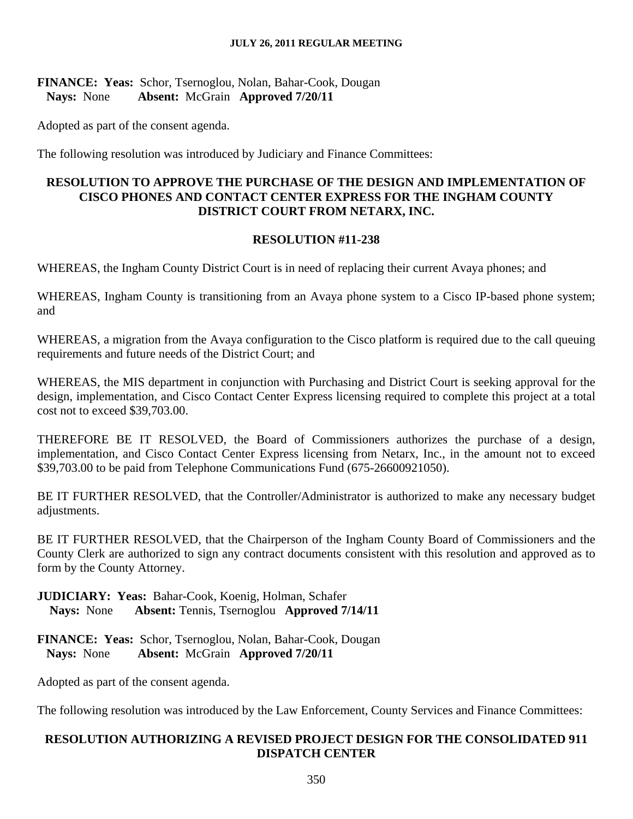## **FINANCE: Yeas:** Schor, Tsernoglou, Nolan, Bahar-Cook, Dougan  **Nays:** None **Absent:** McGrain **Approved 7/20/11**

Adopted as part of the consent agenda.

The following resolution was introduced by Judiciary and Finance Committees:

## **RESOLUTION TO APPROVE THE PURCHASE OF THE DESIGN AND IMPLEMENTATION OF CISCO PHONES AND CONTACT CENTER EXPRESS FOR THE INGHAM COUNTY DISTRICT COURT FROM NETARX, INC.**

# **RESOLUTION #11-238**

WHEREAS, the Ingham County District Court is in need of replacing their current Avaya phones; and

WHEREAS, Ingham County is transitioning from an Avaya phone system to a Cisco IP-based phone system; and

WHEREAS, a migration from the Avaya configuration to the Cisco platform is required due to the call queuing requirements and future needs of the District Court; and

WHEREAS, the MIS department in conjunction with Purchasing and District Court is seeking approval for the design, implementation, and Cisco Contact Center Express licensing required to complete this project at a total cost not to exceed \$39,703.00.

THEREFORE BE IT RESOLVED, the Board of Commissioners authorizes the purchase of a design, implementation, and Cisco Contact Center Express licensing from Netarx, Inc., in the amount not to exceed \$39,703.00 to be paid from Telephone Communications Fund (675-26600921050).

BE IT FURTHER RESOLVED, that the Controller/Administrator is authorized to make any necessary budget adjustments.

BE IT FURTHER RESOLVED, that the Chairperson of the Ingham County Board of Commissioners and the County Clerk are authorized to sign any contract documents consistent with this resolution and approved as to form by the County Attorney.

**JUDICIARY: Yeas:** Bahar-Cook, Koenig, Holman, Schafer  **Nays:** None **Absent:** Tennis, Tsernoglou **Approved 7/14/11** 

**FINANCE: Yeas:** Schor, Tsernoglou, Nolan, Bahar-Cook, Dougan  **Nays:** None **Absent:** McGrain **Approved 7/20/11**

Adopted as part of the consent agenda.

The following resolution was introduced by the Law Enforcement, County Services and Finance Committees:

# **RESOLUTION AUTHORIZING A REVISED PROJECT DESIGN FOR THE CONSOLIDATED 911 DISPATCH CENTER**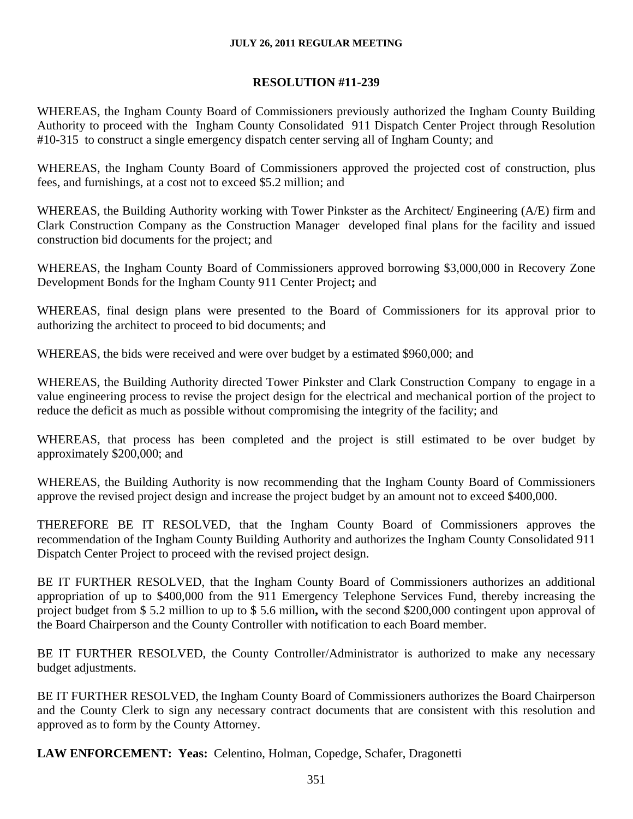### **RESOLUTION #11-239**

WHEREAS, the Ingham County Board of Commissioners previously authorized the Ingham County Building Authority to proceed with the Ingham County Consolidated 911 Dispatch Center Project through Resolution #10-315 to construct a single emergency dispatch center serving all of Ingham County; and

WHEREAS, the Ingham County Board of Commissioners approved the projected cost of construction, plus fees, and furnishings, at a cost not to exceed \$5.2 million; and

WHEREAS, the Building Authority working with Tower Pinkster as the Architect/ Engineering (A/E) firm and Clark Construction Company as the Construction Manager developed final plans for the facility and issued construction bid documents for the project; and

WHEREAS, the Ingham County Board of Commissioners approved borrowing \$3,000,000 in Recovery Zone Development Bonds for the Ingham County 911 Center Project**;** and

WHEREAS, final design plans were presented to the Board of Commissioners for its approval prior to authorizing the architect to proceed to bid documents; and

WHEREAS, the bids were received and were over budget by a estimated \$960,000; and

WHEREAS, the Building Authority directed Tower Pinkster and Clark Construction Company to engage in a value engineering process to revise the project design for the electrical and mechanical portion of the project to reduce the deficit as much as possible without compromising the integrity of the facility; and

WHEREAS, that process has been completed and the project is still estimated to be over budget by approximately \$200,000; and

WHEREAS, the Building Authority is now recommending that the Ingham County Board of Commissioners approve the revised project design and increase the project budget by an amount not to exceed \$400,000.

THEREFORE BE IT RESOLVED, that the Ingham County Board of Commissioners approves the recommendation of the Ingham County Building Authority and authorizes the Ingham County Consolidated 911 Dispatch Center Project to proceed with the revised project design.

BE IT FURTHER RESOLVED, that the Ingham County Board of Commissioners authorizes an additional appropriation of up to \$400,000 from the 911 Emergency Telephone Services Fund, thereby increasing the project budget from \$ 5.2 million to up to \$ 5.6 million**,** with the second \$200,000 contingent upon approval of the Board Chairperson and the County Controller with notification to each Board member.

BE IT FURTHER RESOLVED, the County Controller/Administrator is authorized to make any necessary budget adjustments.

BE IT FURTHER RESOLVED, the Ingham County Board of Commissioners authorizes the Board Chairperson and the County Clerk to sign any necessary contract documents that are consistent with this resolution and approved as to form by the County Attorney.

**LAW ENFORCEMENT: Yeas:** Celentino, Holman, Copedge, Schafer, Dragonetti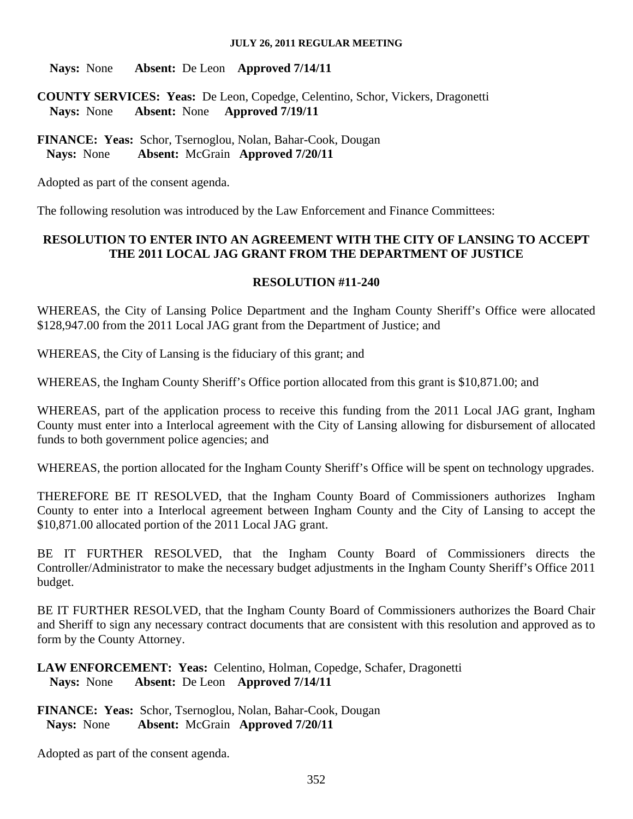**Nays:** None **Absent:** De Leon **Approved 7/14/11** 

**COUNTY SERVICES: Yeas:** De Leon, Copedge, Celentino, Schor, Vickers, Dragonetti  **Nays:** None **Absent:** None **Approved 7/19/11** 

**FINANCE: Yeas:** Schor, Tsernoglou, Nolan, Bahar-Cook, Dougan  **Nays:** None **Absent:** McGrain **Approved 7/20/11**

Adopted as part of the consent agenda.

The following resolution was introduced by the Law Enforcement and Finance Committees:

# **RESOLUTION TO ENTER INTO AN AGREEMENT WITH THE CITY OF LANSING TO ACCEPT THE 2011 LOCAL JAG GRANT FROM THE DEPARTMENT OF JUSTICE**

# **RESOLUTION #11-240**

WHEREAS, the City of Lansing Police Department and the Ingham County Sheriff's Office were allocated \$128,947.00 from the 2011 Local JAG grant from the Department of Justice; and

WHEREAS, the City of Lansing is the fiduciary of this grant; and

WHEREAS, the Ingham County Sheriff's Office portion allocated from this grant is \$10,871.00; and

WHEREAS, part of the application process to receive this funding from the 2011 Local JAG grant, Ingham County must enter into a Interlocal agreement with the City of Lansing allowing for disbursement of allocated funds to both government police agencies; and

WHEREAS, the portion allocated for the Ingham County Sheriff's Office will be spent on technology upgrades.

THEREFORE BE IT RESOLVED, that the Ingham County Board of Commissioners authorizes Ingham County to enter into a Interlocal agreement between Ingham County and the City of Lansing to accept the \$10,871.00 allocated portion of the 2011 Local JAG grant.

BE IT FURTHER RESOLVED, that the Ingham County Board of Commissioners directs the Controller/Administrator to make the necessary budget adjustments in the Ingham County Sheriff's Office 2011 budget.

BE IT FURTHER RESOLVED, that the Ingham County Board of Commissioners authorizes the Board Chair and Sheriff to sign any necessary contract documents that are consistent with this resolution and approved as to form by the County Attorney.

**LAW ENFORCEMENT: Yeas:** Celentino, Holman, Copedge, Schafer, Dragonetti  **Nays:** None **Absent:** De Leon **Approved 7/14/11** 

**FINANCE: Yeas:** Schor, Tsernoglou, Nolan, Bahar-Cook, Dougan  **Nays:** None **Absent:** McGrain **Approved 7/20/11**

Adopted as part of the consent agenda.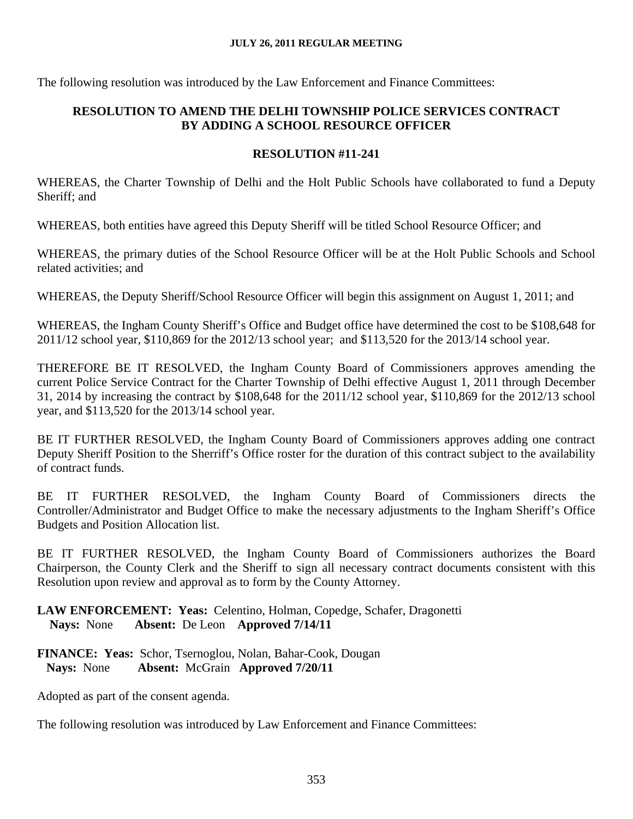The following resolution was introduced by the Law Enforcement and Finance Committees:

# **RESOLUTION TO AMEND THE DELHI TOWNSHIP POLICE SERVICES CONTRACT BY ADDING A SCHOOL RESOURCE OFFICER**

# **RESOLUTION #11-241**

WHEREAS, the Charter Township of Delhi and the Holt Public Schools have collaborated to fund a Deputy Sheriff; and

WHEREAS, both entities have agreed this Deputy Sheriff will be titled School Resource Officer; and

WHEREAS, the primary duties of the School Resource Officer will be at the Holt Public Schools and School related activities; and

WHEREAS, the Deputy Sheriff/School Resource Officer will begin this assignment on August 1, 2011; and

WHEREAS, the Ingham County Sheriff's Office and Budget office have determined the cost to be \$108,648 for 2011/12 school year, \$110,869 for the 2012/13 school year; and \$113,520 for the 2013/14 school year.

THEREFORE BE IT RESOLVED, the Ingham County Board of Commissioners approves amending the current Police Service Contract for the Charter Township of Delhi effective August 1, 2011 through December 31, 2014 by increasing the contract by \$108,648 for the 2011/12 school year, \$110,869 for the 2012/13 school year, and \$113,520 for the 2013/14 school year.

BE IT FURTHER RESOLVED, the Ingham County Board of Commissioners approves adding one contract Deputy Sheriff Position to the Sherriff's Office roster for the duration of this contract subject to the availability of contract funds.

BE IT FURTHER RESOLVED, the Ingham County Board of Commissioners directs the Controller/Administrator and Budget Office to make the necessary adjustments to the Ingham Sheriff's Office Budgets and Position Allocation list.

BE IT FURTHER RESOLVED, the Ingham County Board of Commissioners authorizes the Board Chairperson, the County Clerk and the Sheriff to sign all necessary contract documents consistent with this Resolution upon review and approval as to form by the County Attorney.

**LAW ENFORCEMENT: Yeas:** Celentino, Holman, Copedge, Schafer, Dragonetti  **Nays:** None **Absent:** De Leon **Approved 7/14/11** 

## **FINANCE: Yeas:** Schor, Tsernoglou, Nolan, Bahar-Cook, Dougan  **Nays:** None **Absent:** McGrain **Approved 7/20/11**

Adopted as part of the consent agenda.

The following resolution was introduced by Law Enforcement and Finance Committees: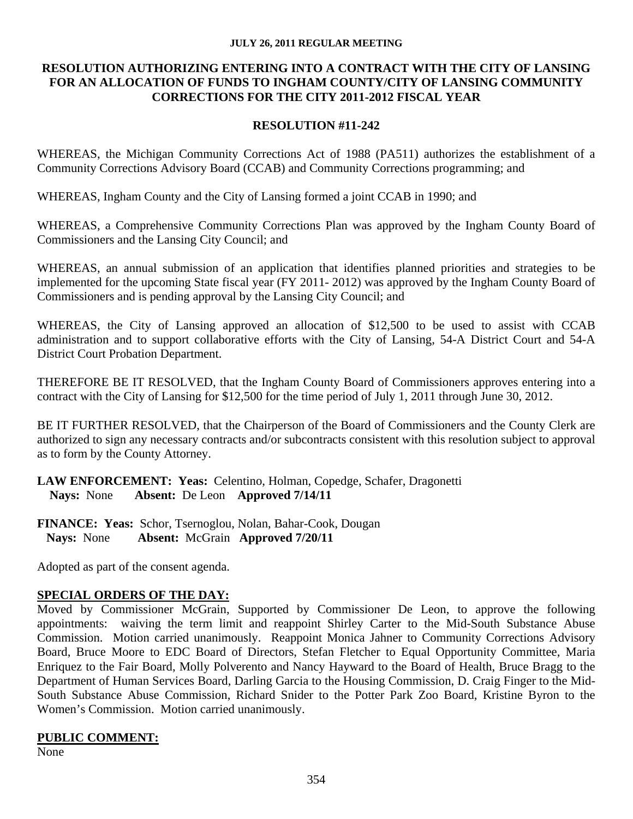#### **JULY 26, 2011 REGULAR MEETING**

#### **RESOLUTION AUTHORIZING ENTERING INTO A CONTRACT WITH THE CITY OF LANSING FOR AN ALLOCATION OF FUNDS TO INGHAM COUNTY/CITY OF LANSING COMMUNITY CORRECTIONS FOR THE CITY 2011-2012 FISCAL YEAR**

### **RESOLUTION #11-242**

WHEREAS, the Michigan Community Corrections Act of 1988 (PA511) authorizes the establishment of a Community Corrections Advisory Board (CCAB) and Community Corrections programming; and

WHEREAS, Ingham County and the City of Lansing formed a joint CCAB in 1990; and

WHEREAS, a Comprehensive Community Corrections Plan was approved by the Ingham County Board of Commissioners and the Lansing City Council; and

WHEREAS, an annual submission of an application that identifies planned priorities and strategies to be implemented for the upcoming State fiscal year (FY 2011- 2012) was approved by the Ingham County Board of Commissioners and is pending approval by the Lansing City Council; and

WHEREAS, the City of Lansing approved an allocation of \$12,500 to be used to assist with CCAB administration and to support collaborative efforts with the City of Lansing, 54-A District Court and 54-A District Court Probation Department.

THEREFORE BE IT RESOLVED, that the Ingham County Board of Commissioners approves entering into a contract with the City of Lansing for \$12,500 for the time period of July 1, 2011 through June 30, 2012.

BE IT FURTHER RESOLVED, that the Chairperson of the Board of Commissioners and the County Clerk are authorized to sign any necessary contracts and/or subcontracts consistent with this resolution subject to approval as to form by the County Attorney.

**LAW ENFORCEMENT: Yeas:** Celentino, Holman, Copedge, Schafer, Dragonetti  **Nays:** None **Absent:** De Leon **Approved 7/14/11** 

**FINANCE: Yeas:** Schor, Tsernoglou, Nolan, Bahar-Cook, Dougan  **Nays:** None **Absent:** McGrain **Approved 7/20/11**

Adopted as part of the consent agenda.

# **SPECIAL ORDERS OF THE DAY:**

Moved by Commissioner McGrain, Supported by Commissioner De Leon, to approve the following appointments: waiving the term limit and reappoint Shirley Carter to the Mid-South Substance Abuse Commission. Motion carried unanimously. Reappoint Monica Jahner to Community Corrections Advisory Board, Bruce Moore to EDC Board of Directors, Stefan Fletcher to Equal Opportunity Committee, Maria Enriquez to the Fair Board, Molly Polverento and Nancy Hayward to the Board of Health, Bruce Bragg to the Department of Human Services Board, Darling Garcia to the Housing Commission, D. Craig Finger to the Mid-South Substance Abuse Commission, Richard Snider to the Potter Park Zoo Board, Kristine Byron to the Women's Commission. Motion carried unanimously.

# **PUBLIC COMMENT:**

None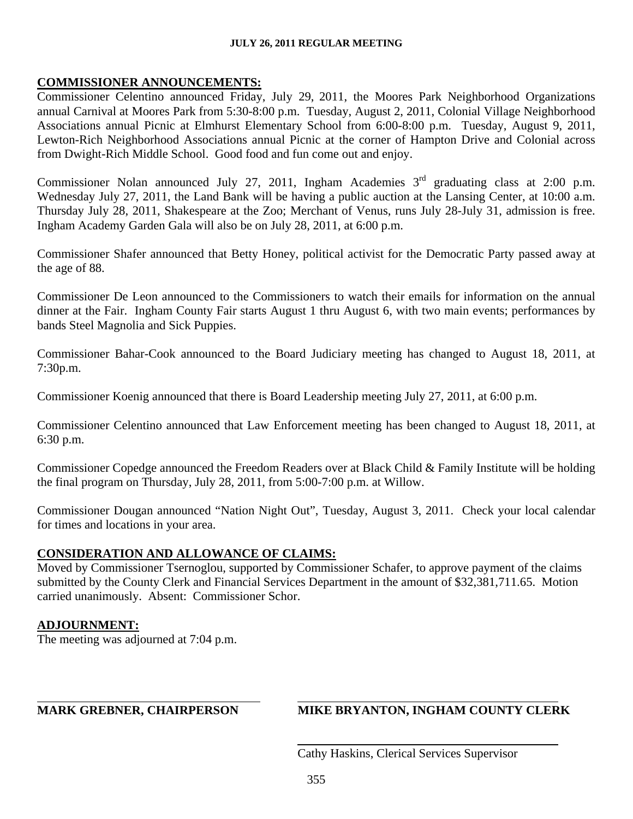#### **JULY 26, 2011 REGULAR MEETING**

#### **COMMISSIONER ANNOUNCEMENTS:**

Commissioner Celentino announced Friday, July 29, 2011, the Moores Park Neighborhood Organizations annual Carnival at Moores Park from 5:30-8:00 p.m. Tuesday, August 2, 2011, Colonial Village Neighborhood Associations annual Picnic at Elmhurst Elementary School from 6:00-8:00 p.m. Tuesday, August 9, 2011, Lewton-Rich Neighborhood Associations annual Picnic at the corner of Hampton Drive and Colonial across from Dwight-Rich Middle School. Good food and fun come out and enjoy.

Commissioner Nolan announced July 27, 2011, Ingham Academies 3<sup>rd</sup> graduating class at 2:00 p.m. Wednesday July 27, 2011, the Land Bank will be having a public auction at the Lansing Center, at 10:00 a.m. Thursday July 28, 2011, Shakespeare at the Zoo; Merchant of Venus, runs July 28-July 31, admission is free. Ingham Academy Garden Gala will also be on July 28, 2011, at 6:00 p.m.

Commissioner Shafer announced that Betty Honey, political activist for the Democratic Party passed away at the age of 88.

Commissioner De Leon announced to the Commissioners to watch their emails for information on the annual dinner at the Fair. Ingham County Fair starts August 1 thru August 6, with two main events; performances by bands Steel Magnolia and Sick Puppies.

Commissioner Bahar-Cook announced to the Board Judiciary meeting has changed to August 18, 2011, at 7:30p.m.

Commissioner Koenig announced that there is Board Leadership meeting July 27, 2011, at 6:00 p.m.

Commissioner Celentino announced that Law Enforcement meeting has been changed to August 18, 2011, at 6:30 p.m.

Commissioner Copedge announced the Freedom Readers over at Black Child & Family Institute will be holding the final program on Thursday, July 28, 2011, from 5:00-7:00 p.m. at Willow.

Commissioner Dougan announced "Nation Night Out", Tuesday, August 3, 2011. Check your local calendar for times and locations in your area.

# **CONSIDERATION AND ALLOWANCE OF CLAIMS:**

Moved by Commissioner Tsernoglou, supported by Commissioner Schafer, to approve payment of the claims submitted by the County Clerk and Financial Services Department in the amount of \$32,381,711.65. Motion carried unanimously. Absent: Commissioner Schor.

# **ADJOURNMENT:**

 $\overline{a}$ 

The meeting was adjourned at 7:04 p.m.

# **MARK GREBNER, CHAIRPERSON MIKE BRYANTON, INGHAM COUNTY CLERK**

Cathy Haskins, Clerical Services Supervisor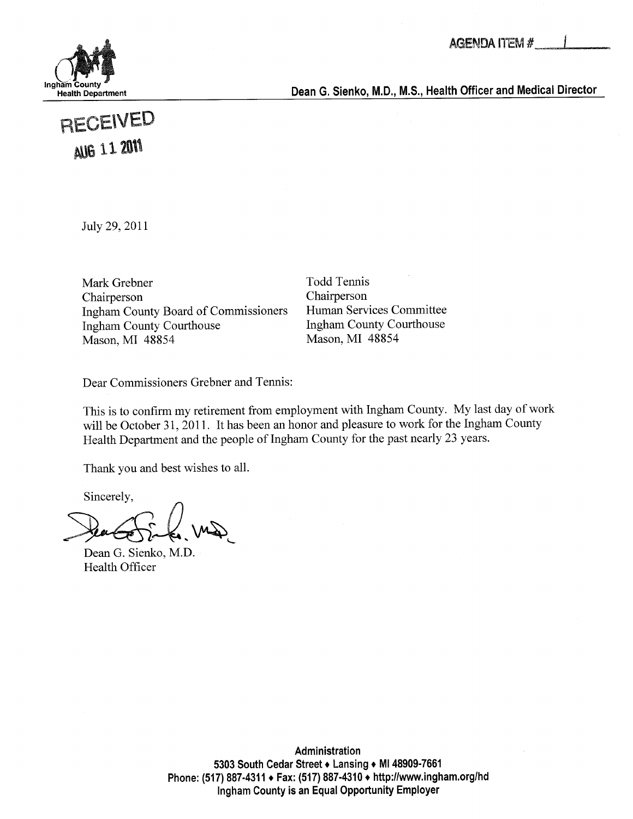

Health Department **Example 2.1 The Struth Dean G. Sienko, M.D., M.S., Health Officer and Medical Director** 

# RECEIVED **AUG 11 2011**

July 29, 2011

Mark Grebner Todd Tennis Chairperson Chairperson Ingham County Board of Commissioners Human Services Committee Ingham County Courthouse Ingham County Courthouse Mason, MI 48854 Mason, MI 48854

Dear Commissioners Grebner and Tennis:

This is to confirm my retirement from employment with Ingham County. My last day of work will be October 31,2011. It has been an honor and pleasure to work for the Ingham County Health Department and the people of Ingham County for the past nearly 23 years.

Thank you and best wishes to all.

Sincerely,

Dean G. Sienko, M.D. Health Officer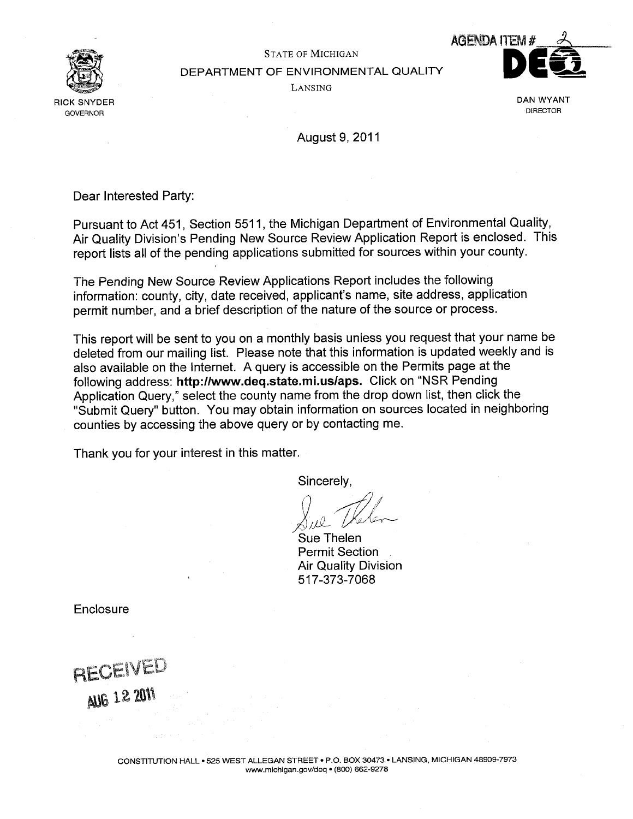

# STATE OF MICHIGAN DEPARTMENT OF ENVIRONMENTAL QUALITY Lansing



August 9, 2011

Dear Interested Party:

Pursuant to Act 451, Section 5511, the Michigan Department of Environmental Quality, Air Quality Division's Pending New Source Review Application Report is enclosed. This report lists all of the pending applications submitted for sources within your county.

The Pending New Source Review Applications Report includes the following information: county, city, date received, applicant's name, site address, application permit number, and a brief description of the nature of the source or process.

This report will be sent to you on a monthly basis unless you request that your name be deleted from our mailing list. Please note that this information is updated weekly and is also available on the Internet. A query is accessible on the Permits page at the following address: http://www.deq.state.mi.us/aps. Click on "NSR Pending Application Query," select the county name from the drop down list, then click the "Submit Query" button. You may obtain information on sources located in neighboring counties by accessing the above query or by contacting me.

Thank you for your interest in this matter.

Sincerely,

Sue Thelen Permit Section Air Quality Division 517-373-7068

**Enclosure** 

RECEIVED **AUG 12 2011**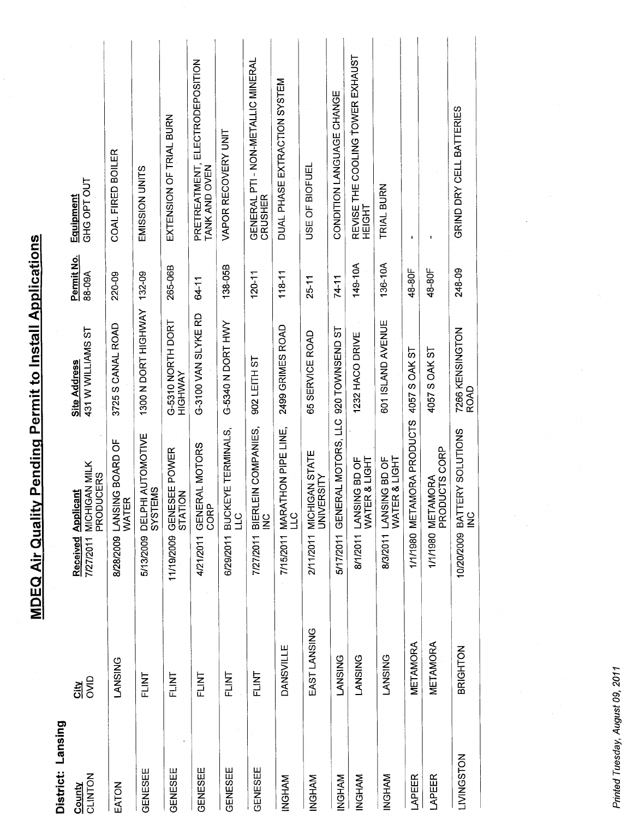**MDEQ Air Quality Pending Permit to Install Applications** 

| USE OF BIOFUEL<br>EMISSION UNITS<br>GHG OPT OUT<br>TRIAL BURN<br>CRUSHER<br>HEIGHT<br>ı<br>149-10A<br>136-10A<br>138-05B<br>265-06B<br>248-09<br>48-80F<br>48-80F<br>$118 - 11$<br>88-09A<br>1300 N DORT HIGHWAY 132-09<br>$120 - 11$<br>220-09<br>$25 - 11$<br>$74 - 11$<br>64-11<br>G-3100 VAN SLYKE RD<br>601 ISLAND AVENUE<br>G-5310 NORTH DORT<br>G-5340 N DORT HWY<br>3725 S CANAL ROAD<br>2499 GRIMES ROAD<br>431 W WILLIAMS ST<br>5/17/2011 GENERAL MOTORS, LLC 920 TOWNSEND ST<br>7266 KENSINGTON<br>65 SERVICE ROAD<br>1232 HACO DRIVE<br>4057 S OAK ST<br>4057 S OAK ST<br>902 LEITH ST<br><b>HIGHWAY</b><br><b>ROAD</b><br>1/1/1980 METAMORA PRODUCTS<br>BIERLEIN COMPANIES,<br>6/29/2011 BUCKEYE TERMINALS,<br>7/15/2011 MARATHON PIPE LINE,<br>LLC<br>ERY SOLUTIONS<br>5/13/2009 DELPHI AUTOMOTIVE<br>LANSING BOARD OF<br>WATER<br>4/21/2011 GENERAL MOTORS<br>PRODUCTS CORP<br>11/19/2009 GENESEE POWER<br>2/11/2011 MICHIGAN STATE<br>WATER & LIGHT<br><b>MATER &amp; LIGHT</b><br>8/1/2011 LANSING BD OF<br>8/3/2011 LANSING BD OF<br>MICHIGAN MILK<br>PRODUCERS<br><b>UNIVERSITY</b><br>1/1/1980 METAMORA<br>SYSTEMS<br><b>Received Applicant</b><br>STATION<br>CORP<br>8/28/2009 LANSII<br>10/20/2009 BATT<br>)<br>그<br>$rac{c}{\leq}$<br>$rac{c}{\leq}$<br>7/27/2011<br>7/27/2011<br>EAST LANSING<br>METAMORA<br>METAMORA<br>DANSVILLE<br>BRIGHTON<br><b>LANSING</b><br><b>LANSING</b><br><b>LANSING</b><br><b>LANSING</b><br>FLINT<br>FLINT<br>FLINT<br>FLINT<br>FLINT<br>OVID<br>쥌<br><b>LIVINGSTON</b><br>GENESEE<br>GENESEE<br>GENESEE<br>GENESEE<br>GENESEE<br>CLINTON<br>LAPEER<br>LAPEER<br><b>INGHAM</b><br>INGHAM<br><b>INGHAM</b><br><b>INGHAM</b><br>MAHOMI<br>EATON<br>County | District: Lansing |  |              |            |                                                  |
|---------------------------------------------------------------------------------------------------------------------------------------------------------------------------------------------------------------------------------------------------------------------------------------------------------------------------------------------------------------------------------------------------------------------------------------------------------------------------------------------------------------------------------------------------------------------------------------------------------------------------------------------------------------------------------------------------------------------------------------------------------------------------------------------------------------------------------------------------------------------------------------------------------------------------------------------------------------------------------------------------------------------------------------------------------------------------------------------------------------------------------------------------------------------------------------------------------------------------------------------------------------------------------------------------------------------------------------------------------------------------------------------------------------------------------------------------------------------------------------------------------------------------------------------------------------------------------------------------------------------------------------------------------------------------------------------------------------|-------------------|--|--------------|------------|--------------------------------------------------|
|                                                                                                                                                                                                                                                                                                                                                                                                                                                                                                                                                                                                                                                                                                                                                                                                                                                                                                                                                                                                                                                                                                                                                                                                                                                                                                                                                                                                                                                                                                                                                                                                                                                                                                               |                   |  | Site Address | Permit No. | Equipment                                        |
|                                                                                                                                                                                                                                                                                                                                                                                                                                                                                                                                                                                                                                                                                                                                                                                                                                                                                                                                                                                                                                                                                                                                                                                                                                                                                                                                                                                                                                                                                                                                                                                                                                                                                                               |                   |  |              |            | COAL FIRED BOILER                                |
|                                                                                                                                                                                                                                                                                                                                                                                                                                                                                                                                                                                                                                                                                                                                                                                                                                                                                                                                                                                                                                                                                                                                                                                                                                                                                                                                                                                                                                                                                                                                                                                                                                                                                                               |                   |  |              |            |                                                  |
|                                                                                                                                                                                                                                                                                                                                                                                                                                                                                                                                                                                                                                                                                                                                                                                                                                                                                                                                                                                                                                                                                                                                                                                                                                                                                                                                                                                                                                                                                                                                                                                                                                                                                                               |                   |  |              |            | EXTENSION OF TRIAL BURN                          |
|                                                                                                                                                                                                                                                                                                                                                                                                                                                                                                                                                                                                                                                                                                                                                                                                                                                                                                                                                                                                                                                                                                                                                                                                                                                                                                                                                                                                                                                                                                                                                                                                                                                                                                               |                   |  |              |            | PRETREATMENT, ELECTRODEPOSITION<br>TANK AND OVEN |
|                                                                                                                                                                                                                                                                                                                                                                                                                                                                                                                                                                                                                                                                                                                                                                                                                                                                                                                                                                                                                                                                                                                                                                                                                                                                                                                                                                                                                                                                                                                                                                                                                                                                                                               |                   |  |              |            | VAPOR RECOVERY UNIT                              |
|                                                                                                                                                                                                                                                                                                                                                                                                                                                                                                                                                                                                                                                                                                                                                                                                                                                                                                                                                                                                                                                                                                                                                                                                                                                                                                                                                                                                                                                                                                                                                                                                                                                                                                               |                   |  |              |            | GENERAL PTI - NON-METALLIC MINERAL               |
|                                                                                                                                                                                                                                                                                                                                                                                                                                                                                                                                                                                                                                                                                                                                                                                                                                                                                                                                                                                                                                                                                                                                                                                                                                                                                                                                                                                                                                                                                                                                                                                                                                                                                                               |                   |  |              |            | DUAL PHASE EXTRACTION SYSTEM                     |
|                                                                                                                                                                                                                                                                                                                                                                                                                                                                                                                                                                                                                                                                                                                                                                                                                                                                                                                                                                                                                                                                                                                                                                                                                                                                                                                                                                                                                                                                                                                                                                                                                                                                                                               |                   |  |              |            |                                                  |
|                                                                                                                                                                                                                                                                                                                                                                                                                                                                                                                                                                                                                                                                                                                                                                                                                                                                                                                                                                                                                                                                                                                                                                                                                                                                                                                                                                                                                                                                                                                                                                                                                                                                                                               |                   |  |              |            | CONDITION LANGUAGE CHANGE                        |
|                                                                                                                                                                                                                                                                                                                                                                                                                                                                                                                                                                                                                                                                                                                                                                                                                                                                                                                                                                                                                                                                                                                                                                                                                                                                                                                                                                                                                                                                                                                                                                                                                                                                                                               |                   |  |              |            | REVISE THE COOLING TOWER EXHAUST                 |
|                                                                                                                                                                                                                                                                                                                                                                                                                                                                                                                                                                                                                                                                                                                                                                                                                                                                                                                                                                                                                                                                                                                                                                                                                                                                                                                                                                                                                                                                                                                                                                                                                                                                                                               |                   |  |              |            |                                                  |
|                                                                                                                                                                                                                                                                                                                                                                                                                                                                                                                                                                                                                                                                                                                                                                                                                                                                                                                                                                                                                                                                                                                                                                                                                                                                                                                                                                                                                                                                                                                                                                                                                                                                                                               |                   |  |              |            |                                                  |
|                                                                                                                                                                                                                                                                                                                                                                                                                                                                                                                                                                                                                                                                                                                                                                                                                                                                                                                                                                                                                                                                                                                                                                                                                                                                                                                                                                                                                                                                                                                                                                                                                                                                                                               |                   |  |              |            |                                                  |
|                                                                                                                                                                                                                                                                                                                                                                                                                                                                                                                                                                                                                                                                                                                                                                                                                                                                                                                                                                                                                                                                                                                                                                                                                                                                                                                                                                                                                                                                                                                                                                                                                                                                                                               |                   |  |              |            | GRIND DRY CELL BATTERIES                         |

Printed Tuesday, August 09, 2011

Ŷ,

 $\frac{1}{2}$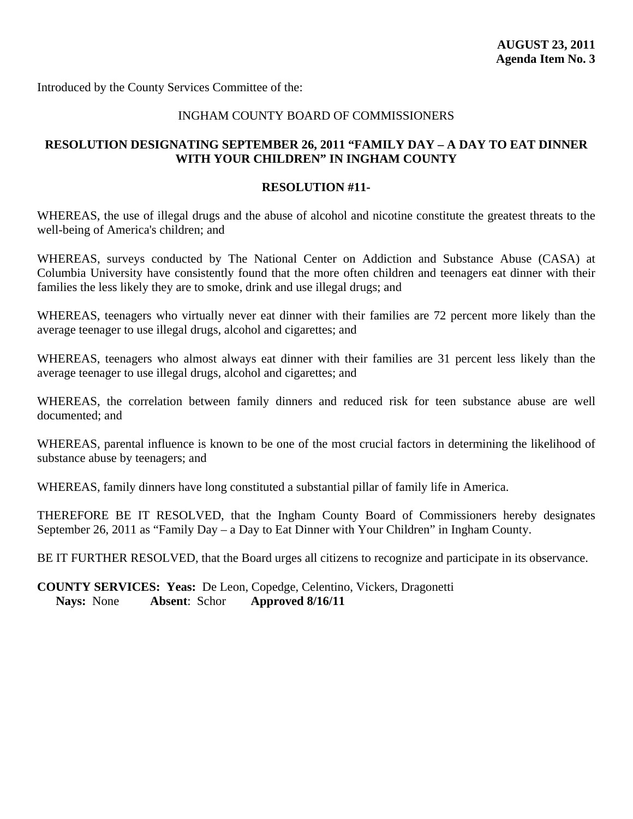#### INGHAM COUNTY BOARD OF COMMISSIONERS

### **RESOLUTION DESIGNATING SEPTEMBER 26, 2011 "FAMILY DAY – A DAY TO EAT DINNER WITH YOUR CHILDREN" IN INGHAM COUNTY**

#### **RESOLUTION #11-**

WHEREAS, the use of illegal drugs and the abuse of alcohol and nicotine constitute the greatest threats to the well-being of America's children; and

WHEREAS, surveys conducted by The National Center on Addiction and Substance Abuse (CASA) at Columbia University have consistently found that the more often children and teenagers eat dinner with their families the less likely they are to smoke, drink and use illegal drugs; and

WHEREAS, teenagers who virtually never eat dinner with their families are 72 percent more likely than the average teenager to use illegal drugs, alcohol and cigarettes; and

WHEREAS, teenagers who almost always eat dinner with their families are 31 percent less likely than the average teenager to use illegal drugs, alcohol and cigarettes; and

WHEREAS, the correlation between family dinners and reduced risk for teen substance abuse are well documented; and

WHEREAS, parental influence is known to be one of the most crucial factors in determining the likelihood of substance abuse by teenagers; and

WHEREAS, family dinners have long constituted a substantial pillar of family life in America.

THEREFORE BE IT RESOLVED, that the Ingham County Board of Commissioners hereby designates September 26, 2011 as "Family Day – a Day to Eat Dinner with Your Children" in Ingham County.

BE IT FURTHER RESOLVED, that the Board urges all citizens to recognize and participate in its observance.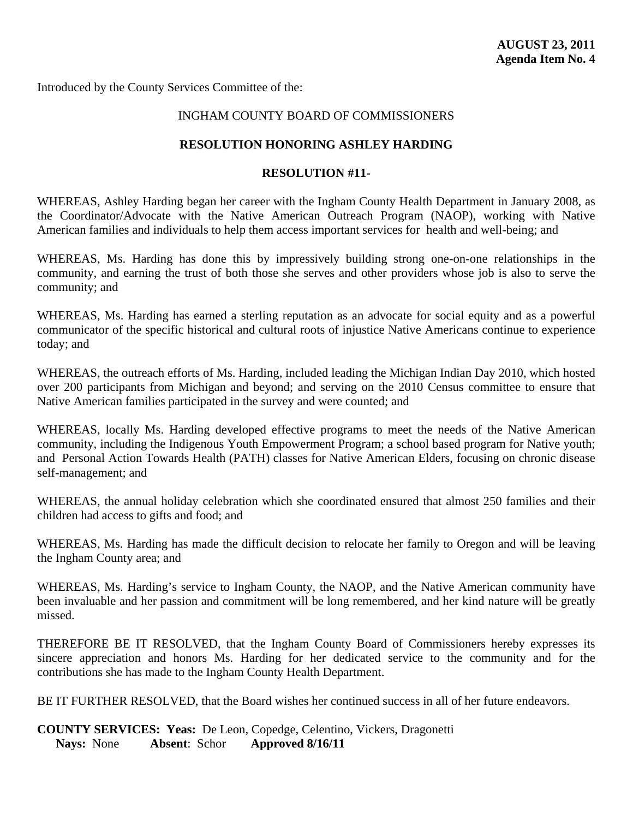# INGHAM COUNTY BOARD OF COMMISSIONERS

#### **RESOLUTION HONORING ASHLEY HARDING**

#### **RESOLUTION #11-**

WHEREAS, Ashley Harding began her career with the Ingham County Health Department in January 2008, as the Coordinator/Advocate with the Native American Outreach Program (NAOP), working with Native American families and individuals to help them access important services for health and well-being; and

WHEREAS, Ms. Harding has done this by impressively building strong one-on-one relationships in the community, and earning the trust of both those she serves and other providers whose job is also to serve the community; and

WHEREAS, Ms. Harding has earned a sterling reputation as an advocate for social equity and as a powerful communicator of the specific historical and cultural roots of injustice Native Americans continue to experience today; and

WHEREAS, the outreach efforts of Ms. Harding, included leading the Michigan Indian Day 2010, which hosted over 200 participants from Michigan and beyond; and serving on the 2010 Census committee to ensure that Native American families participated in the survey and were counted; and

WHEREAS, locally Ms. Harding developed effective programs to meet the needs of the Native American community, including the Indigenous Youth Empowerment Program; a school based program for Native youth; and Personal Action Towards Health (PATH) classes for Native American Elders, focusing on chronic disease self-management; and

WHEREAS, the annual holiday celebration which she coordinated ensured that almost 250 families and their children had access to gifts and food; and

WHEREAS, Ms. Harding has made the difficult decision to relocate her family to Oregon and will be leaving the Ingham County area; and

WHEREAS, Ms. Harding's service to Ingham County, the NAOP, and the Native American community have been invaluable and her passion and commitment will be long remembered, and her kind nature will be greatly missed.

THEREFORE BE IT RESOLVED, that the Ingham County Board of Commissioners hereby expresses its sincere appreciation and honors Ms. Harding for her dedicated service to the community and for the contributions she has made to the Ingham County Health Department.

BE IT FURTHER RESOLVED, that the Board wishes her continued success in all of her future endeavors.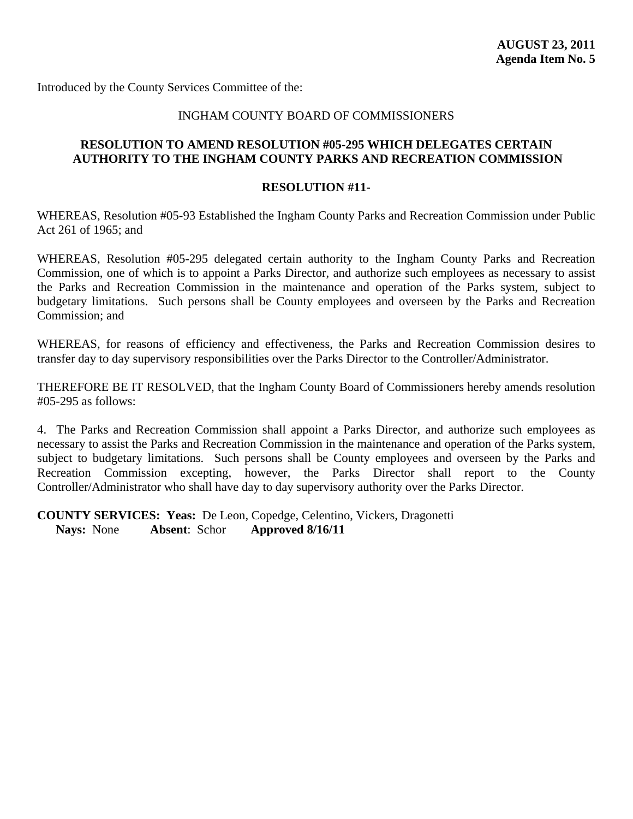#### INGHAM COUNTY BOARD OF COMMISSIONERS

#### **RESOLUTION TO AMEND RESOLUTION #05-295 WHICH DELEGATES CERTAIN AUTHORITY TO THE INGHAM COUNTY PARKS AND RECREATION COMMISSION**

#### **RESOLUTION #11-**

WHEREAS, Resolution #05-93 Established the Ingham County Parks and Recreation Commission under Public Act 261 of 1965; and

WHEREAS, Resolution #05-295 delegated certain authority to the Ingham County Parks and Recreation Commission, one of which is to appoint a Parks Director, and authorize such employees as necessary to assist the Parks and Recreation Commission in the maintenance and operation of the Parks system, subject to budgetary limitations. Such persons shall be County employees and overseen by the Parks and Recreation Commission; and

WHEREAS, for reasons of efficiency and effectiveness, the Parks and Recreation Commission desires to transfer day to day supervisory responsibilities over the Parks Director to the Controller/Administrator.

THEREFORE BE IT RESOLVED, that the Ingham County Board of Commissioners hereby amends resolution #05-295 as follows:

4. The Parks and Recreation Commission shall appoint a Parks Director, and authorize such employees as necessary to assist the Parks and Recreation Commission in the maintenance and operation of the Parks system, subject to budgetary limitations. Such persons shall be County employees and overseen by the Parks and Recreation Commission excepting, however, the Parks Director shall report to the County Controller/Administrator who shall have day to day supervisory authority over the Parks Director.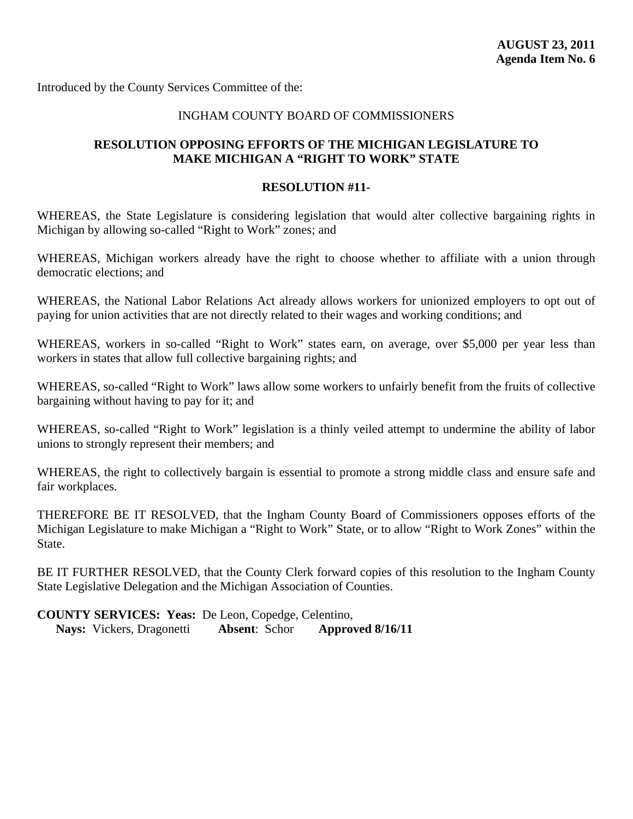#### INGHAM COUNTY BOARD OF COMMISSIONERS

#### **RESOLUTION OPPOSING EFFORTS OF THE MICHIGAN LEGISLATURE TO MAKE MICHIGAN A "RIGHT TO WORK" STATE**

#### **RESOLUTION #11-**

WHEREAS, the State Legislature is considering legislation that would alter collective bargaining rights in Michigan by allowing so-called "Right to Work" zones; and

WHEREAS, Michigan workers already have the right to choose whether to affiliate with a union through democratic elections; and

WHEREAS, the National Labor Relations Act already allows workers for unionized employers to opt out of paying for union activities that are not directly related to their wages and working conditions; and

WHEREAS, workers in so-called "Right to Work" states earn, on average, over \$5,000 per year less than workers in states that allow full collective bargaining rights; and

WHEREAS, so-called "Right to Work" laws allow some workers to unfairly benefit from the fruits of collective bargaining without having to pay for it; and

WHEREAS, so-called "Right to Work" legislation is a thinly veiled attempt to undermine the ability of labor unions to strongly represent their members; and

WHEREAS, the right to collectively bargain is essential to promote a strong middle class and ensure safe and fair workplaces.

THEREFORE BE IT RESOLVED, that the Ingham County Board of Commissioners opposes efforts of the Michigan Legislature to make Michigan a "Right to Work" State, or to allow "Right to Work Zones" within the State.

BE IT FURTHER RESOLVED, that the County Clerk forward copies of this resolution to the Ingham County State Legislative Delegation and the Michigan Association of Counties.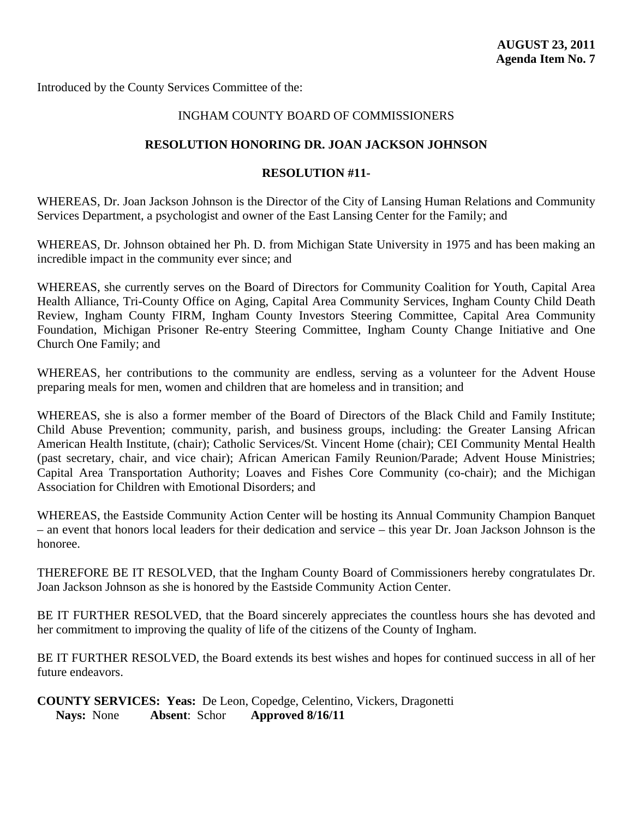#### INGHAM COUNTY BOARD OF COMMISSIONERS

#### **RESOLUTION HONORING DR. JOAN JACKSON JOHNSON**

#### **RESOLUTION #11-**

WHEREAS, Dr. Joan Jackson Johnson is the Director of the City of Lansing Human Relations and Community Services Department, a psychologist and owner of the East Lansing Center for the Family; and

WHEREAS, Dr. Johnson obtained her Ph. D. from Michigan State University in 1975 and has been making an incredible impact in the community ever since; and

WHEREAS, she currently serves on the Board of Directors for Community Coalition for Youth, Capital Area Health Alliance, Tri-County Office on Aging, Capital Area Community Services, Ingham County Child Death Review, Ingham County FIRM, Ingham County Investors Steering Committee, Capital Area Community Foundation, Michigan Prisoner Re-entry Steering Committee, Ingham County Change Initiative and One Church One Family; and

WHEREAS, her contributions to the community are endless, serving as a volunteer for the Advent House preparing meals for men, women and children that are homeless and in transition; and

WHEREAS, she is also a former member of the Board of Directors of the Black Child and Family Institute; Child Abuse Prevention; community, parish, and business groups, including: the Greater Lansing African American Health Institute, (chair); Catholic Services/St. Vincent Home (chair); CEI Community Mental Health (past secretary, chair, and vice chair); African American Family Reunion/Parade; Advent House Ministries; Capital Area Transportation Authority; Loaves and Fishes Core Community (co-chair); and the Michigan Association for Children with Emotional Disorders; and

WHEREAS, the Eastside Community Action Center will be hosting its Annual Community Champion Banquet – an event that honors local leaders for their dedication and service – this year Dr. Joan Jackson Johnson is the honoree.

THEREFORE BE IT RESOLVED, that the Ingham County Board of Commissioners hereby congratulates Dr. Joan Jackson Johnson as she is honored by the Eastside Community Action Center.

BE IT FURTHER RESOLVED, that the Board sincerely appreciates the countless hours she has devoted and her commitment to improving the quality of life of the citizens of the County of Ingham.

BE IT FURTHER RESOLVED, the Board extends its best wishes and hopes for continued success in all of her future endeavors.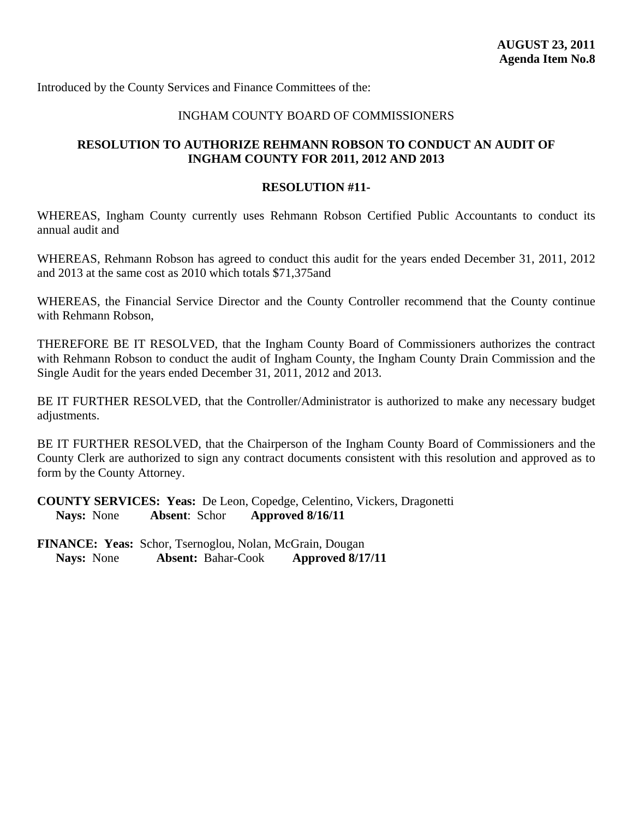#### INGHAM COUNTY BOARD OF COMMISSIONERS

### **RESOLUTION TO AUTHORIZE REHMANN ROBSON TO CONDUCT AN AUDIT OF INGHAM COUNTY FOR 2011, 2012 AND 2013**

#### **RESOLUTION #11-**

WHEREAS, Ingham County currently uses Rehmann Robson Certified Public Accountants to conduct its annual audit and

WHEREAS, Rehmann Robson has agreed to conduct this audit for the years ended December 31, 2011, 2012 and 2013 at the same cost as 2010 which totals \$71,375and

WHEREAS, the Financial Service Director and the County Controller recommend that the County continue with Rehmann Robson,

THEREFORE BE IT RESOLVED, that the Ingham County Board of Commissioners authorizes the contract with Rehmann Robson to conduct the audit of Ingham County, the Ingham County Drain Commission and the Single Audit for the years ended December 31, 2011, 2012 and 2013.

BE IT FURTHER RESOLVED, that the Controller/Administrator is authorized to make any necessary budget adjustments.

BE IT FURTHER RESOLVED, that the Chairperson of the Ingham County Board of Commissioners and the County Clerk are authorized to sign any contract documents consistent with this resolution and approved as to form by the County Attorney.

**COUNTY SERVICES: Yeas:** De Leon, Copedge, Celentino, Vickers, Dragonetti **Nays:** None **Absent**: Schor **Approved 8/16/11**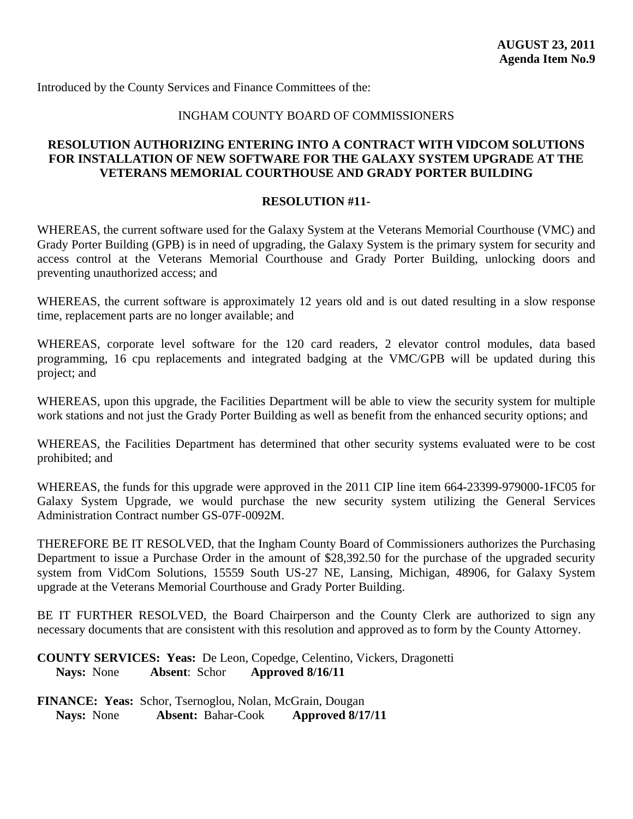#### INGHAM COUNTY BOARD OF COMMISSIONERS

#### **RESOLUTION AUTHORIZING ENTERING INTO A CONTRACT WITH VIDCOM SOLUTIONS FOR INSTALLATION OF NEW SOFTWARE FOR THE GALAXY SYSTEM UPGRADE AT THE VETERANS MEMORIAL COURTHOUSE AND GRADY PORTER BUILDING**

#### **RESOLUTION #11-**

WHEREAS, the current software used for the Galaxy System at the Veterans Memorial Courthouse (VMC) and Grady Porter Building (GPB) is in need of upgrading, the Galaxy System is the primary system for security and access control at the Veterans Memorial Courthouse and Grady Porter Building, unlocking doors and preventing unauthorized access; and

WHEREAS, the current software is approximately 12 years old and is out dated resulting in a slow response time, replacement parts are no longer available; and

WHEREAS, corporate level software for the 120 card readers, 2 elevator control modules, data based programming, 16 cpu replacements and integrated badging at the VMC/GPB will be updated during this project; and

WHEREAS, upon this upgrade, the Facilities Department will be able to view the security system for multiple work stations and not just the Grady Porter Building as well as benefit from the enhanced security options; and

WHEREAS, the Facilities Department has determined that other security systems evaluated were to be cost prohibited; and

WHEREAS, the funds for this upgrade were approved in the 2011 CIP line item 664-23399-979000-1FC05 for Galaxy System Upgrade, we would purchase the new security system utilizing the General Services Administration Contract number GS-07F-0092M.

THEREFORE BE IT RESOLVED, that the Ingham County Board of Commissioners authorizes the Purchasing Department to issue a Purchase Order in the amount of \$28,392.50 for the purchase of the upgraded security system from VidCom Solutions, 15559 South US-27 NE, Lansing, Michigan, 48906, for Galaxy System upgrade at the Veterans Memorial Courthouse and Grady Porter Building.

BE IT FURTHER RESOLVED, the Board Chairperson and the County Clerk are authorized to sign any necessary documents that are consistent with this resolution and approved as to form by the County Attorney.

**COUNTY SERVICES: Yeas:** De Leon, Copedge, Celentino, Vickers, Dragonetti **Nays:** None **Absent**: Schor **Approved 8/16/11**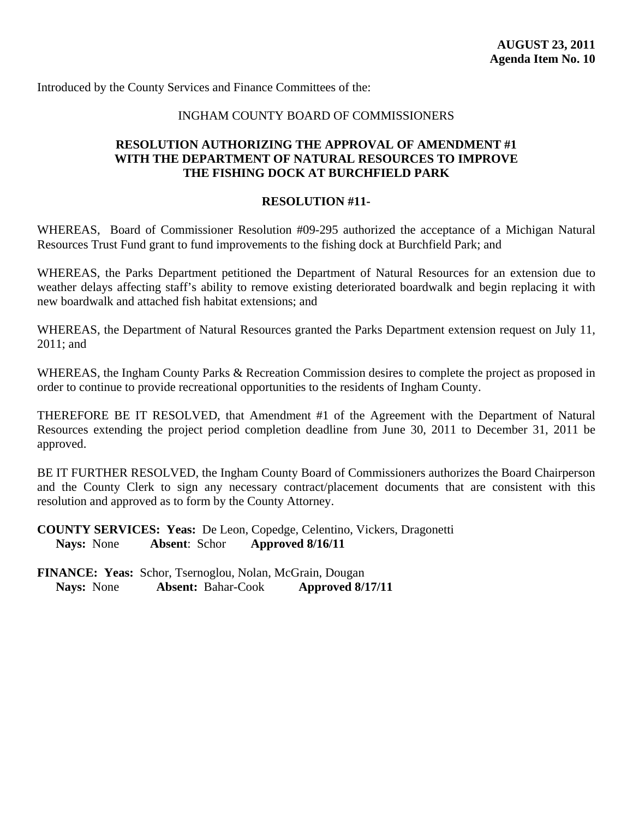#### INGHAM COUNTY BOARD OF COMMISSIONERS

#### **RESOLUTION AUTHORIZING THE APPROVAL OF AMENDMENT #1 WITH THE DEPARTMENT OF NATURAL RESOURCES TO IMPROVE THE FISHING DOCK AT BURCHFIELD PARK**

#### **RESOLUTION #11-**

WHEREAS, Board of Commissioner Resolution #09-295 authorized the acceptance of a Michigan Natural Resources Trust Fund grant to fund improvements to the fishing dock at Burchfield Park; and

WHEREAS, the Parks Department petitioned the Department of Natural Resources for an extension due to weather delays affecting staff's ability to remove existing deteriorated boardwalk and begin replacing it with new boardwalk and attached fish habitat extensions; and

WHEREAS, the Department of Natural Resources granted the Parks Department extension request on July 11, 2011; and

WHEREAS, the Ingham County Parks & Recreation Commission desires to complete the project as proposed in order to continue to provide recreational opportunities to the residents of Ingham County.

THEREFORE BE IT RESOLVED, that Amendment #1 of the Agreement with the Department of Natural Resources extending the project period completion deadline from June 30, 2011 to December 31, 2011 be approved.

BE IT FURTHER RESOLVED, the Ingham County Board of Commissioners authorizes the Board Chairperson and the County Clerk to sign any necessary contract/placement documents that are consistent with this resolution and approved as to form by the County Attorney.

**COUNTY SERVICES: Yeas:** De Leon, Copedge, Celentino, Vickers, Dragonetti **Nays:** None **Absent**: Schor **Approved 8/16/11**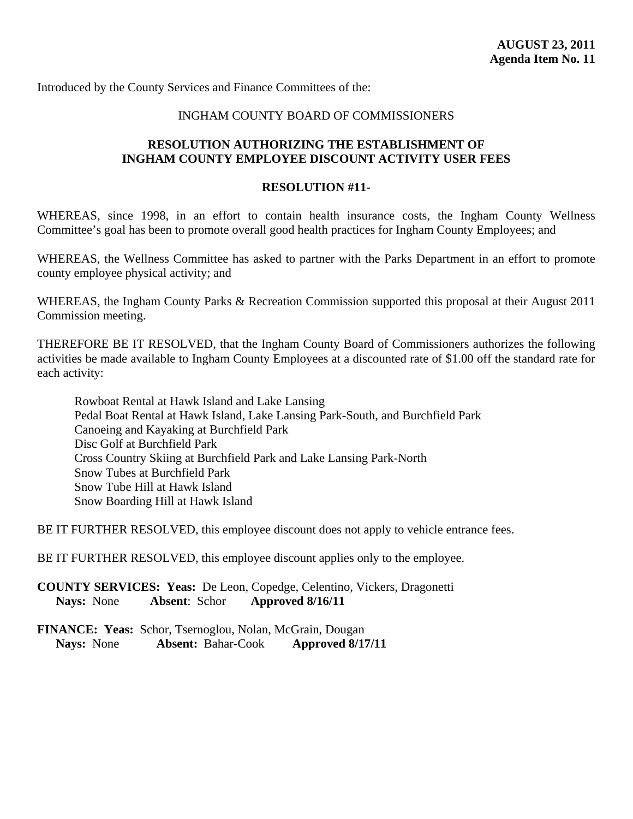#### INGHAM COUNTY BOARD OF COMMISSIONERS

#### **RESOLUTION AUTHORIZING THE ESTABLISHMENT OF INGHAM COUNTY EMPLOYEE DISCOUNT ACTIVITY USER FEES**

#### **RESOLUTION #11-**

WHEREAS, since 1998, in an effort to contain health insurance costs, the Ingham County Wellness Committee's goal has been to promote overall good health practices for Ingham County Employees; and

WHEREAS, the Wellness Committee has asked to partner with the Parks Department in an effort to promote county employee physical activity; and

WHEREAS, the Ingham County Parks & Recreation Commission supported this proposal at their August 2011 Commission meeting.

THEREFORE BE IT RESOLVED, that the Ingham County Board of Commissioners authorizes the following activities be made available to Ingham County Employees at a discounted rate of \$1.00 off the standard rate for each activity:

 Rowboat Rental at Hawk Island and Lake Lansing Pedal Boat Rental at Hawk Island, Lake Lansing Park-South, and Burchfield Park Canoeing and Kayaking at Burchfield Park Disc Golf at Burchfield Park Cross Country Skiing at Burchfield Park and Lake Lansing Park-North Snow Tubes at Burchfield Park Snow Tube Hill at Hawk Island Snow Boarding Hill at Hawk Island

BE IT FURTHER RESOLVED, this employee discount does not apply to vehicle entrance fees.

BE IT FURTHER RESOLVED, this employee discount applies only to the employee.

**COUNTY SERVICES: Yeas:** De Leon, Copedge, Celentino, Vickers, Dragonetti **Nays:** None **Absent**: Schor **Approved 8/16/11**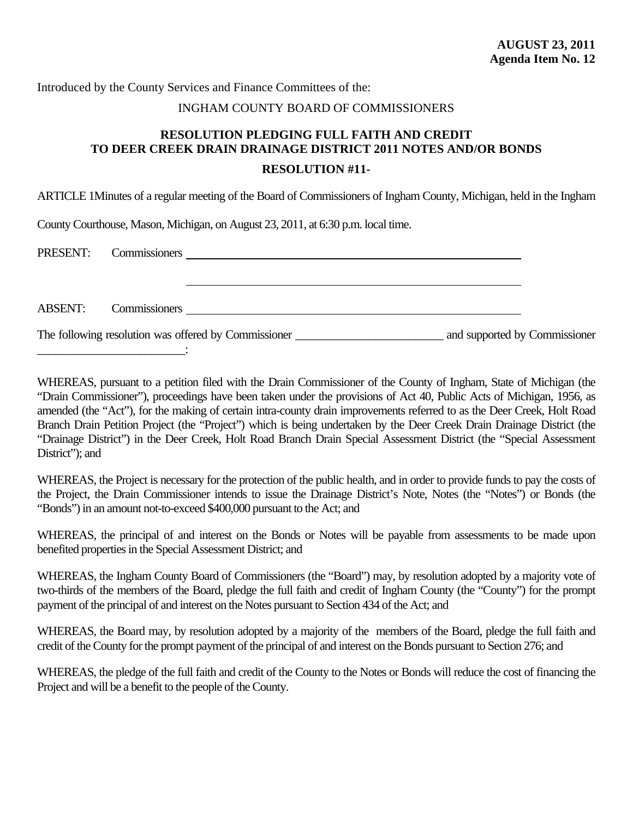#### INGHAM COUNTY BOARD OF COMMISSIONERS

# **RESOLUTION PLEDGING FULL FAITH AND CREDIT TO DEER CREEK DRAIN DRAINAGE DISTRICT 2011 NOTES AND/OR BONDS**

#### **RESOLUTION #11-**

ARTICLE 1Minutes of a regular meeting of the Board of Commissioners of Ingham County, Michigan, held in the Ingham

County Courthouse, Mason, Michigan, on August 23, 2011, at 6:30 p.m. local time.

\_\_\_\_\_\_\_\_\_\_\_\_\_\_\_\_\_\_\_\_\_\_\_\_\_\_:

|                | PRESENT: Commissioners                               |                               |
|----------------|------------------------------------------------------|-------------------------------|
|                |                                                      |                               |
|                |                                                      |                               |
| <b>ABSENT:</b> | Commissioners                                        |                               |
|                | The following resolution was offered by Commissioner | and supported by Commissioner |

WHEREAS, pursuant to a petition filed with the Drain Commissioner of the County of Ingham, State of Michigan (the "Drain Commissioner"), proceedings have been taken under the provisions of Act 40, Public Acts of Michigan, 1956, as amended (the "Act"), for the making of certain intra-county drain improvements referred to as the Deer Creek, Holt Road Branch Drain Petition Project (the "Project") which is being undertaken by the Deer Creek Drain Drainage District (the "Drainage District") in the Deer Creek, Holt Road Branch Drain Special Assessment District (the "Special Assessment District"); and

WHEREAS, the Project is necessary for the protection of the public health, and in order to provide funds to pay the costs of the Project, the Drain Commissioner intends to issue the Drainage District's Note, Notes (the "Notes") or Bonds (the "Bonds") in an amount not-to-exceed \$400,000 pursuant to the Act; and

WHEREAS, the principal of and interest on the Bonds or Notes will be payable from assessments to be made upon benefited properties in the Special Assessment District; and

WHEREAS, the Ingham County Board of Commissioners (the "Board") may, by resolution adopted by a majority vote of two-thirds of the members of the Board, pledge the full faith and credit of Ingham County (the "County") for the prompt payment of the principal of and interest on the Notes pursuant to Section 434 of the Act; and

WHEREAS, the Board may, by resolution adopted by a majority of the members of the Board, pledge the full faith and credit of the County for the prompt payment of the principal of and interest on the Bonds pursuant to Section 276; and

WHEREAS, the pledge of the full faith and credit of the County to the Notes or Bonds will reduce the cost of financing the Project and will be a benefit to the people of the County.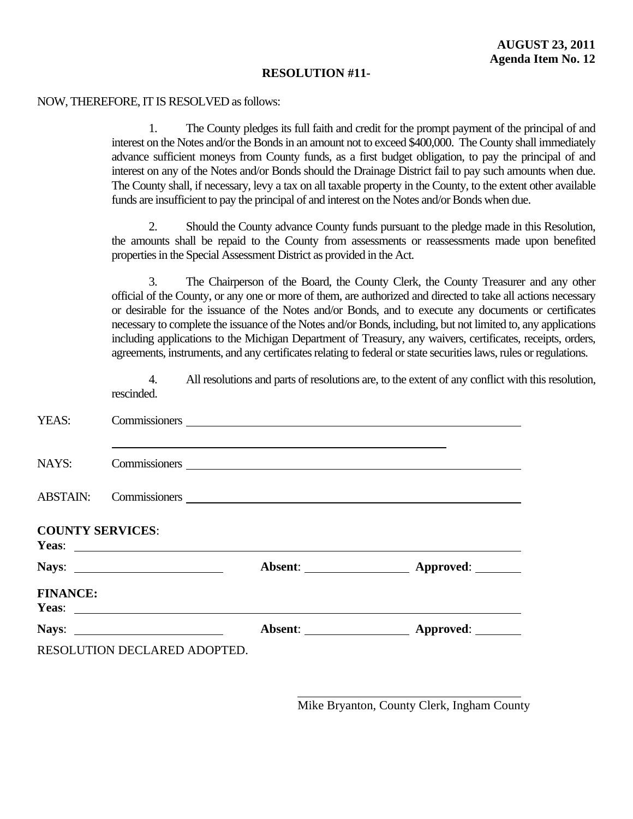#### NOW, THEREFORE, IT IS RESOLVED as follows:

1. The County pledges its full faith and credit for the prompt payment of the principal of and interest on the Notes and/or the Bonds in an amount not to exceed \$400,000. The County shall immediately advance sufficient moneys from County funds, as a first budget obligation, to pay the principal of and interest on any of the Notes and/or Bonds should the Drainage District fail to pay such amounts when due. The County shall, if necessary, levy a tax on all taxable property in the County, to the extent other available funds are insufficient to pay the principal of and interest on the Notes and/or Bonds when due.

2. Should the County advance County funds pursuant to the pledge made in this Resolution, the amounts shall be repaid to the County from assessments or reassessments made upon benefited properties in the Special Assessment District as provided in the Act.

3. The Chairperson of the Board, the County Clerk, the County Treasurer and any other official of the County, or any one or more of them, are authorized and directed to take all actions necessary or desirable for the issuance of the Notes and/or Bonds, and to execute any documents or certificates necessary to complete the issuance of the Notes and/or Bonds, including, but not limited to, any applications including applications to the Michigan Department of Treasury, any waivers, certificates, receipts, orders, agreements, instruments, and any certificates relating to federal or state securities laws, rules or regulations.

4. All resolutions and parts of resolutions are, to the extent of any conflict with this resolution, rescinded.

| YEAS:                   |                              |                                                     |
|-------------------------|------------------------------|-----------------------------------------------------|
| NAYS:                   |                              |                                                     |
|                         |                              |                                                     |
| <b>COUNTY SERVICES:</b> | Yeas: $\qquad \qquad$        |                                                     |
|                         |                              | Absent: <u>__________________</u> Approved: _______ |
| <b>FINANCE:</b>         |                              |                                                     |
|                         | Nays: $\qquad \qquad$        | Absent: <b>Approved:</b>                            |
|                         | RESOLUTION DECLARED ADOPTED. |                                                     |

 $\overline{a}$ 

Mike Bryanton, County Clerk, Ingham County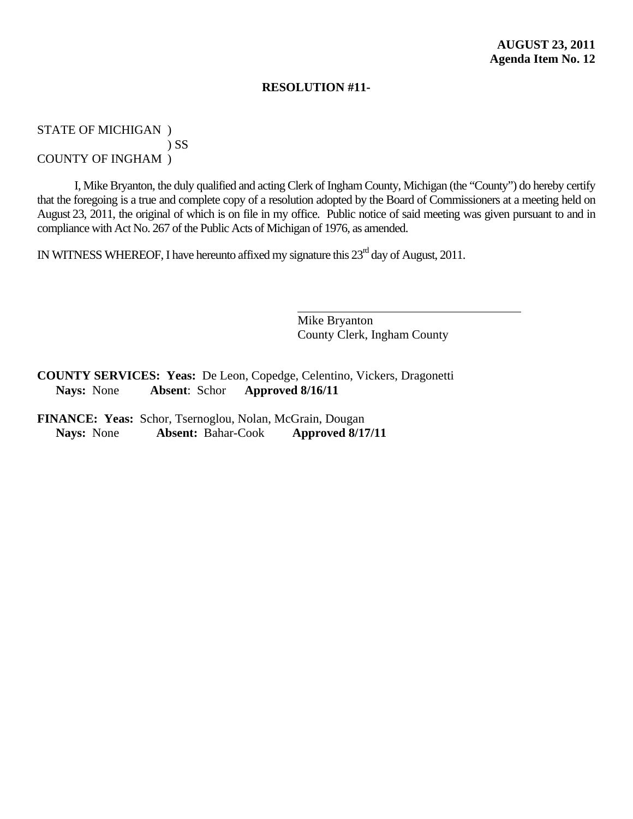STATE OF MICHIGAN )

) SS

COUNTY OF INGHAM )

I, Mike Bryanton, the duly qualified and acting Clerk of Ingham County, Michigan (the "County") do hereby certify that the foregoing is a true and complete copy of a resolution adopted by the Board of Commissioners at a meeting held on August 23, 2011, the original of which is on file in my office. Public notice of said meeting was given pursuant to and in compliance with Act No. 267 of the Public Acts of Michigan of 1976, as amended.

 $\overline{a}$ 

IN WITNESS WHEREOF, I have hereunto affixed my signature this 23<sup>rd</sup> day of August, 2011.

Mike Bryanton County Clerk, Ingham County

**COUNTY SERVICES: Yeas:** De Leon, Copedge, Celentino, Vickers, Dragonetti **Nays:** None **Absent**: Schor **Approved 8/16/11**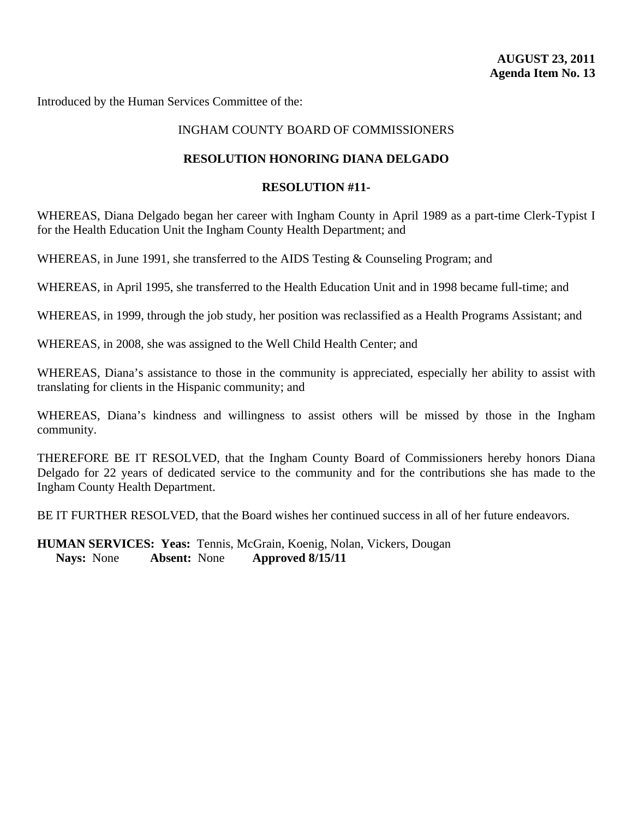#### INGHAM COUNTY BOARD OF COMMISSIONERS

#### **RESOLUTION HONORING DIANA DELGADO**

#### **RESOLUTION #11-**

WHEREAS, Diana Delgado began her career with Ingham County in April 1989 as a part-time Clerk-Typist I for the Health Education Unit the Ingham County Health Department; and

WHEREAS, in June 1991, she transferred to the AIDS Testing & Counseling Program; and

WHEREAS, in April 1995, she transferred to the Health Education Unit and in 1998 became full-time; and

WHEREAS, in 1999, through the job study, her position was reclassified as a Health Programs Assistant; and

WHEREAS, in 2008, she was assigned to the Well Child Health Center; and

WHEREAS, Diana's assistance to those in the community is appreciated, especially her ability to assist with translating for clients in the Hispanic community; and

WHEREAS, Diana's kindness and willingness to assist others will be missed by those in the Ingham community.

THEREFORE BE IT RESOLVED, that the Ingham County Board of Commissioners hereby honors Diana Delgado for 22 years of dedicated service to the community and for the contributions she has made to the Ingham County Health Department.

BE IT FURTHER RESOLVED, that the Board wishes her continued success in all of her future endeavors.

**HUMAN SERVICES: Yeas:** Tennis, McGrain, Koenig, Nolan, Vickers, Dougan **Nays:** None **Absent:** None **Approved 8/15/11**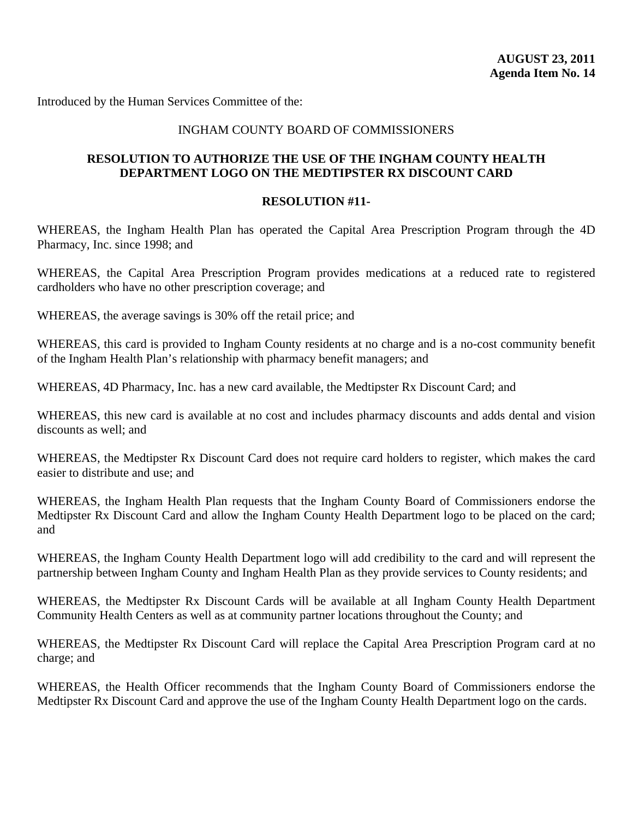#### INGHAM COUNTY BOARD OF COMMISSIONERS

#### **RESOLUTION TO AUTHORIZE THE USE OF THE INGHAM COUNTY HEALTH DEPARTMENT LOGO ON THE MEDTIPSTER RX DISCOUNT CARD**

#### **RESOLUTION #11-**

WHEREAS, the Ingham Health Plan has operated the Capital Area Prescription Program through the 4D Pharmacy, Inc. since 1998; and

WHEREAS, the Capital Area Prescription Program provides medications at a reduced rate to registered cardholders who have no other prescription coverage; and

WHEREAS, the average savings is 30% off the retail price; and

WHEREAS, this card is provided to Ingham County residents at no charge and is a no-cost community benefit of the Ingham Health Plan's relationship with pharmacy benefit managers; and

WHEREAS, 4D Pharmacy, Inc. has a new card available, the Medtipster Rx Discount Card; and

WHEREAS, this new card is available at no cost and includes pharmacy discounts and adds dental and vision discounts as well; and

WHEREAS, the Medtipster Rx Discount Card does not require card holders to register, which makes the card easier to distribute and use; and

WHEREAS, the Ingham Health Plan requests that the Ingham County Board of Commissioners endorse the Medtipster Rx Discount Card and allow the Ingham County Health Department logo to be placed on the card; and

WHEREAS, the Ingham County Health Department logo will add credibility to the card and will represent the partnership between Ingham County and Ingham Health Plan as they provide services to County residents; and

WHEREAS, the Medtipster Rx Discount Cards will be available at all Ingham County Health Department Community Health Centers as well as at community partner locations throughout the County; and

WHEREAS, the Medtipster Rx Discount Card will replace the Capital Area Prescription Program card at no charge; and

WHEREAS, the Health Officer recommends that the Ingham County Board of Commissioners endorse the Medtipster Rx Discount Card and approve the use of the Ingham County Health Department logo on the cards.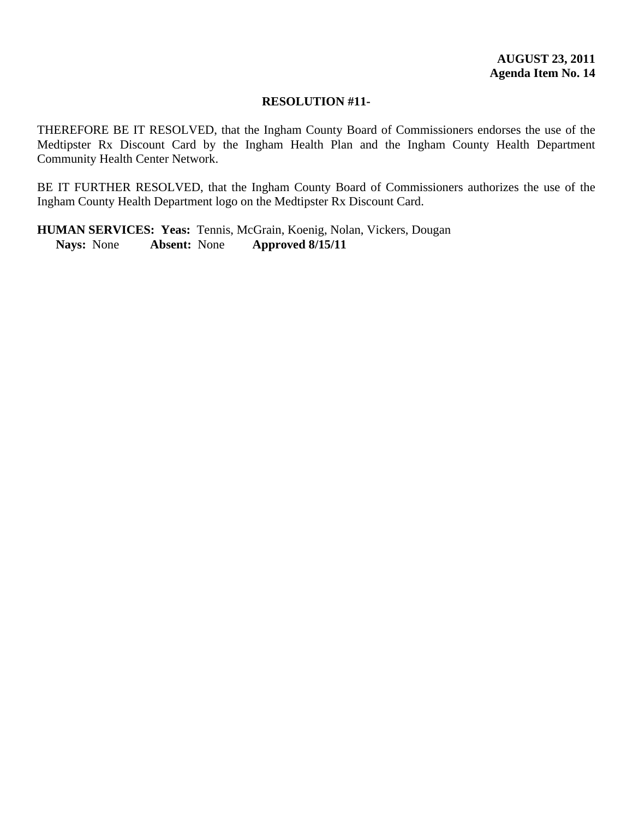THEREFORE BE IT RESOLVED, that the Ingham County Board of Commissioners endorses the use of the Medtipster Rx Discount Card by the Ingham Health Plan and the Ingham County Health Department Community Health Center Network.

BE IT FURTHER RESOLVED, that the Ingham County Board of Commissioners authorizes the use of the Ingham County Health Department logo on the Medtipster Rx Discount Card.

**HUMAN SERVICES: Yeas:** Tennis, McGrain, Koenig, Nolan, Vickers, Dougan **Nays:** None **Absent:** None **Approved 8/15/11**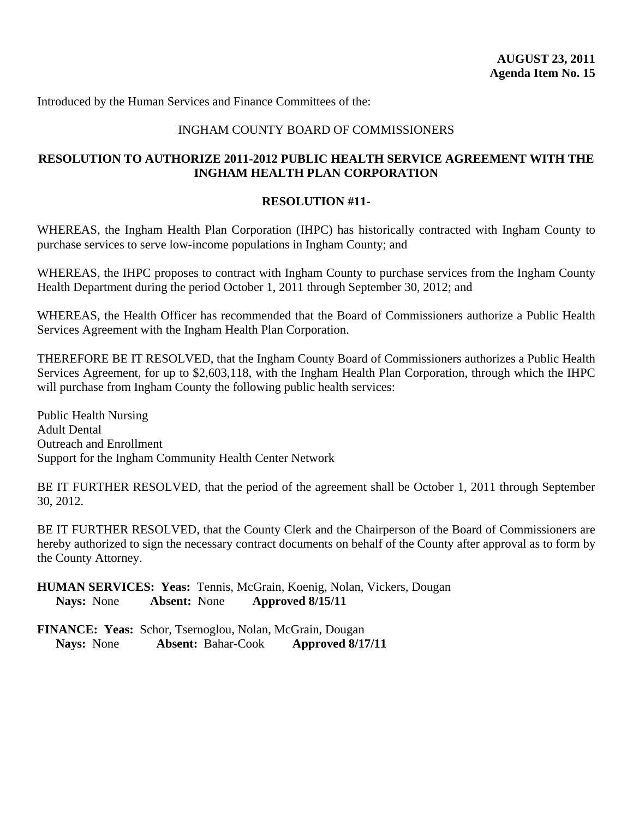#### INGHAM COUNTY BOARD OF COMMISSIONERS

#### **RESOLUTION TO AUTHORIZE 2011-2012 PUBLIC HEALTH SERVICE AGREEMENT WITH THE INGHAM HEALTH PLAN CORPORATION**

#### **RESOLUTION #11-**

WHEREAS, the Ingham Health Plan Corporation (IHPC) has historically contracted with Ingham County to purchase services to serve low-income populations in Ingham County; and

WHEREAS, the IHPC proposes to contract with Ingham County to purchase services from the Ingham County Health Department during the period October 1, 2011 through September 30, 2012; and

WHEREAS, the Health Officer has recommended that the Board of Commissioners authorize a Public Health Services Agreement with the Ingham Health Plan Corporation.

THEREFORE BE IT RESOLVED, that the Ingham County Board of Commissioners authorizes a Public Health Services Agreement, for up to \$2,603,118, with the Ingham Health Plan Corporation, through which the IHPC will purchase from Ingham County the following public health services:

Public Health Nursing Adult Dental Outreach and Enrollment Support for the Ingham Community Health Center Network

BE IT FURTHER RESOLVED, that the period of the agreement shall be October 1, 2011 through September 30, 2012.

BE IT FURTHER RESOLVED, that the County Clerk and the Chairperson of the Board of Commissioners are hereby authorized to sign the necessary contract documents on behalf of the County after approval as to form by the County Attorney.

**HUMAN SERVICES: Yeas:** Tennis, McGrain, Koenig, Nolan, Vickers, Dougan **Nays:** None **Absent:** None **Approved 8/15/11**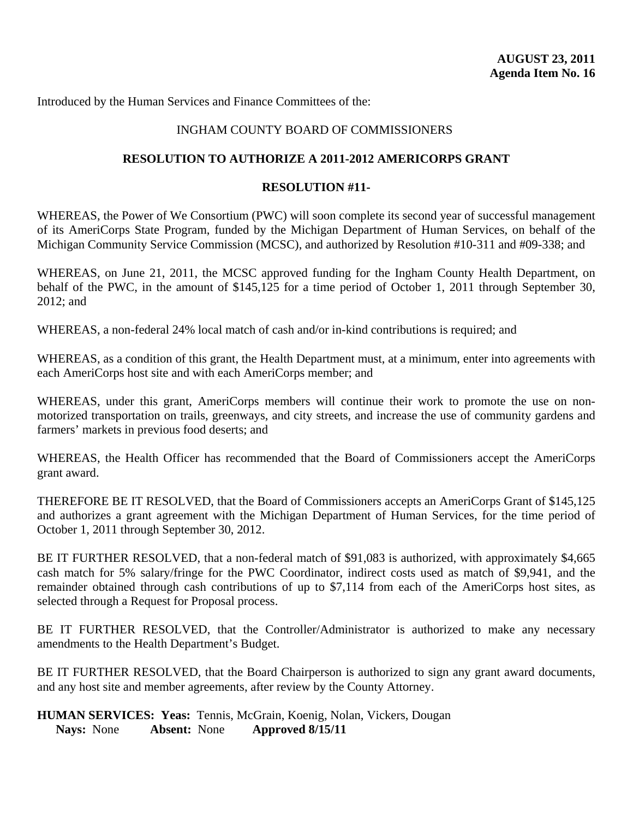#### INGHAM COUNTY BOARD OF COMMISSIONERS

#### **RESOLUTION TO AUTHORIZE A 2011-2012 AMERICORPS GRANT**

#### **RESOLUTION #11-**

WHEREAS, the Power of We Consortium (PWC) will soon complete its second year of successful management of its AmeriCorps State Program, funded by the Michigan Department of Human Services, on behalf of the Michigan Community Service Commission (MCSC), and authorized by Resolution #10-311 and #09-338; and

WHEREAS, on June 21, 2011, the MCSC approved funding for the Ingham County Health Department, on behalf of the PWC, in the amount of \$145,125 for a time period of October 1, 2011 through September 30, 2012; and

WHEREAS, a non-federal 24% local match of cash and/or in-kind contributions is required; and

WHEREAS, as a condition of this grant, the Health Department must, at a minimum, enter into agreements with each AmeriCorps host site and with each AmeriCorps member; and

WHEREAS, under this grant, AmeriCorps members will continue their work to promote the use on nonmotorized transportation on trails, greenways, and city streets, and increase the use of community gardens and farmers' markets in previous food deserts; and

WHEREAS, the Health Officer has recommended that the Board of Commissioners accept the AmeriCorps grant award.

THEREFORE BE IT RESOLVED, that the Board of Commissioners accepts an AmeriCorps Grant of \$145,125 and authorizes a grant agreement with the Michigan Department of Human Services, for the time period of October 1, 2011 through September 30, 2012.

BE IT FURTHER RESOLVED, that a non-federal match of \$91,083 is authorized, with approximately \$4,665 cash match for 5% salary/fringe for the PWC Coordinator, indirect costs used as match of \$9,941, and the remainder obtained through cash contributions of up to \$7,114 from each of the AmeriCorps host sites, as selected through a Request for Proposal process.

BE IT FURTHER RESOLVED, that the Controller/Administrator is authorized to make any necessary amendments to the Health Department's Budget.

BE IT FURTHER RESOLVED, that the Board Chairperson is authorized to sign any grant award documents, and any host site and member agreements, after review by the County Attorney.

**HUMAN SERVICES: Yeas:** Tennis, McGrain, Koenig, Nolan, Vickers, Dougan **Nays:** None **Absent:** None **Approved 8/15/11**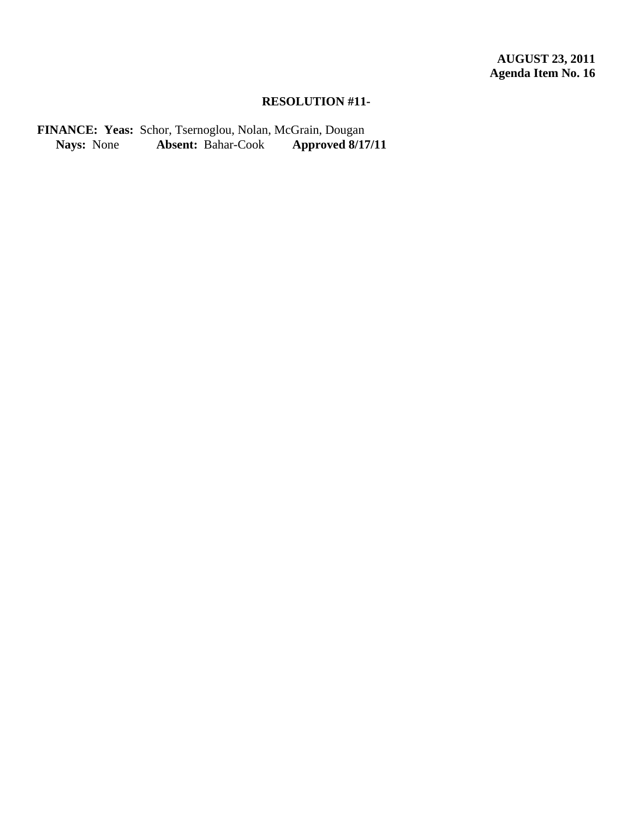FINANCE: Yeas: Schor, Tsernoglou, Nolan, McGrain, Dougan<br>Nays: None Absent: Bahar-Cook Approved 8/17/11 **Absent:** Bahar-Cook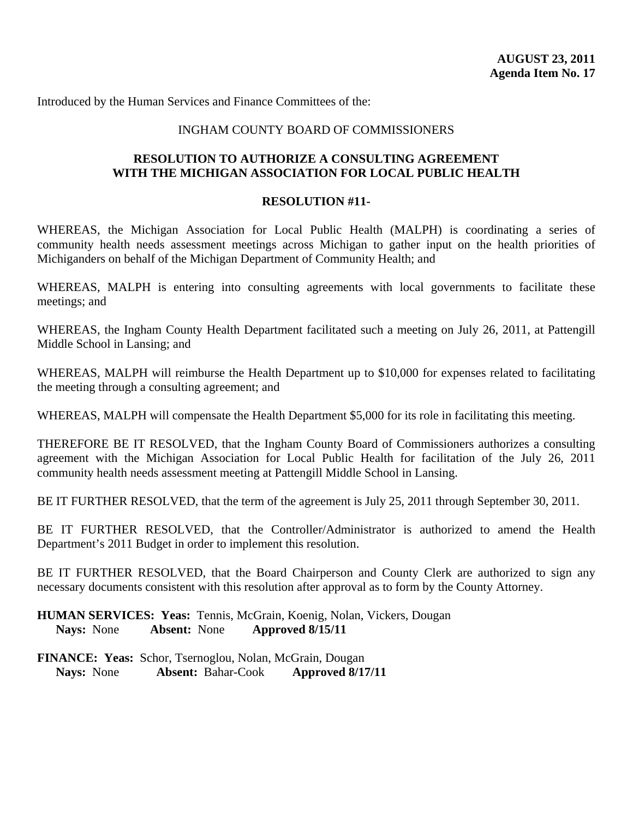#### INGHAM COUNTY BOARD OF COMMISSIONERS

#### **RESOLUTION TO AUTHORIZE A CONSULTING AGREEMENT WITH THE MICHIGAN ASSOCIATION FOR LOCAL PUBLIC HEALTH**

#### **RESOLUTION #11-**

WHEREAS, the Michigan Association for Local Public Health (MALPH) is coordinating a series of community health needs assessment meetings across Michigan to gather input on the health priorities of Michiganders on behalf of the Michigan Department of Community Health; and

WHEREAS, MALPH is entering into consulting agreements with local governments to facilitate these meetings; and

WHEREAS, the Ingham County Health Department facilitated such a meeting on July 26, 2011, at Pattengill Middle School in Lansing; and

WHEREAS, MALPH will reimburse the Health Department up to \$10,000 for expenses related to facilitating the meeting through a consulting agreement; and

WHEREAS, MALPH will compensate the Health Department \$5,000 for its role in facilitating this meeting.

THEREFORE BE IT RESOLVED, that the Ingham County Board of Commissioners authorizes a consulting agreement with the Michigan Association for Local Public Health for facilitation of the July 26, 2011 community health needs assessment meeting at Pattengill Middle School in Lansing.

BE IT FURTHER RESOLVED, that the term of the agreement is July 25, 2011 through September 30, 2011.

BE IT FURTHER RESOLVED, that the Controller/Administrator is authorized to amend the Health Department's 2011 Budget in order to implement this resolution.

BE IT FURTHER RESOLVED, that the Board Chairperson and County Clerk are authorized to sign any necessary documents consistent with this resolution after approval as to form by the County Attorney.

**HUMAN SERVICES: Yeas:** Tennis, McGrain, Koenig, Nolan, Vickers, Dougan **Nays:** None **Absent:** None **Approved 8/15/11**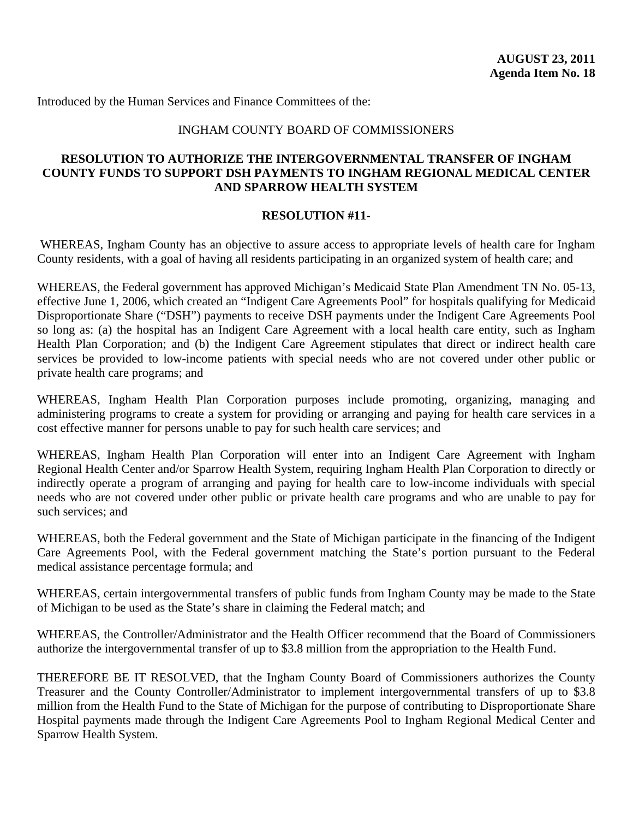#### INGHAM COUNTY BOARD OF COMMISSIONERS

#### **RESOLUTION TO AUTHORIZE THE INTERGOVERNMENTAL TRANSFER OF INGHAM COUNTY FUNDS TO SUPPORT DSH PAYMENTS TO INGHAM REGIONAL MEDICAL CENTER AND SPARROW HEALTH SYSTEM**

#### **RESOLUTION #11-**

 WHEREAS, Ingham County has an objective to assure access to appropriate levels of health care for Ingham County residents, with a goal of having all residents participating in an organized system of health care; and

WHEREAS, the Federal government has approved Michigan's Medicaid State Plan Amendment TN No. 05-13, effective June 1, 2006, which created an "Indigent Care Agreements Pool" for hospitals qualifying for Medicaid Disproportionate Share ("DSH") payments to receive DSH payments under the Indigent Care Agreements Pool so long as: (a) the hospital has an Indigent Care Agreement with a local health care entity, such as Ingham Health Plan Corporation; and (b) the Indigent Care Agreement stipulates that direct or indirect health care services be provided to low-income patients with special needs who are not covered under other public or private health care programs; and

WHEREAS, Ingham Health Plan Corporation purposes include promoting, organizing, managing and administering programs to create a system for providing or arranging and paying for health care services in a cost effective manner for persons unable to pay for such health care services; and

WHEREAS, Ingham Health Plan Corporation will enter into an Indigent Care Agreement with Ingham Regional Health Center and/or Sparrow Health System, requiring Ingham Health Plan Corporation to directly or indirectly operate a program of arranging and paying for health care to low-income individuals with special needs who are not covered under other public or private health care programs and who are unable to pay for such services; and

WHEREAS, both the Federal government and the State of Michigan participate in the financing of the Indigent Care Agreements Pool, with the Federal government matching the State's portion pursuant to the Federal medical assistance percentage formula; and

WHEREAS, certain intergovernmental transfers of public funds from Ingham County may be made to the State of Michigan to be used as the State's share in claiming the Federal match; and

WHEREAS, the Controller/Administrator and the Health Officer recommend that the Board of Commissioners authorize the intergovernmental transfer of up to \$3.8 million from the appropriation to the Health Fund.

THEREFORE BE IT RESOLVED, that the Ingham County Board of Commissioners authorizes the County Treasurer and the County Controller/Administrator to implement intergovernmental transfers of up to \$3.8 million from the Health Fund to the State of Michigan for the purpose of contributing to Disproportionate Share Hospital payments made through the Indigent Care Agreements Pool to Ingham Regional Medical Center and Sparrow Health System.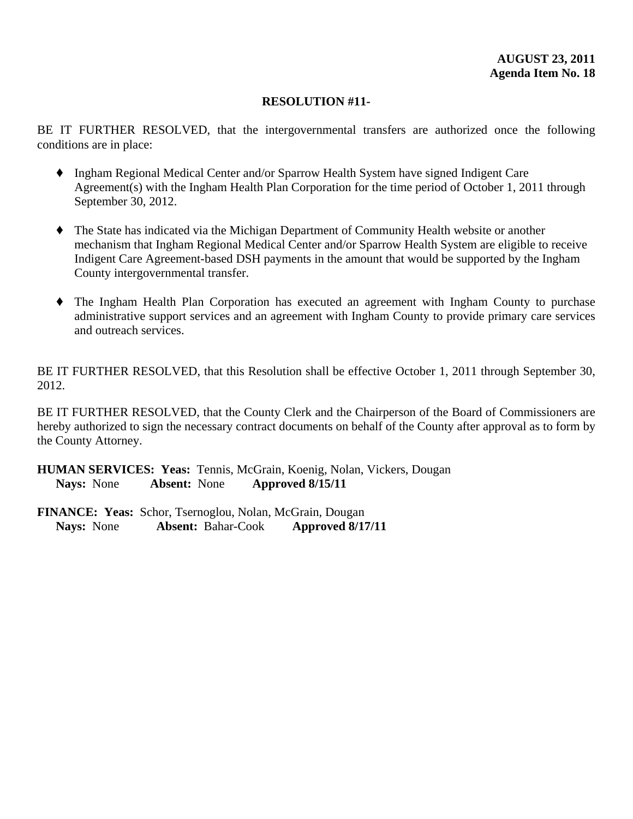BE IT FURTHER RESOLVED, that the intergovernmental transfers are authorized once the following conditions are in place:

- ' Ingham Regional Medical Center and/or Sparrow Health System have signed Indigent Care Agreement(s) with the Ingham Health Plan Corporation for the time period of October 1, 2011 through September 30, 2012.
- ' The State has indicated via the Michigan Department of Community Health website or another mechanism that Ingham Regional Medical Center and/or Sparrow Health System are eligible to receive Indigent Care Agreement-based DSH payments in the amount that would be supported by the Ingham County intergovernmental transfer.
- ' The Ingham Health Plan Corporation has executed an agreement with Ingham County to purchase administrative support services and an agreement with Ingham County to provide primary care services and outreach services.

BE IT FURTHER RESOLVED, that this Resolution shall be effective October 1, 2011 through September 30, 2012.

BE IT FURTHER RESOLVED, that the County Clerk and the Chairperson of the Board of Commissioners are hereby authorized to sign the necessary contract documents on behalf of the County after approval as to form by the County Attorney.

**HUMAN SERVICES: Yeas:** Tennis, McGrain, Koenig, Nolan, Vickers, Dougan **Nays:** None **Absent:** None **Approved 8/15/11**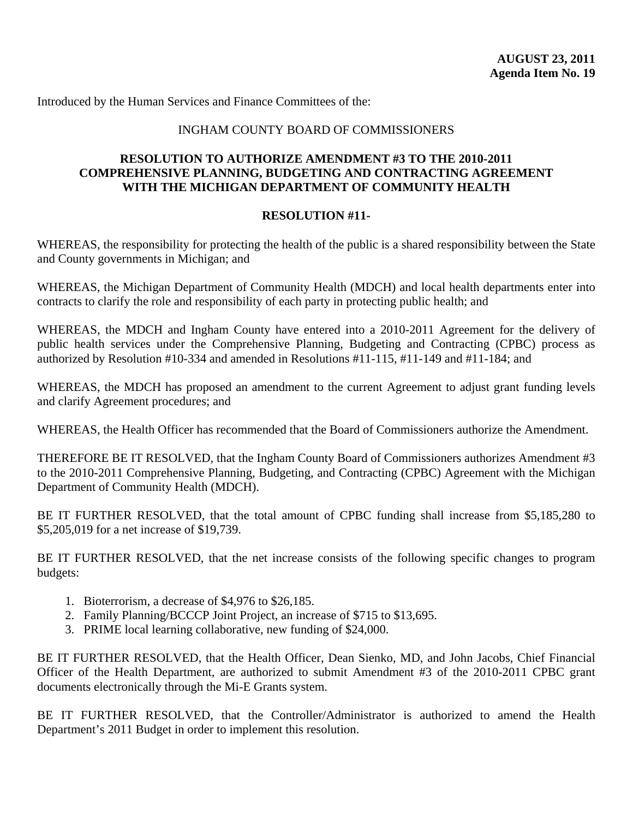#### INGHAM COUNTY BOARD OF COMMISSIONERS

#### **RESOLUTION TO AUTHORIZE AMENDMENT #3 TO THE 2010-2011 COMPREHENSIVE PLANNING, BUDGETING AND CONTRACTING AGREEMENT WITH THE MICHIGAN DEPARTMENT OF COMMUNITY HEALTH**

#### **RESOLUTION #11-**

WHEREAS, the responsibility for protecting the health of the public is a shared responsibility between the State and County governments in Michigan; and

WHEREAS, the Michigan Department of Community Health (MDCH) and local health departments enter into contracts to clarify the role and responsibility of each party in protecting public health; and

WHEREAS, the MDCH and Ingham County have entered into a 2010-2011 Agreement for the delivery of public health services under the Comprehensive Planning, Budgeting and Contracting (CPBC) process as authorized by Resolution #10-334 and amended in Resolutions #11-115, #11-149 and #11-184; and

WHEREAS, the MDCH has proposed an amendment to the current Agreement to adjust grant funding levels and clarify Agreement procedures; and

WHEREAS, the Health Officer has recommended that the Board of Commissioners authorize the Amendment.

THEREFORE BE IT RESOLVED, that the Ingham County Board of Commissioners authorizes Amendment #3 to the 2010-2011 Comprehensive Planning, Budgeting, and Contracting (CPBC) Agreement with the Michigan Department of Community Health (MDCH).

BE IT FURTHER RESOLVED, that the total amount of CPBC funding shall increase from \$5,185,280 to \$5,205,019 for a net increase of \$19,739.

BE IT FURTHER RESOLVED, that the net increase consists of the following specific changes to program budgets:

- 1. Bioterrorism, a decrease of \$4,976 to \$26,185.
- 2. Family Planning/BCCCP Joint Project, an increase of \$715 to \$13,695.
- 3. PRIME local learning collaborative, new funding of \$24,000.

BE IT FURTHER RESOLVED, that the Health Officer, Dean Sienko, MD, and John Jacobs, Chief Financial Officer of the Health Department, are authorized to submit Amendment #3 of the 2010-2011 CPBC grant documents electronically through the Mi-E Grants system.

BE IT FURTHER RESOLVED, that the Controller/Administrator is authorized to amend the Health Department's 2011 Budget in order to implement this resolution.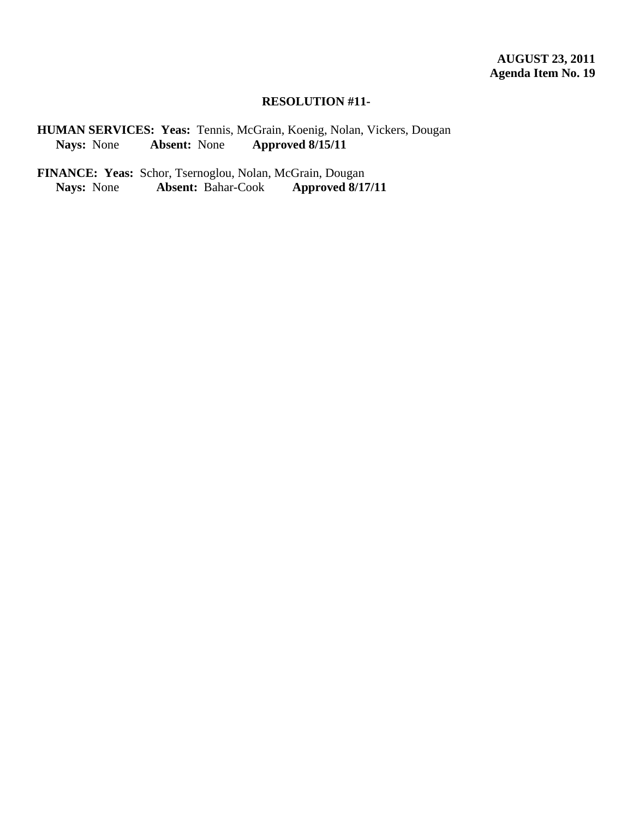**HUMAN SERVICES: Yeas: Tennis, McGrain, Koenig, Nolan, Vickers, Dougan Nays: None Absent: None Approved 8/15/11 Nays:** None **Absent:** None **Approved 8/15/11**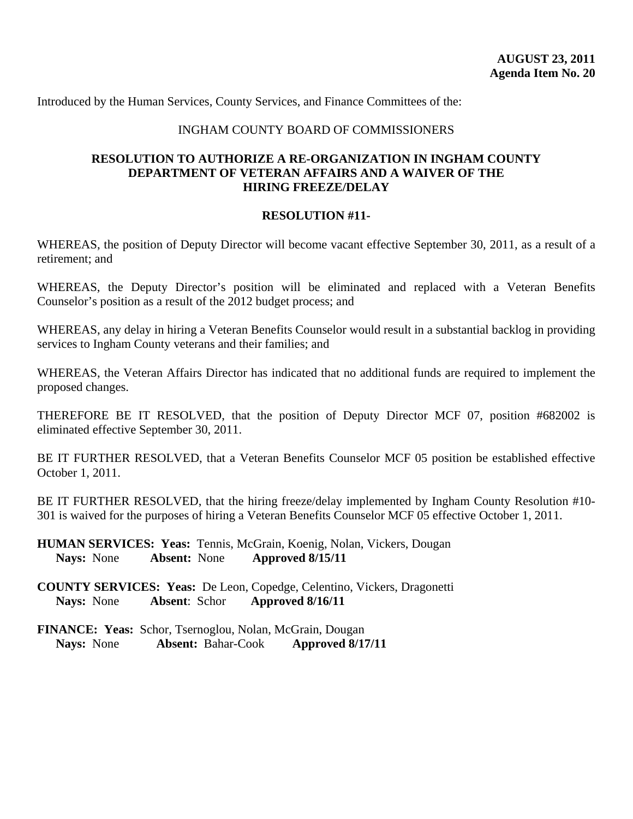Introduced by the Human Services, County Services, and Finance Committees of the:

#### INGHAM COUNTY BOARD OF COMMISSIONERS

#### **RESOLUTION TO AUTHORIZE A RE-ORGANIZATION IN INGHAM COUNTY DEPARTMENT OF VETERAN AFFAIRS AND A WAIVER OF THE HIRING FREEZE/DELAY**

#### **RESOLUTION #11-**

WHEREAS, the position of Deputy Director will become vacant effective September 30, 2011, as a result of a retirement; and

WHEREAS, the Deputy Director's position will be eliminated and replaced with a Veteran Benefits Counselor's position as a result of the 2012 budget process; and

WHEREAS, any delay in hiring a Veteran Benefits Counselor would result in a substantial backlog in providing services to Ingham County veterans and their families; and

WHEREAS, the Veteran Affairs Director has indicated that no additional funds are required to implement the proposed changes.

THEREFORE BE IT RESOLVED, that the position of Deputy Director MCF 07, position #682002 is eliminated effective September 30, 2011.

BE IT FURTHER RESOLVED, that a Veteran Benefits Counselor MCF 05 position be established effective October 1, 2011.

BE IT FURTHER RESOLVED, that the hiring freeze/delay implemented by Ingham County Resolution #10-301 is waived for the purposes of hiring a Veteran Benefits Counselor MCF 05 effective October 1, 2011.

**HUMAN SERVICES: Yeas:** Tennis, McGrain, Koenig, Nolan, Vickers, Dougan **Nays:** None **Absent:** None **Approved 8/15/11** 

**COUNTY SERVICES: Yeas:** De Leon, Copedge, Celentino, Vickers, Dragonetti **Nays:** None **Absent**: Schor **Approved 8/16/11**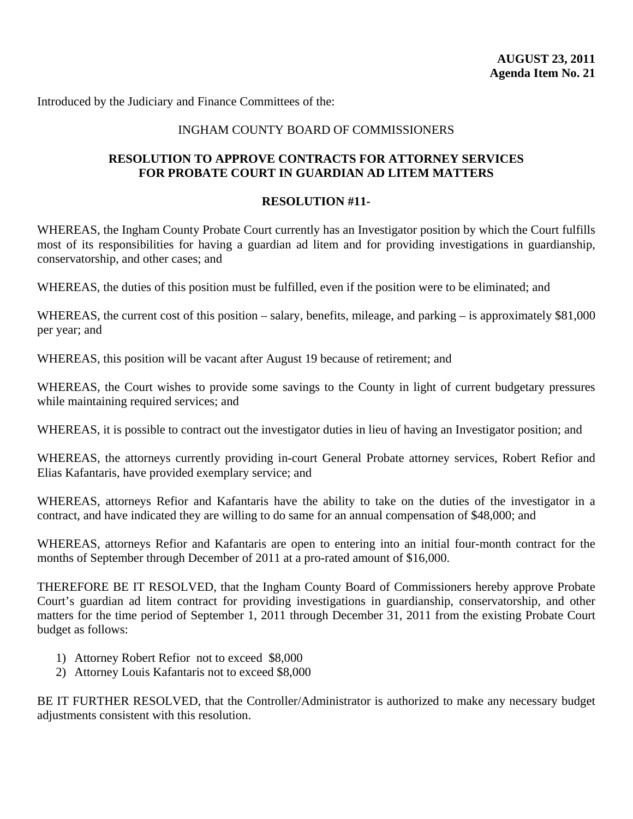Introduced by the Judiciary and Finance Committees of the:

#### INGHAM COUNTY BOARD OF COMMISSIONERS

#### **RESOLUTION TO APPROVE CONTRACTS FOR ATTORNEY SERVICES FOR PROBATE COURT IN GUARDIAN AD LITEM MATTERS**

#### **RESOLUTION #11-**

WHEREAS, the Ingham County Probate Court currently has an Investigator position by which the Court fulfills most of its responsibilities for having a guardian ad litem and for providing investigations in guardianship, conservatorship, and other cases; and

WHEREAS, the duties of this position must be fulfilled, even if the position were to be eliminated; and

WHEREAS, the current cost of this position – salary, benefits, mileage, and parking – is approximately \$81,000 per year; and

WHEREAS, this position will be vacant after August 19 because of retirement; and

WHEREAS, the Court wishes to provide some savings to the County in light of current budgetary pressures while maintaining required services; and

WHEREAS, it is possible to contract out the investigator duties in lieu of having an Investigator position; and

WHEREAS, the attorneys currently providing in-court General Probate attorney services, Robert Refior and Elias Kafantaris, have provided exemplary service; and

WHEREAS, attorneys Refior and Kafantaris have the ability to take on the duties of the investigator in a contract, and have indicated they are willing to do same for an annual compensation of \$48,000; and

WHEREAS, attorneys Refior and Kafantaris are open to entering into an initial four-month contract for the months of September through December of 2011 at a pro-rated amount of \$16,000.

THEREFORE BE IT RESOLVED, that the Ingham County Board of Commissioners hereby approve Probate Court's guardian ad litem contract for providing investigations in guardianship, conservatorship, and other matters for the time period of September 1, 2011 through December 31, 2011 from the existing Probate Court budget as follows:

- 1) Attorney Robert Refior not to exceed \$8,000
- 2) Attorney Louis Kafantaris not to exceed \$8,000

BE IT FURTHER RESOLVED, that the Controller/Administrator is authorized to make any necessary budget adjustments consistent with this resolution.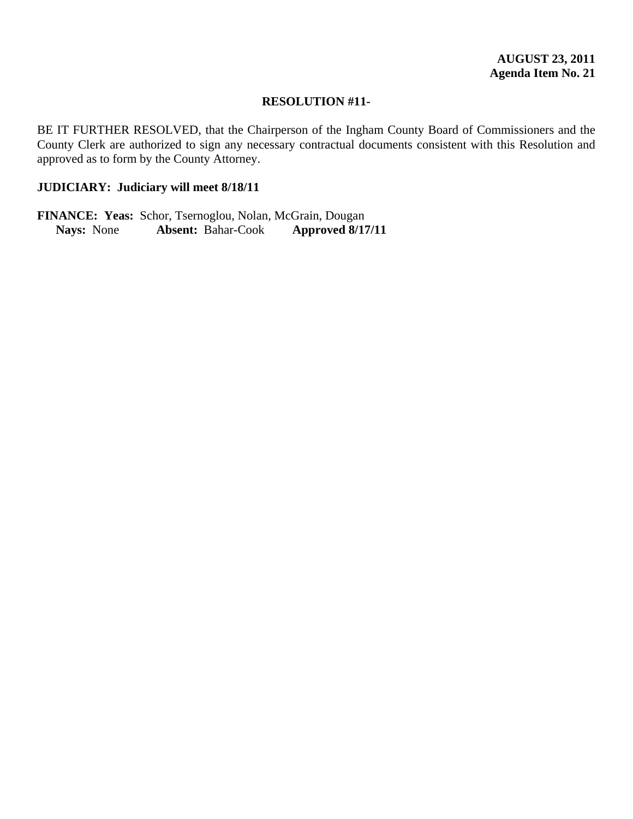BE IT FURTHER RESOLVED, that the Chairperson of the Ingham County Board of Commissioners and the County Clerk are authorized to sign any necessary contractual documents consistent with this Resolution and approved as to form by the County Attorney.

#### **JUDICIARY: Judiciary will meet 8/18/11**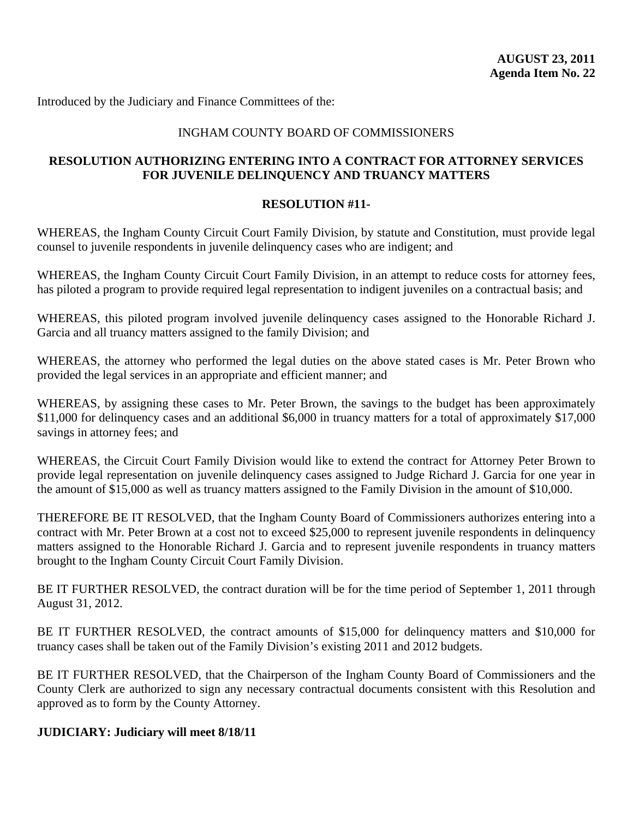Introduced by the Judiciary and Finance Committees of the:

#### INGHAM COUNTY BOARD OF COMMISSIONERS

# **RESOLUTION AUTHORIZING ENTERING INTO A CONTRACT FOR ATTORNEY SERVICES FOR JUVENILE DELINQUENCY AND TRUANCY MATTERS**

#### **RESOLUTION #11-**

WHEREAS, the Ingham County Circuit Court Family Division, by statute and Constitution, must provide legal counsel to juvenile respondents in juvenile delinquency cases who are indigent; and

WHEREAS, the Ingham County Circuit Court Family Division, in an attempt to reduce costs for attorney fees, has piloted a program to provide required legal representation to indigent juveniles on a contractual basis; and

WHEREAS, this piloted program involved juvenile delinquency cases assigned to the Honorable Richard J. Garcia and all truancy matters assigned to the family Division; and

WHEREAS, the attorney who performed the legal duties on the above stated cases is Mr. Peter Brown who provided the legal services in an appropriate and efficient manner; and

WHEREAS, by assigning these cases to Mr. Peter Brown, the savings to the budget has been approximately \$11,000 for delinquency cases and an additional \$6,000 in truancy matters for a total of approximately \$17,000 savings in attorney fees; and

WHEREAS, the Circuit Court Family Division would like to extend the contract for Attorney Peter Brown to provide legal representation on juvenile delinquency cases assigned to Judge Richard J. Garcia for one year in the amount of \$15,000 as well as truancy matters assigned to the Family Division in the amount of \$10,000.

THEREFORE BE IT RESOLVED, that the Ingham County Board of Commissioners authorizes entering into a contract with Mr. Peter Brown at a cost not to exceed \$25,000 to represent juvenile respondents in delinquency matters assigned to the Honorable Richard J. Garcia and to represent juvenile respondents in truancy matters brought to the Ingham County Circuit Court Family Division.

BE IT FURTHER RESOLVED, the contract duration will be for the time period of September 1, 2011 through August 31, 2012.

BE IT FURTHER RESOLVED, the contract amounts of \$15,000 for delinquency matters and \$10,000 for truancy cases shall be taken out of the Family Division's existing 2011 and 2012 budgets.

BE IT FURTHER RESOLVED, that the Chairperson of the Ingham County Board of Commissioners and the County Clerk are authorized to sign any necessary contractual documents consistent with this Resolution and approved as to form by the County Attorney.

#### **JUDICIARY: Judiciary will meet 8/18/11**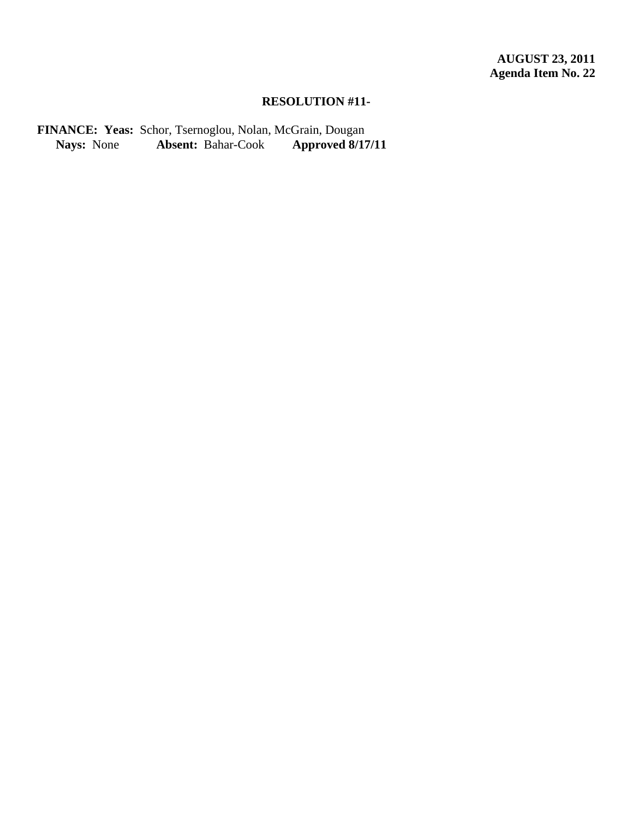FINANCE: Yeas: Schor, Tsernoglou, Nolan, McGrain, Dougan<br>Nays: None Absent: Bahar-Cook Approved 8/17/11 **Absent:** Bahar-Cook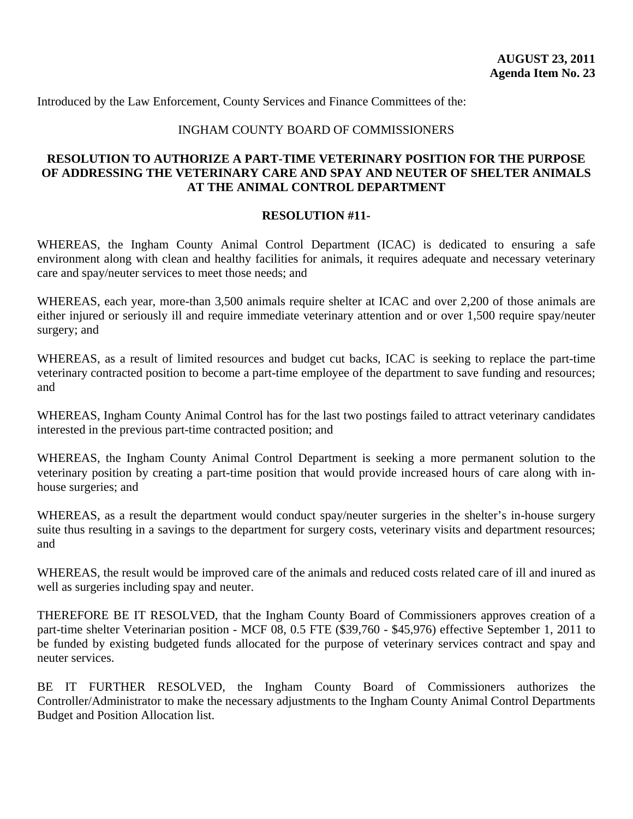Introduced by the Law Enforcement, County Services and Finance Committees of the:

#### INGHAM COUNTY BOARD OF COMMISSIONERS

#### **RESOLUTION TO AUTHORIZE A PART-TIME VETERINARY POSITION FOR THE PURPOSE OF ADDRESSING THE VETERINARY CARE AND SPAY AND NEUTER OF SHELTER ANIMALS AT THE ANIMAL CONTROL DEPARTMENT**

#### **RESOLUTION #11-**

WHEREAS, the Ingham County Animal Control Department (ICAC) is dedicated to ensuring a safe environment along with clean and healthy facilities for animals, it requires adequate and necessary veterinary care and spay/neuter services to meet those needs; and

WHEREAS, each year, more-than 3,500 animals require shelter at ICAC and over 2,200 of those animals are either injured or seriously ill and require immediate veterinary attention and or over 1,500 require spay/neuter surgery; and

WHEREAS, as a result of limited resources and budget cut backs, ICAC is seeking to replace the part-time veterinary contracted position to become a part-time employee of the department to save funding and resources; and

WHEREAS, Ingham County Animal Control has for the last two postings failed to attract veterinary candidates interested in the previous part-time contracted position; and

WHEREAS, the Ingham County Animal Control Department is seeking a more permanent solution to the veterinary position by creating a part-time position that would provide increased hours of care along with inhouse surgeries; and

WHEREAS, as a result the department would conduct spay/neuter surgeries in the shelter's in-house surgery suite thus resulting in a savings to the department for surgery costs, veterinary visits and department resources; and

WHEREAS, the result would be improved care of the animals and reduced costs related care of ill and inured as well as surgeries including spay and neuter.

THEREFORE BE IT RESOLVED, that the Ingham County Board of Commissioners approves creation of a part-time shelter Veterinarian position - MCF 08, 0.5 FTE (\$39,760 - \$45,976) effective September 1, 2011 to be funded by existing budgeted funds allocated for the purpose of veterinary services contract and spay and neuter services.

BE IT FURTHER RESOLVED, the Ingham County Board of Commissioners authorizes the Controller/Administrator to make the necessary adjustments to the Ingham County Animal Control Departments Budget and Position Allocation list.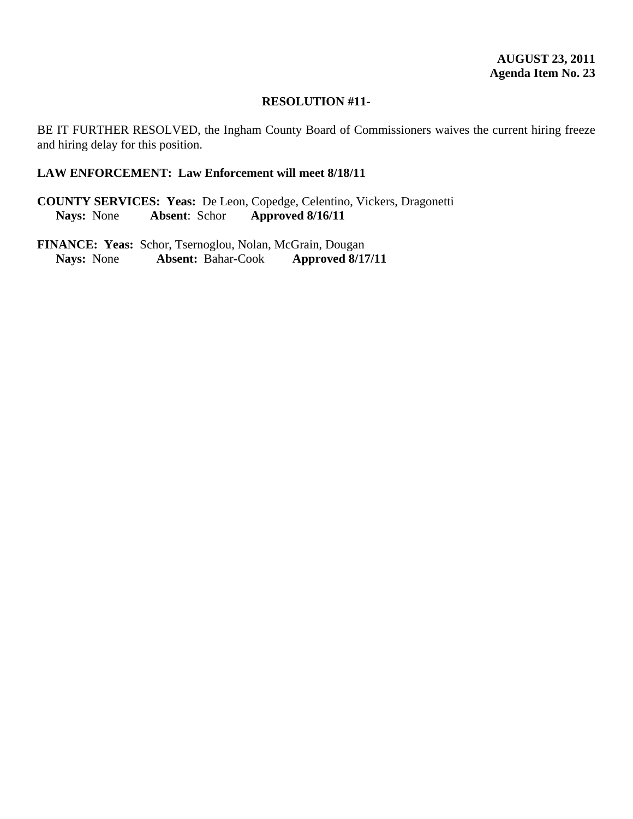BE IT FURTHER RESOLVED, the Ingham County Board of Commissioners waives the current hiring freeze and hiring delay for this position.

#### **LAW ENFORCEMENT: Law Enforcement will meet 8/18/11**

**COUNTY SERVICES: Yeas:** De Leon, Copedge, Celentino, Vickers, Dragonetti<br>Nays: None **Absent**: Schor **Approved 8/16/11 Nays:** None **Absent**: Schor **Approved 8/16/11**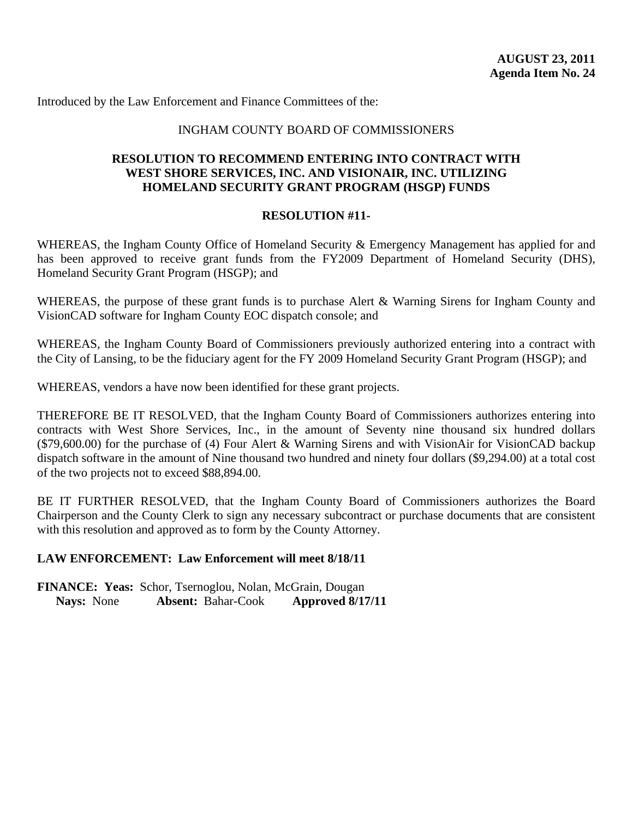Introduced by the Law Enforcement and Finance Committees of the:

#### INGHAM COUNTY BOARD OF COMMISSIONERS

#### **RESOLUTION TO RECOMMEND ENTERING INTO CONTRACT WITH WEST SHORE SERVICES, INC. AND VISIONAIR, INC. UTILIZING HOMELAND SECURITY GRANT PROGRAM (HSGP) FUNDS**

#### **RESOLUTION #11-**

WHEREAS, the Ingham County Office of Homeland Security & Emergency Management has applied for and has been approved to receive grant funds from the FY2009 Department of Homeland Security (DHS), Homeland Security Grant Program (HSGP); and

WHEREAS, the purpose of these grant funds is to purchase Alert & Warning Sirens for Ingham County and VisionCAD software for Ingham County EOC dispatch console; and

WHEREAS, the Ingham County Board of Commissioners previously authorized entering into a contract with the City of Lansing, to be the fiduciary agent for the FY 2009 Homeland Security Grant Program (HSGP); and

WHEREAS, vendors a have now been identified for these grant projects.

THEREFORE BE IT RESOLVED, that the Ingham County Board of Commissioners authorizes entering into contracts with West Shore Services, Inc., in the amount of Seventy nine thousand six hundred dollars (\$79,600.00) for the purchase of (4) Four Alert & Warning Sirens and with VisionAir for VisionCAD backup dispatch software in the amount of Nine thousand two hundred and ninety four dollars (\$9,294.00) at a total cost of the two projects not to exceed \$88,894.00.

BE IT FURTHER RESOLVED, that the Ingham County Board of Commissioners authorizes the Board Chairperson and the County Clerk to sign any necessary subcontract or purchase documents that are consistent with this resolution and approved as to form by the County Attorney.

#### **LAW ENFORCEMENT: Law Enforcement will meet 8/18/11**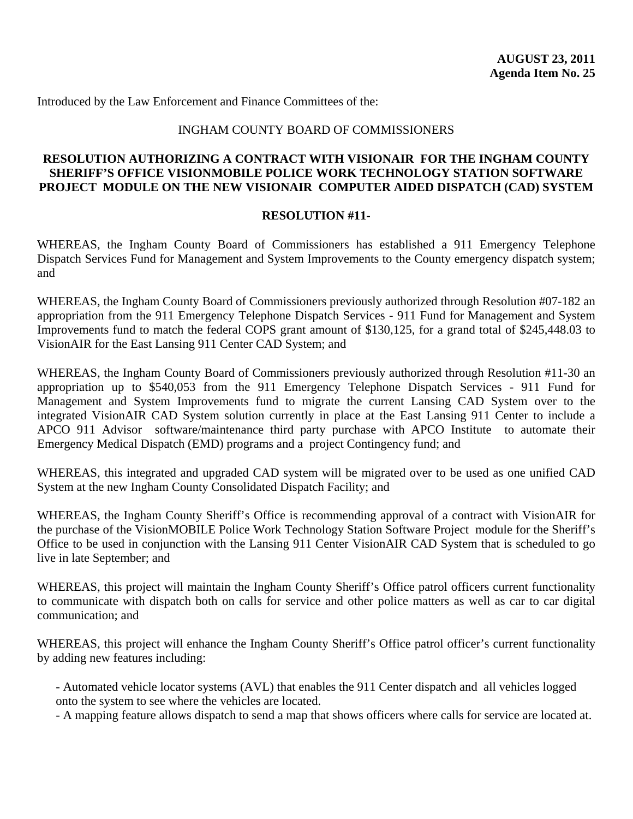Introduced by the Law Enforcement and Finance Committees of the:

#### INGHAM COUNTY BOARD OF COMMISSIONERS

### **RESOLUTION AUTHORIZING A CONTRACT WITH VISIONAIR FOR THE INGHAM COUNTY SHERIFF'S OFFICE VISIONMOBILE POLICE WORK TECHNOLOGY STATION SOFTWARE PROJECT MODULE ON THE NEW VISIONAIR COMPUTER AIDED DISPATCH (CAD) SYSTEM**

#### **RESOLUTION #11-**

WHEREAS, the Ingham County Board of Commissioners has established a 911 Emergency Telephone Dispatch Services Fund for Management and System Improvements to the County emergency dispatch system; and

WHEREAS, the Ingham County Board of Commissioners previously authorized through Resolution #07-182 an appropriation from the 911 Emergency Telephone Dispatch Services - 911 Fund for Management and System Improvements fund to match the federal COPS grant amount of \$130,125, for a grand total of \$245,448.03 to VisionAIR for the East Lansing 911 Center CAD System; and

WHEREAS, the Ingham County Board of Commissioners previously authorized through Resolution #11-30 an appropriation up to \$540,053 from the 911 Emergency Telephone Dispatch Services - 911 Fund for Management and System Improvements fund to migrate the current Lansing CAD System over to the integrated VisionAIR CAD System solution currently in place at the East Lansing 911 Center to include a APCO 911 Advisor software/maintenance third party purchase with APCO Institute to automate their Emergency Medical Dispatch (EMD) programs and a project Contingency fund; and

WHEREAS, this integrated and upgraded CAD system will be migrated over to be used as one unified CAD System at the new Ingham County Consolidated Dispatch Facility; and

WHEREAS, the Ingham County Sheriff's Office is recommending approval of a contract with VisionAIR for the purchase of the VisionMOBILE Police Work Technology Station Software Project module for the Sheriff's Office to be used in conjunction with the Lansing 911 Center VisionAIR CAD System that is scheduled to go live in late September; and

WHEREAS, this project will maintain the Ingham County Sheriff's Office patrol officers current functionality to communicate with dispatch both on calls for service and other police matters as well as car to car digital communication; and

WHEREAS, this project will enhance the Ingham County Sheriff's Office patrol officer's current functionality by adding new features including:

- Automated vehicle locator systems (AVL) that enables the 911 Center dispatch and all vehicles logged onto the system to see where the vehicles are located.

- A mapping feature allows dispatch to send a map that shows officers where calls for service are located at.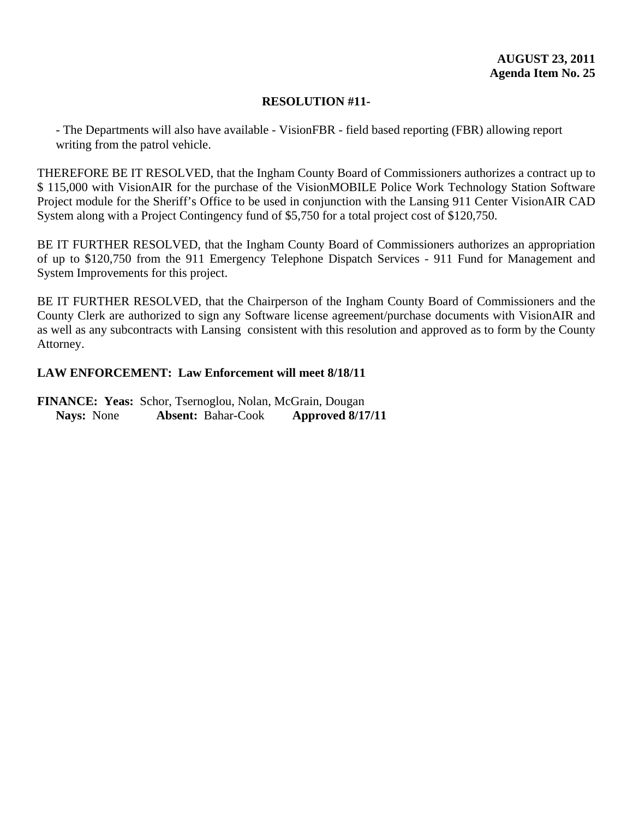## **RESOLUTION #11-**

- The Departments will also have available - VisionFBR - field based reporting (FBR) allowing report writing from the patrol vehicle.

THEREFORE BE IT RESOLVED, that the Ingham County Board of Commissioners authorizes a contract up to \$ 115,000 with VisionAIR for the purchase of the VisionMOBILE Police Work Technology Station Software Project module for the Sheriff's Office to be used in conjunction with the Lansing 911 Center VisionAIR CAD System along with a Project Contingency fund of \$5,750 for a total project cost of \$120,750.

BE IT FURTHER RESOLVED, that the Ingham County Board of Commissioners authorizes an appropriation of up to \$120,750 from the 911 Emergency Telephone Dispatch Services - 911 Fund for Management and System Improvements for this project.

BE IT FURTHER RESOLVED, that the Chairperson of the Ingham County Board of Commissioners and the County Clerk are authorized to sign any Software license agreement/purchase documents with VisionAIR and as well as any subcontracts with Lansing consistent with this resolution and approved as to form by the County Attorney.

# **LAW ENFORCEMENT: Law Enforcement will meet 8/18/11**

**FINANCE: Yeas:** Schor, Tsernoglou, Nolan, McGrain, Dougan **Nays:** None **Absent:** Bahar-Cook **Approved 8/17/11**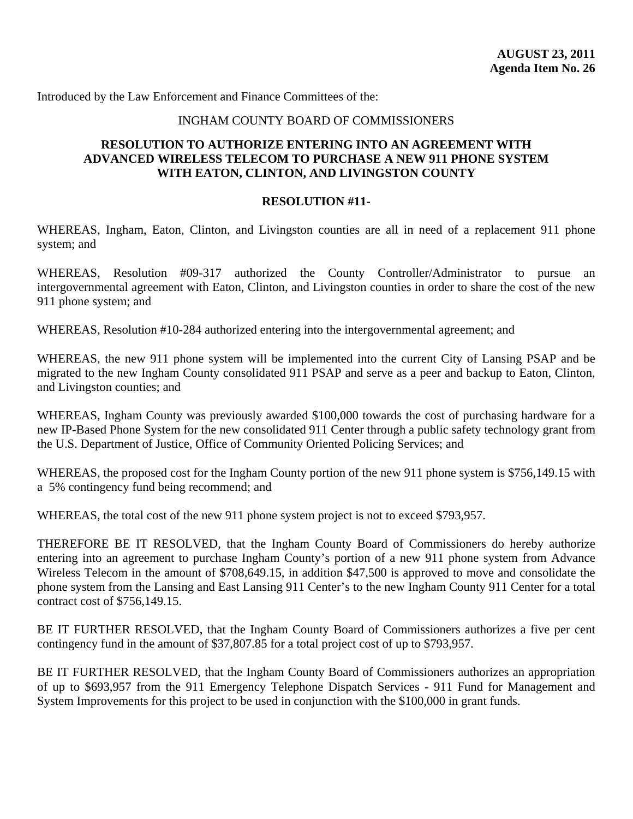Introduced by the Law Enforcement and Finance Committees of the:

### INGHAM COUNTY BOARD OF COMMISSIONERS

## **RESOLUTION TO AUTHORIZE ENTERING INTO AN AGREEMENT WITH ADVANCED WIRELESS TELECOM TO PURCHASE A NEW 911 PHONE SYSTEM WITH EATON, CLINTON, AND LIVINGSTON COUNTY**

### **RESOLUTION #11-**

WHEREAS, Ingham, Eaton, Clinton, and Livingston counties are all in need of a replacement 911 phone system; and

WHEREAS, Resolution #09-317 authorized the County Controller/Administrator to pursue an intergovernmental agreement with Eaton, Clinton, and Livingston counties in order to share the cost of the new 911 phone system; and

WHEREAS, Resolution #10-284 authorized entering into the intergovernmental agreement; and

WHEREAS, the new 911 phone system will be implemented into the current City of Lansing PSAP and be migrated to the new Ingham County consolidated 911 PSAP and serve as a peer and backup to Eaton, Clinton, and Livingston counties; and

WHEREAS, Ingham County was previously awarded \$100,000 towards the cost of purchasing hardware for a new IP-Based Phone System for the new consolidated 911 Center through a public safety technology grant from the U.S. Department of Justice, Office of Community Oriented Policing Services; and

WHEREAS, the proposed cost for the Ingham County portion of the new 911 phone system is \$756,149.15 with a 5% contingency fund being recommend; and

WHEREAS, the total cost of the new 911 phone system project is not to exceed \$793,957.

THEREFORE BE IT RESOLVED, that the Ingham County Board of Commissioners do hereby authorize entering into an agreement to purchase Ingham County's portion of a new 911 phone system from Advance Wireless Telecom in the amount of \$708,649.15, in addition \$47,500 is approved to move and consolidate the phone system from the Lansing and East Lansing 911 Center's to the new Ingham County 911 Center for a total contract cost of \$756,149.15.

BE IT FURTHER RESOLVED, that the Ingham County Board of Commissioners authorizes a five per cent contingency fund in the amount of \$37,807.85 for a total project cost of up to \$793,957.

BE IT FURTHER RESOLVED, that the Ingham County Board of Commissioners authorizes an appropriation of up to \$693,957 from the 911 Emergency Telephone Dispatch Services - 911 Fund for Management and System Improvements for this project to be used in conjunction with the \$100,000 in grant funds.